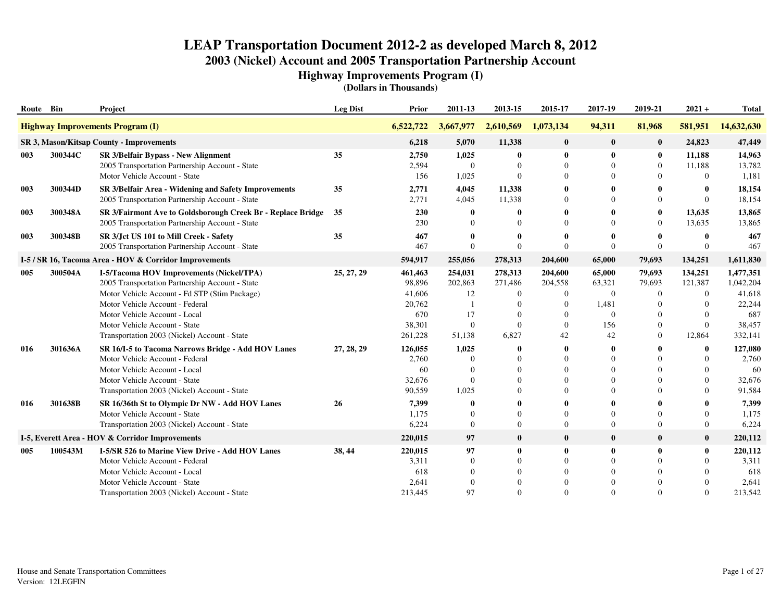**Highway Improvements Program (I)**

| Route Bin |         | Project                                                                                                                                                                                                                                                                                           | <b>Leg Dist</b> | Prior                                                             | 2011-13                                                                                  | 2013-15                                                                 | 2015-17                                                                  | 2017-19                                                        | 2019-21                                                                                      | $2021 +$                                                                     | <b>Total</b>                                                           |
|-----------|---------|---------------------------------------------------------------------------------------------------------------------------------------------------------------------------------------------------------------------------------------------------------------------------------------------------|-----------------|-------------------------------------------------------------------|------------------------------------------------------------------------------------------|-------------------------------------------------------------------------|--------------------------------------------------------------------------|----------------------------------------------------------------|----------------------------------------------------------------------------------------------|------------------------------------------------------------------------------|------------------------------------------------------------------------|
|           |         | <b>Highway Improvements Program (I)</b>                                                                                                                                                                                                                                                           |                 | 6,522,722                                                         | 3,667,977                                                                                | 2,610,569                                                               | 1,073,134                                                                | 94,311                                                         | 81,968                                                                                       | 581,951                                                                      | 14,632,630                                                             |
|           |         | <b>SR 3, Mason/Kitsap County - Improvements</b>                                                                                                                                                                                                                                                   |                 | 6,218                                                             | 5,070                                                                                    | 11,338                                                                  | $\bf{0}$                                                                 | $\bf{0}$                                                       | $\bf{0}$                                                                                     | 24,823                                                                       | 47,449                                                                 |
| 003       | 300344C | <b>SR 3/Belfair Bypass - New Alignment</b><br>2005 Transportation Partnership Account - State<br>Motor Vehicle Account - State                                                                                                                                                                    | 35              | 2,750<br>2,594<br>156                                             | 1,025<br>$\theta$<br>1,025                                                               | $\bf{0}$<br>$\theta$<br>$\Omega$                                        | $\mathbf{0}$<br>$\Omega$                                                 | $\mathbf{0}$<br>$\theta$<br>$\Omega$                           | $\bf{0}$<br>$\mathbf{0}$<br>$\Omega$                                                         | 11,188<br>11,188<br>$\Omega$                                                 | 14,963<br>13,782<br>1,181                                              |
| 003       | 300344D | SR 3/Belfair Area - Widening and Safety Improvements<br>2005 Transportation Partnership Account - State                                                                                                                                                                                           | 35              | 2,771<br>2,771                                                    | 4,045<br>4,045                                                                           | 11,338<br>11,338                                                        | 0<br>$\Omega$                                                            | $\mathbf{0}$<br>$\Omega$                                       | 0<br>$\overline{0}$                                                                          | $\mathbf 0$<br>$\Omega$                                                      | 18,154<br>18,154                                                       |
| 003       | 300348A | SR 3/Fairmont Ave to Goldsborough Creek Br - Replace Bridge<br>2005 Transportation Partnership Account - State                                                                                                                                                                                    | 35              | 230<br>230                                                        | $\mathbf{0}$<br>$\Omega$                                                                 | $\mathbf{0}$                                                            | $\Omega$                                                                 | $\Omega$                                                       | $\bf{0}$<br>$\overline{0}$                                                                   | 13,635<br>13,635                                                             | 13,865<br>13,865                                                       |
| 003       | 300348B | SR 3/Jct US 101 to Mill Creek - Safety<br>2005 Transportation Partnership Account - State                                                                                                                                                                                                         | 35              | 467<br>467                                                        | 0<br>$\Omega$                                                                            | 0<br>$\theta$                                                           | $\Omega$                                                                 | $\Omega$                                                       | $\mathbf{0}$<br>$\Omega$                                                                     | $\mathbf{0}$<br>$\Omega$                                                     | 467<br>467                                                             |
|           |         | I-5 / SR 16, Tacoma Area - HOV & Corridor Improvements                                                                                                                                                                                                                                            |                 | 594,917                                                           | 255,056                                                                                  | 278,313                                                                 | 204,600                                                                  | 65,000                                                         | 79,693                                                                                       | 134,251                                                                      | 1,611,830                                                              |
| 005       | 300504A | I-5/Tacoma HOV Improvements (Nickel/TPA)<br>2005 Transportation Partnership Account - State<br>Motor Vehicle Account - Fd STP (Stim Package)<br>Motor Vehicle Account - Federal<br>Motor Vehicle Account - Local<br>Motor Vehicle Account - State<br>Transportation 2003 (Nickel) Account - State | 25, 27, 29      | 461,463<br>98,896<br>41,606<br>20,762<br>670<br>38,301<br>261,228 | 254,031<br>202,863<br>12<br>$\overline{\phantom{0}}$<br>17<br>$\boldsymbol{0}$<br>51,138 | 278,313<br>271,486<br>$\boldsymbol{0}$<br>$\Omega$<br>$\Omega$<br>6,827 | 204,600<br>204,558<br>$\Omega$<br>$\Omega$<br>$\Omega$<br>$\Omega$<br>42 | 65,000<br>63,321<br>$\theta$<br>1,481<br>$\Omega$<br>156<br>42 | 79,693<br>79,693<br>$\mathbf{0}$<br>$\Omega$<br>$\theta$<br>$\overline{0}$<br>$\overline{0}$ | 134,251<br>121,387<br>$\Omega$<br>$\Omega$<br>$\Omega$<br>$\Omega$<br>12,864 | 1,477,351<br>1,042,204<br>41,618<br>22,244<br>687<br>38,457<br>332,141 |
| 016       | 301636A | SR 16/I-5 to Tacoma Narrows Bridge - Add HOV Lanes<br>Motor Vehicle Account - Federal<br>Motor Vehicle Account - Local<br>Motor Vehicle Account - State<br>Transportation 2003 (Nickel) Account - State                                                                                           | 27, 28, 29      | 126,055<br>2,760<br>60<br>32,676<br>90,559                        | 1,025<br>0<br>$\Omega$<br>$\Omega$<br>1,025                                              | o<br>$\Omega$<br>$\Omega$<br>$\Omega$                                   | -0<br>$\Omega$<br>$\Omega$                                               | 0<br>$\Omega$<br>$\Omega$<br>$\Omega$<br>$\Omega$              | 0<br>$\Omega$<br>$\Omega$<br>$\Omega$<br>$\Omega$                                            | $\mathbf{0}$<br>$\Omega$<br>$\Omega$<br>$\Omega$<br>$\Omega$                 | 127,080<br>2,760<br>60<br>32,676<br>91,584                             |
| 016       | 301638B | SR 16/36th St to Olympic Dr NW - Add HOV Lanes<br>Motor Vehicle Account - State<br>Transportation 2003 (Nickel) Account - State                                                                                                                                                                   | 26              | 7,399<br>1,175<br>6,224                                           | 0<br>$\Omega$<br>$\mathbf{0}$                                                            | $\mathbf{0}$<br>$\overline{0}$                                          | $\Omega$<br>$\Omega$                                                     | $\theta$<br>$\Omega$                                           | $\overline{0}$<br>$\overline{0}$                                                             | $\Omega$<br>$\overline{0}$                                                   | 7,399<br>1,175<br>6,224                                                |
|           |         | I-5, Everett Area - HOV & Corridor Improvements                                                                                                                                                                                                                                                   |                 | 220,015                                                           | 97                                                                                       | $\bf{0}$                                                                | $\bf{0}$                                                                 | $\mathbf{0}$                                                   | $\bf{0}$                                                                                     | $\mathbf{0}$                                                                 | 220,112                                                                |
| 005       | 100543M | <b>I-5/SR 526 to Marine View Drive - Add HOV Lanes</b><br>Motor Vehicle Account - Federal<br>Motor Vehicle Account - Local<br>Motor Vehicle Account - State<br>Transportation 2003 (Nickel) Account - State                                                                                       | 38, 44          | 220,015<br>3,311<br>618<br>2,641<br>213,445                       | 97<br>$\mathbf{0}$<br>$\Omega$<br>$\Omega$<br>97                                         | $\bf{0}$<br>$\Omega$<br>$\Omega$<br>$\Omega$                            | $\mathbf 0$<br>$\Omega$                                                  | $\mathbf{0}$<br>$\Omega$<br>$\Omega$<br>$\Omega$<br>$\Omega$   | $\bf{0}$<br>$\Omega$<br>$\Omega$<br>$\Omega$                                                 | $\bf{0}$<br>$\Omega$<br>$\Omega$<br>$\Omega$<br>$\Omega$                     | 220,112<br>3,311<br>618<br>2,641<br>213,542                            |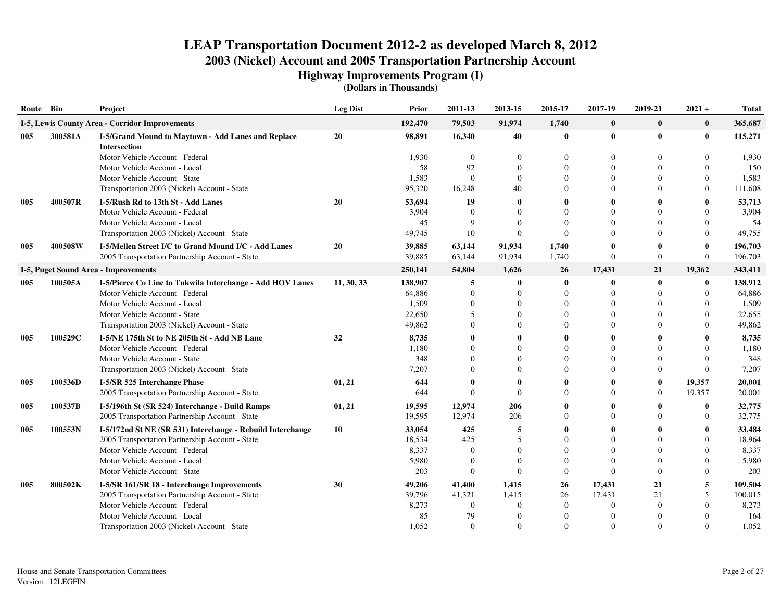**Highway Improvements Program (I)**

| Route Bin |         | Project                                                                   | <b>Leg Dist</b> | <b>Prior</b> | 2011-13          | 2013-15      | 2015-17        | 2017-19      | 2019-21        | $2021 +$     | <b>Total</b> |
|-----------|---------|---------------------------------------------------------------------------|-----------------|--------------|------------------|--------------|----------------|--------------|----------------|--------------|--------------|
|           |         | I-5, Lewis County Area - Corridor Improvements                            |                 | 192,470      | 79,503           | 91.974       | 1,740          | $\bf{0}$     | $\bf{0}$       | $\bf{0}$     | 365,687      |
| 005       | 300581A | I-5/Grand Mound to Maytown - Add Lanes and Replace<br><b>Intersection</b> | 20              | 98.891       | 16,340           | 40           | $\bf{0}$       | $\mathbf{0}$ | $\bf{0}$       | $\bf{0}$     | 115,271      |
|           |         | Motor Vehicle Account - Federal                                           |                 | 1,930        | $\overline{0}$   | $\theta$     | $\Omega$       | $\mathbf{0}$ | $\Omega$       | $\Omega$     | 1,930        |
|           |         | Motor Vehicle Account - Local                                             |                 | 58           | 92               | $\theta$     | $\theta$       | $\mathbf{0}$ | $\overline{0}$ | $\mathbf{0}$ | 150          |
|           |         | Motor Vehicle Account - State                                             |                 | 1,583        | $\Omega$         | $\theta$     | $\theta$       | $\Omega$     | 0              | $\mathbf{0}$ | 1,583        |
|           |         | Transportation 2003 (Nickel) Account - State                              |                 | 95,320       | 16,248           | 40           | $\Omega$       | $\Omega$     | $\Omega$       | $\mathbf{0}$ | 111,608      |
| 005       | 400507R | I-5/Rush Rd to 13th St - Add Lanes                                        | 20              | 53,694       | 19               | $\bf{0}$     | $\mathbf{0}$   | $\mathbf{0}$ |                | $\mathbf{0}$ | 53,713       |
|           |         | Motor Vehicle Account - Federal                                           |                 | 3,904        | $\overline{0}$   | $\Omega$     | $\theta$       | $\Omega$     | $\Omega$       | $\Omega$     | 3,904        |
|           |         | Motor Vehicle Account - Local                                             |                 | 45           | 9                | $\Omega$     | $\Omega$       | $\Omega$     | $\Omega$       | $\Omega$     | 54           |
|           |         | Transportation 2003 (Nickel) Account - State                              |                 | 49,745       | 10               | $\Omega$     | $\Omega$       | $\Omega$     | $\Omega$       | $\Omega$     | 49,755       |
| 005       | 400508W | I-5/Mellen Street I/C to Grand Mound I/C - Add Lanes                      | 20              | 39,885       | 63,144           | 91,934       | 1,740          | $\mathbf{0}$ |                | $\mathbf 0$  | 196,703      |
|           |         | 2005 Transportation Partnership Account - State                           |                 | 39,885       | 63,144           | 91,934       | 1,740          | $\Omega$     | $\overline{0}$ | $\mathbf{0}$ | 196,703      |
|           |         | I-5, Puget Sound Area - Improvements                                      |                 | 250,141      | 54,804           | 1,626        | 26             | 17,431       | 21             | 19,362       | 343,411      |
| 005       | 100505A | I-5/Pierce Co Line to Tukwila Interchange - Add HOV Lanes                 | 11, 30, 33      | 138,907      | 5                | $\bf{0}$     | $\bf{0}$       | $\mathbf{0}$ | $\bf{0}$       | $\bf{0}$     | 138,912      |
|           |         | Motor Vehicle Account - Federal                                           |                 | 64,886       | $\boldsymbol{0}$ | $\theta$     | $\overline{0}$ | $\Omega$     | $\overline{0}$ | $\theta$     | 64,886       |
|           |         | Motor Vehicle Account - Local                                             |                 | 1,509        | $\overline{0}$   | $\theta$     | $\theta$       | $\theta$     | $\theta$       | $\theta$     | 1,509        |
|           |         | Motor Vehicle Account - State                                             |                 | 22,650       | 5                | $\Omega$     | $\Omega$       | $\Omega$     | 0              | $\Omega$     | 22,655       |
|           |         | Transportation 2003 (Nickel) Account - State                              |                 | 49,862       | $\Omega$         |              | $\Omega$       | $\Omega$     | 0              | $\Omega$     | 49,862       |
| 005       | 100529C | I-5/NE 175th St to NE 205th St - Add NB Lane                              | 32              | 8,735        | $\mathbf{0}$     |              | $\mathbf{0}$   | $\mathbf{0}$ |                |              | 8,735        |
|           |         | Motor Vehicle Account - Federal                                           |                 | 1,180        | $\Omega$         |              | $\Omega$       | $\Omega$     | $\Omega$       | $\Omega$     | 1,180        |
|           |         | Motor Vehicle Account - State                                             |                 | 348          | $\Omega$         | $\Omega$     | $\Omega$       | $\Omega$     | 0              | $\Omega$     | 348          |
|           |         | Transportation 2003 (Nickel) Account - State                              |                 | 7,207        | $\Omega$         | $\Omega$     | $\Omega$       | $\Omega$     | $\Omega$       | $\Omega$     | 7,207        |
| 005       | 100536D | I-5/SR 525 Interchange Phase                                              | 01, 21          | 644          | $\mathbf{0}$     | $\mathbf{0}$ | $\mathbf{0}$   | $\mathbf{0}$ | $\bf{0}$       | 19,357       | 20,001       |
|           |         | 2005 Transportation Partnership Account - State                           |                 | 644          | $\Omega$         | $\Omega$     | $\Omega$       | $\Omega$     | $\Omega$       | 19,357       | 20,001       |
| 005       | 100537B | I-5/196th St (SR 524) Interchange - Build Ramps                           | 01, 21          | 19,595       | 12,974           | 206          | $\mathbf{0}$   | $\mathbf{0}$ |                | $\mathbf 0$  | 32,775       |
|           |         | 2005 Transportation Partnership Account - State                           |                 | 19,595       | 12,974           | 206          | $\Omega$       | $\Omega$     | 0              | $\Omega$     | 32,775       |
| 005       | 100553N | I-5/172nd St NE (SR 531) Interchange - Rebuild Interchange                | 10              | 33,054       | 425              | 5            | 0              | $\mathbf{0}$ |                |              | 33,484       |
|           |         | 2005 Transportation Partnership Account - State                           |                 | 18,534       | 425              | $\sim$       | $\Omega$       | $\Omega$     | $\Omega$       | $\Omega$     | 18,964       |
|           |         | Motor Vehicle Account - Federal                                           |                 | 8,337        | $\Omega$         | $\Omega$     | $\Omega$       | $\Omega$     | $\Omega$       | $\Omega$     | 8,337        |
|           |         | Motor Vehicle Account - Local                                             |                 | 5,980        | $\Omega$         | $\Omega$     | $\Omega$       | $\Omega$     | $\Omega$       | $\Omega$     | 5,980        |
|           |         | Motor Vehicle Account - State                                             |                 | 203          | $\mathbf{0}$     | $\Omega$     | $\overline{0}$ | $\Omega$     | $\overline{0}$ | $\theta$     | 203          |
| 005       | 800502K | I-5/SR 161/SR 18 - Interchange Improvements                               | 30              | 49,206       | 41,400           | 1,415        | 26             | 17,431       | 21             | 5            | 109,504      |
|           |         | 2005 Transportation Partnership Account - State                           |                 | 39,796       | 41,321           | 1,415        | 26             | 17,431       | 21             | 5            | 100,015      |
|           |         | Motor Vehicle Account - Federal                                           |                 | 8,273        | $\overline{0}$   | $\theta$     | $\overline{0}$ | $\Omega$     | $\mathbf{0}$   | $\theta$     | 8,273        |
|           |         | Motor Vehicle Account - Local                                             |                 | 85           | 79               |              | $\theta$       | $\Omega$     |                |              | 164          |
|           |         | Transportation 2003 (Nickel) Account - State                              |                 | 1,052        | $\Omega$         | $\theta$     | $\Omega$       | $\Omega$     | $\Omega$       | $\Omega$     | 1,052        |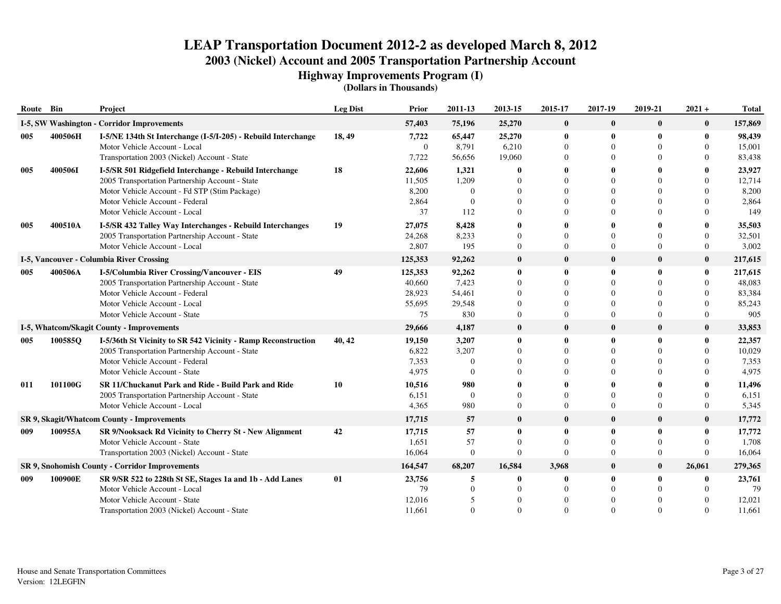**Highway Improvements Program (I)**

| Route Bin |                                                       | Project                                                       | <b>Leg Dist</b> | Prior          | 2011-13      | 2013-15        | 2015-17        | 2017-19      | 2019-21        | $2021 +$     | <b>Total</b> |
|-----------|-------------------------------------------------------|---------------------------------------------------------------|-----------------|----------------|--------------|----------------|----------------|--------------|----------------|--------------|--------------|
|           |                                                       | I-5, SW Washington - Corridor Improvements                    |                 | 57,403         | 75,196       | 25,270         | $\bf{0}$       | $\mathbf{0}$ | $\bf{0}$       | $\bf{0}$     | 157,869      |
| 005       | 400506H                                               | I-5/NE 134th St Interchange (I-5/I-205) - Rebuild Interchange | 18,49           | 7,722          | 65,447       | 25,270         | $\bf{0}$       | $\mathbf 0$  | $\bf{0}$       | $\bf{0}$     | 98,439       |
|           |                                                       | Motor Vehicle Account - Local                                 |                 | $\overline{0}$ | 8,791        | 6,210          | $\overline{0}$ | $\theta$     | $\Omega$       | $\Omega$     | 15,001       |
|           |                                                       | Transportation 2003 (Nickel) Account - State                  |                 | 7,722          | 56,656       | 19,060         | $\Omega$       | $\Omega$     |                | $\Omega$     | 83,438       |
| 005       | 400506I                                               | I-5/SR 501 Ridgefield Interchange - Rebuild Interchange       | 18              | 22,606         | 1,321        | 0              | 0              | $\mathbf{0}$ |                | 0            | 23,927       |
|           |                                                       | 2005 Transportation Partnership Account - State               |                 | 11,505         | 1,209        |                | $\Omega$       | $\Omega$     |                | $\Omega$     | 12,714       |
|           |                                                       | Motor Vehicle Account - Fd STP (Stim Package)                 |                 | 8,200          | $\Omega$     |                | $\Omega$       | $\Omega$     |                | $\Omega$     | 8,200        |
|           |                                                       | Motor Vehicle Account - Federal                               |                 | 2,864          | $\Omega$     |                | $\Omega$       | $\Omega$     |                | $\Omega$     | 2,864        |
|           |                                                       | Motor Vehicle Account - Local                                 |                 | 37             | 112          |                | 0              | $\Omega$     | $\Omega$       | $\Omega$     | 149          |
| 005       | 400510A                                               | I-5/SR 432 Talley Way Interchanges - Rebuild Interchanges     | 19              | 27,075         | 8,428        |                |                |              |                | 0            | 35,503       |
|           |                                                       | 2005 Transportation Partnership Account - State               |                 | 24,268         | 8,233        |                | $\Omega$       | $\Omega$     | $\Omega$       | $\Omega$     | 32,501       |
|           |                                                       | Motor Vehicle Account - Local                                 |                 | 2,807          | 195          | $\overline{0}$ | $\Omega$       | $\Omega$     | $\Omega$       | $\mathbf{0}$ | 3,002        |
|           |                                                       | <b>I-5, Vancouver - Columbia River Crossing</b>               |                 | 125,353        | 92,262       | $\bf{0}$       | $\bf{0}$       | $\mathbf 0$  | $\bf{0}$       | $\bf{0}$     | 217,615      |
| 005       | 400506A                                               | I-5/Columbia River Crossing/Vancouver - EIS                   | 49              | 125,353        | 92,262       | $\mathbf{0}$   | 0              | $\mathbf 0$  | $\mathbf{0}$   | $\bf{0}$     | 217,615      |
|           |                                                       | 2005 Transportation Partnership Account - State               |                 | 40,660         | 7,423        |                | $\Omega$       | $\Omega$     |                | $\Omega$     | 48,083       |
|           |                                                       | Motor Vehicle Account - Federal                               |                 | 28,923         | 54,461       |                | 0              | $\Omega$     |                | $\Omega$     | 83,384       |
|           |                                                       | Motor Vehicle Account - Local                                 |                 | 55,695         | 29,548       |                | $\Omega$       | $\Omega$     | $\Omega$       | $\Omega$     | 85,243       |
|           |                                                       | Motor Vehicle Account - State                                 |                 | 75             | 830          | $\Omega$       | $\Omega$       | $\Omega$     | $\Omega$       | $\Omega$     | 905          |
|           |                                                       | I-5, Whatcom/Skagit County - Improvements                     |                 | 29,666         | 4,187        | $\bf{0}$       | $\bf{0}$       | $\mathbf{0}$ | $\bf{0}$       | $\bf{0}$     | 33,853       |
| 005       | 100585Q                                               | I-5/36th St Vicinity to SR 542 Vicinity - Ramp Reconstruction | 40, 42          | 19,150         | 3,207        |                | 0              | $\mathbf 0$  | $\mathbf{0}$   | $\mathbf{0}$ | 22,357       |
|           |                                                       | 2005 Transportation Partnership Account - State               |                 | 6,822          | 3,207        |                | $\Omega$       | $\Omega$     |                | $\Omega$     | 10,029       |
|           |                                                       | Motor Vehicle Account - Federal                               |                 | 7,353          | $\theta$     |                | $\Omega$       | $\Omega$     |                | $\Omega$     | 7,353        |
|           |                                                       | Motor Vehicle Account - State                                 |                 | 4,975          | $\Omega$     |                | 0              | $\Omega$     |                | $\Omega$     | 4,975        |
| 011       | 101100G                                               | SR 11/Chuckanut Park and Ride - Build Park and Ride           | 10              | 10,516         | 980          |                |                |              |                | $\mathbf{0}$ | 11,496       |
|           |                                                       | 2005 Transportation Partnership Account - State               |                 | 6,151          | $\Omega$     |                | $\theta$       | $\theta$     |                | $\Omega$     | 6,151        |
|           |                                                       | Motor Vehicle Account - Local                                 |                 | 4,365          | 980          | $\overline{0}$ | $\Omega$       | $\Omega$     | $\Omega$       | $\Omega$     | 5,345        |
|           |                                                       | SR 9, Skagit/Whatcom County - Improvements                    |                 | 17,715         | 57           | $\bf{0}$       | $\bf{0}$       | $\mathbf 0$  | $\bf{0}$       | $\bf{0}$     | 17,772       |
| 009       | 100955A                                               | SR 9/Nooksack Rd Vicinity to Cherry St - New Alignment        | 42              | 17,715         | 57           | $\mathbf{0}$   | 0              | $\mathbf{0}$ | $\mathbf{0}$   | $\theta$     | 17,772       |
|           |                                                       | Motor Vehicle Account - State                                 |                 | 1,651          | 57           | $\Omega$       | $\Omega$       | $\Omega$     | $\Omega$       | $\Omega$     | 1,708        |
|           |                                                       | Transportation 2003 (Nickel) Account - State                  |                 | 16,064         | $\mathbf{0}$ | $\mathbf{0}$   | $\Omega$       | $\Omega$     | $\overline{0}$ | $\Omega$     | 16,064       |
|           | <b>SR 9, Snohomish County - Corridor Improvements</b> |                                                               |                 | 164,547        | 68,207       | 16,584         | 3,968          | $\mathbf 0$  | $\bf{0}$       | 26,061       | 279,365      |
| 009       | 100900E                                               | SR 9/SR 522 to 228th St SE, Stages 1a and 1b - Add Lanes      | 01              | 23,756         | 5            |                | 0              | $\mathbf 0$  | $\bf{0}$       | 0            | 23,761       |
|           |                                                       | Motor Vehicle Account - Local                                 |                 | 79             | $\theta$     |                | $\Omega$       | $\theta$     |                | $\Omega$     | 79           |
|           |                                                       | Motor Vehicle Account - State                                 |                 | 12,016         | 5            |                | $\Omega$       | $\Omega$     |                | $\Omega$     | 12,021       |
|           |                                                       | Transportation 2003 (Nickel) Account - State                  |                 | 11,661         | $\Omega$     | $\Omega$       | $\Omega$       | $\Omega$     | $\Omega$       | $\Omega$     | 11,661       |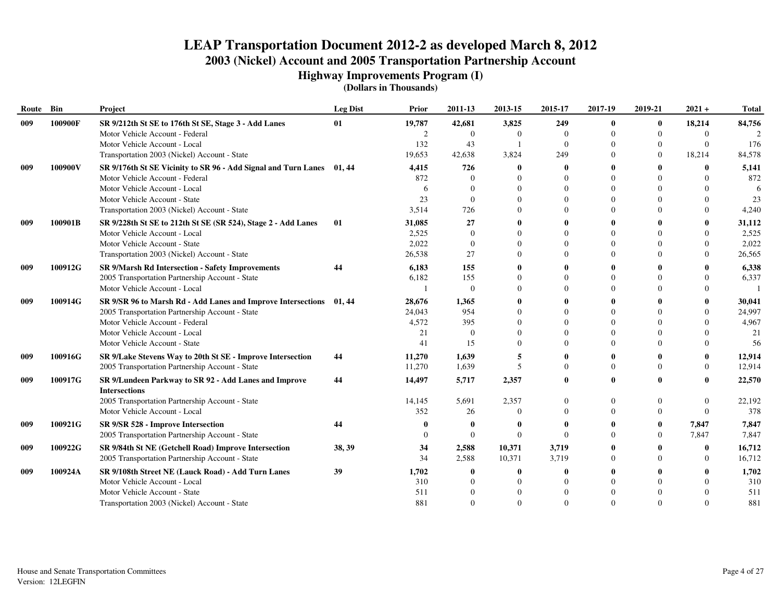**Highway Improvements Program (I)**

| Route | Bin     | Project                                                                       | <b>Leg Dist</b> | Prior          | 2011-13        | 2013-15          | 2015-17        | 2017-19     | 2019-21  | $2021 +$      | <b>Total</b>     |
|-------|---------|-------------------------------------------------------------------------------|-----------------|----------------|----------------|------------------|----------------|-------------|----------|---------------|------------------|
| 009   | 100900F | SR 9/212th St SE to 176th St SE, Stage 3 - Add Lanes                          | 01              | 19,787         | 42,681         | 3,825            | 249            | $\mathbf 0$ | $\bf{0}$ | 18,214        | 84,756           |
|       |         | Motor Vehicle Account - Federal                                               |                 | $\overline{c}$ | $\Omega$       | $\Omega$         | $\mathbf{0}$   | $\Omega$    | $\Omega$ | $\Omega$      |                  |
|       |         | Motor Vehicle Account - Local                                                 |                 | 132            | 43             |                  | $\mathbf{0}$   | $\Omega$    |          | $\mathbf{0}$  | 176              |
|       |         | Transportation 2003 (Nickel) Account - State                                  |                 | 19,653         | 42,638         | 3,824            | 249            | $\Omega$    | $\Omega$ | 18,214        | 84,578           |
| 009   | 100900V | SR 9/176th St SE Vicinity to SR 96 - Add Signal and Turn Lanes 01, 44         |                 | 4,415          | 726            |                  | 0              |             |          | 0             | 5,141            |
|       |         | Motor Vehicle Account - Federal                                               |                 | 872            | $\Omega$       |                  | $\Omega$       | $\Omega$    |          | $\Omega$      | 872              |
|       |         | Motor Vehicle Account - Local                                                 |                 | 6              | $\Omega$       |                  | $\Omega$       | $\Omega$    |          | $\Omega$      | 6                |
|       |         | Motor Vehicle Account - State                                                 |                 | 23             | $\Omega$       |                  | $\Omega$       |             |          | $\Omega$      | 23               |
|       |         | Transportation 2003 (Nickel) Account - State                                  |                 | 3,514          | 726            |                  | $\Omega$       | $\Omega$    |          | $\Omega$      | 4,240            |
| 009   | 100901B | SR 9/228th St SE to 212th St SE (SR 524), Stage 2 - Add Lanes                 | 01              | 31,085         | 27             |                  | 0              |             |          | 0             | 31,112           |
|       |         | Motor Vehicle Account - Local                                                 |                 | 2,525          | $\Omega$       |                  | $\Omega$       | $\Omega$    |          | $\Omega$      | 2,525            |
|       |         | Motor Vehicle Account - State                                                 |                 | 2,022          | $\theta$       |                  | $\theta$       | $\theta$    |          | $\Omega$      | 2,022            |
|       |         | Transportation 2003 (Nickel) Account - State                                  |                 | 26,538         | 27             |                  | $\Omega$       | $\Omega$    |          | $\Omega$      | 26,565           |
| 009   | 100912G | SR 9/Marsh Rd Intersection - Safety Improvements                              | 44              | 6,183          | 155            |                  | 0              |             |          |               | 6,338            |
|       |         | 2005 Transportation Partnership Account - State                               |                 | 6,182          | 155            |                  | $\Omega$       | $\Omega$    |          | $\Omega$      | 6,337            |
|       |         | Motor Vehicle Account - Local                                                 |                 |                | $\Omega$       |                  | $\Omega$       | $\Omega$    |          | $\Omega$      |                  |
| 009   | 100914G | SR 9/SR 96 to Marsh Rd - Add Lanes and Improve Intersections 01, 44           |                 | 28,676         | 1,365          |                  | 0              |             |          | $\mathbf{0}$  | 30,041           |
|       |         | 2005 Transportation Partnership Account - State                               |                 | 24,043         | 954            |                  | $\Omega$       | $\Omega$    |          | $\Omega$      | 24,997           |
|       |         | Motor Vehicle Account - Federal                                               |                 | 4,572          | 395            |                  | $\Omega$       | $\Omega$    |          | $\Omega$      | 4,967            |
|       |         | Motor Vehicle Account - Local                                                 |                 | 21             | $\Omega$       |                  | $\Omega$       | $\Omega$    |          |               | 21               |
|       |         | Motor Vehicle Account - State                                                 |                 | 41             | 15             |                  | $\Omega$       | $\Omega$    |          | $\Omega$      | 56               |
| 009   | 100916G | SR 9/Lake Stevens Way to 20th St SE - Improve Intersection                    | 44              | 11,270         | 1,639          |                  | 0              |             |          | $\mathbf{0}$  | 12,914           |
|       |         | 2005 Transportation Partnership Account - State                               |                 | 11,270         | 1,639          |                  | $\Omega$       | $\Omega$    |          | $\Omega$      | 12,914           |
| 009   | 100917G | SR 9/Lundeen Parkway to SR 92 - Add Lanes and Improve<br><b>Intersections</b> | 44              | 14,497         | 5,717          | 2,357            | 0              | $\theta$    |          | 0             | 22,570           |
|       |         | 2005 Transportation Partnership Account - State                               |                 | 14,145         | 5,691          | 2,357            | $\Omega$       | $\theta$    |          | $\mathbf{0}$  | 22,192           |
|       |         | Motor Vehicle Account - Local                                                 |                 | 352            | 26             | $\Omega$         | $\Omega$       | $\Omega$    |          | $\Omega$      | 378              |
| 009   | 100921G | SR 9/SR 528 - Improve Intersection                                            | 44              |                | -0             |                  | 0              |             | $\bf{0}$ | 7,847         | 7,847            |
|       |         | 2005 Transportation Partnership Account - State                               |                 | 0              | $\Omega$       | $\Omega$         | $\Omega$       | $\Omega$    | $\Omega$ | 7,847         | 7,847            |
|       |         |                                                                               |                 |                |                |                  |                |             |          |               |                  |
| 009   | 100922G | SR 9/84th St NE (Getchell Road) Improve Intersection                          | 38, 39          | 34<br>34       | 2,588<br>2,588 | 10,371<br>10,371 | 3,719<br>3,719 | $\Omega$    |          | 0<br>$\Omega$ | 16,712<br>16,712 |
|       |         | 2005 Transportation Partnership Account - State                               |                 |                |                |                  |                |             |          |               |                  |
| 009   | 100924A | SR 9/108th Street NE (Lauck Road) - Add Turn Lanes                            | 39              | 1,702          | -0             |                  | 0              |             |          | $\mathbf{0}$  | 1,702            |
|       |         | Motor Vehicle Account - Local                                                 |                 | 310            | $\Omega$       |                  | $\Omega$       |             |          | $\Omega$      | 310              |
|       |         | Motor Vehicle Account - State                                                 |                 | 511            | $\Omega$       |                  | $\Omega$       |             |          | $\Omega$      | 511              |
|       |         | Transportation 2003 (Nickel) Account - State                                  |                 | 881            | $\Omega$       | $\Omega$         | $\Omega$       | $\Omega$    |          | $\Omega$      | 881              |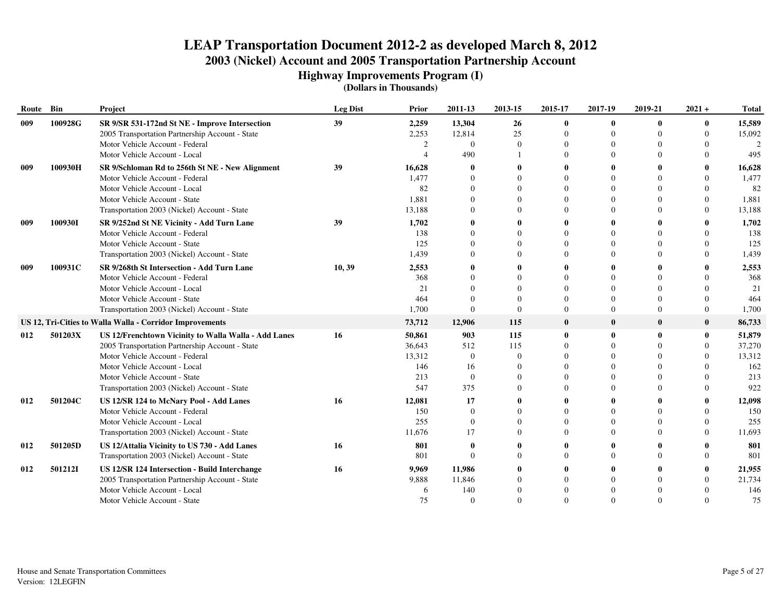**Highway Improvements Program (I)**

| Route | Bin     | Project                                                  | <b>Leg Dist</b> | Prior  | 2011-13      | 2013-15  | 2015-17        | 2017-19      | 2019-21      | $2021 +$       | <b>Total</b>  |
|-------|---------|----------------------------------------------------------|-----------------|--------|--------------|----------|----------------|--------------|--------------|----------------|---------------|
| 009   | 100928G | SR 9/SR 531-172nd St NE - Improve Intersection           | 39              | 2,259  | 13,304       | 26       | $\mathbf{0}$   | $\mathbf{0}$ | $\mathbf{0}$ | $\bf{0}$       | 15,589        |
|       |         | 2005 Transportation Partnership Account - State          |                 | 2,253  | 12,814       | 25       | $\overline{0}$ | $\Omega$     | $\Omega$     | $\overline{0}$ | 15,092        |
|       |         | Motor Vehicle Account - Federal                          |                 | 2      | $\Omega$     | $\Omega$ | $\Omega$       | $\Omega$     |              | $\Omega$       | $\mathcal{L}$ |
|       |         | Motor Vehicle Account - Local                            |                 |        | 490          |          | 0              | $\Omega$     | $\Omega$     | 0              | 495           |
| 009   | 100930H | SR 9/Schloman Rd to 256th St NE - New Alignment          | 39              | 16,628 | -0           |          |                | -0           |              |                | 16,628        |
|       |         | Motor Vehicle Account - Federal                          |                 | 1,477  | $\Omega$     |          |                | $\Omega$     |              |                | 1,477         |
|       |         | Motor Vehicle Account - Local                            |                 | 82     | $\theta$     |          | $\theta$       | $\theta$     |              | $\Omega$       | 82            |
|       |         | Motor Vehicle Account - State                            |                 | 1,881  | $\theta$     |          | $\theta$       | $\theta$     |              | $\theta$       | 1,881         |
|       |         | Transportation 2003 (Nickel) Account - State             |                 | 13,188 | $\Omega$     |          | $\Omega$       | $\Omega$     |              | $\Omega$       | 13,188        |
| 009   | 100930I | SR 9/252nd St NE Vicinity - Add Turn Lane                | 39              | 1,702  | $\mathbf 0$  |          | 0              | 0            |              | 0              | 1,702         |
|       |         | Motor Vehicle Account - Federal                          |                 | 138    | $\Omega$     |          | 0              | $\Omega$     |              | $\Omega$       | 138           |
|       |         | Motor Vehicle Account - State                            |                 | 125    | $\Omega$     |          | 0              | $\Omega$     |              | 0              | 125           |
|       |         | Transportation 2003 (Nickel) Account - State             |                 | 1,439  | $\Omega$     |          |                | $\Omega$     |              |                | 1,439         |
| 009   | 100931C | SR 9/268th St Intersection - Add Turn Lane               | 10, 39          | 2,553  | 0            |          |                | 0            |              |                | 2,553         |
|       |         | Motor Vehicle Account - Federal                          |                 | 368    | $\Omega$     |          | $\Omega$       | $\Omega$     |              |                | 368           |
|       |         | Motor Vehicle Account - Local                            |                 | 21     | $\Omega$     |          | $\Omega$       | $\Omega$     |              | $\Omega$       | 21            |
|       |         | Motor Vehicle Account - State                            |                 | 464    | $\Omega$     | $\Omega$ | 0              | $\Omega$     | $\Omega$     | $\Omega$       | 464           |
|       |         | Transportation 2003 (Nickel) Account - State             |                 | 1,700  | $\Omega$     | $\Omega$ | $\Omega$       | $\Omega$     | $\Omega$     | $\Omega$       | 1,700         |
|       |         | US 12, Tri-Cities to Walla Walla - Corridor Improvements |                 | 73,712 | 12,906       | 115      | $\bf{0}$       | $\bf{0}$     | $\bf{0}$     | $\bf{0}$       | 86,733        |
| 012   | 501203X | US 12/Frenchtown Vicinity to Walla Walla - Add Lanes     | 16              | 50,861 | 903          | 115      | 0              | $\mathbf{0}$ | $\mathbf{0}$ | 0              | 51,879        |
|       |         | 2005 Transportation Partnership Account - State          |                 | 36,643 | 512          | 115      | 0              | $\Omega$     |              | $\Omega$       | 37,270        |
|       |         | Motor Vehicle Account - Federal                          |                 | 13,312 | $\mathbf{0}$ | $\theta$ |                | $\theta$     |              | $\theta$       | 13,312        |
|       |         | Motor Vehicle Account - Local                            |                 | 146    | 16           |          |                | $\Omega$     |              | $\Omega$       | 162           |
|       |         | Motor Vehicle Account - State                            |                 | 213    | $\Omega$     |          | $\Omega$       | $\Omega$     |              | $\Omega$       | 213           |
|       |         | Transportation 2003 (Nickel) Account - State             |                 | 547    | 375          |          |                | $\Omega$     |              | $\Omega$       | 922           |
| 012   | 501204C | US 12/SR 124 to McNary Pool - Add Lanes                  | 16              | 12,081 | 17           |          |                | 0            |              | 0              | 12,098        |
|       |         | Motor Vehicle Account - Federal                          |                 | 150    | $\theta$     |          |                | $\Omega$     |              | 0              | 150           |
|       |         | Motor Vehicle Account - Local                            |                 | 255    | $\mathbf{0}$ |          |                | $\Omega$     |              | $\Omega$       | 255           |
|       |         | Transportation 2003 (Nickel) Account - State             |                 | 11,676 | 17           |          |                | $\Omega$     |              | $\Omega$       | 11,693        |
| 012   | 501205D | US 12/Attalia Vicinity to US 730 - Add Lanes             | 16              | 801    | $\mathbf 0$  |          |                | -0           |              |                | 801           |
|       |         | Transportation 2003 (Nickel) Account - State             |                 | 801    | $\Omega$     |          | $\Omega$       | $\Omega$     | $\Omega$     | $\Omega$       | 801           |
| 012   | 5012121 | <b>US 12/SR 124 Intersection - Build Interchange</b>     | 16              | 9,969  | 11,986       |          |                |              |              | 0              | 21,955        |
|       |         | 2005 Transportation Partnership Account - State          |                 | 9,888  | 11,846       |          | 0              | $\Omega$     |              | $\Omega$       | 21,734        |
|       |         | Motor Vehicle Account - Local                            |                 | 6      | 140          |          |                | $\Omega$     |              |                | 146           |
|       |         | Motor Vehicle Account - State                            |                 | 75     | $\theta$     |          |                | $\Omega$     |              | $\Omega$       | 75            |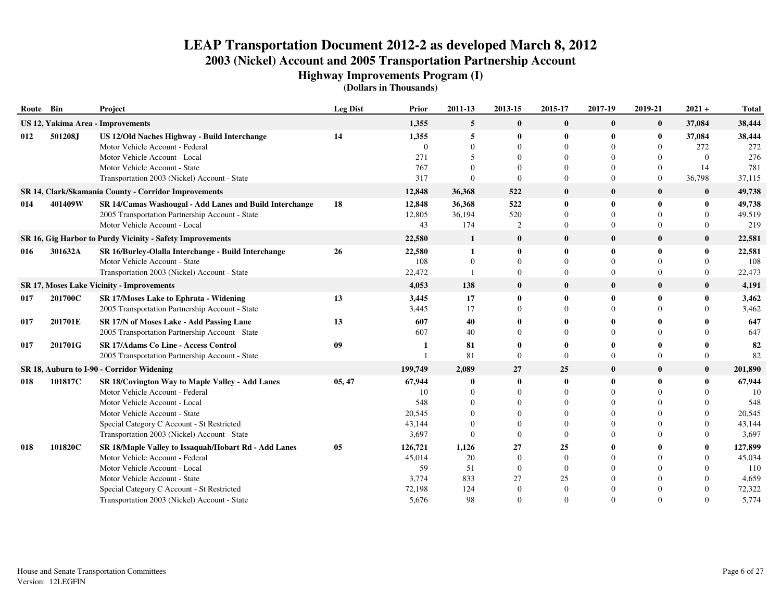**Highway Improvements Program (I)**

| Route Bin |         | Project                                                                                    | <b>Leg Dist</b> | Prior             | 2011-13       | 2013-15              | 2015-17                    | 2017-19                  | 2019-21                  | $2021 +$                 | <b>Total</b>      |
|-----------|---------|--------------------------------------------------------------------------------------------|-----------------|-------------------|---------------|----------------------|----------------------------|--------------------------|--------------------------|--------------------------|-------------------|
|           |         | US 12, Yakima Area - Improvements                                                          |                 | 1,355             | 5             | $\bf{0}$             | $\bf{0}$                   | $\bf{0}$                 | $\bf{0}$                 | 37,084                   | 38,444            |
| 012       | 501208J | US 12/Old Naches Highway - Build Interchange<br>Motor Vehicle Account - Federal            | 14              | 1,355<br>$\Omega$ | 5<br>$\Omega$ | 0<br>$\Omega$        | $\bf{0}$<br>$\Omega$       | $\mathbf{0}$<br>$\Omega$ | $\bf{0}$<br>$\Omega$     | 37,084<br>272            | 38,444<br>272     |
|           |         | Motor Vehicle Account - Local                                                              |                 | 271               | 5             |                      | 0                          | $\Omega$                 | $\left($                 | $\Omega$                 | 276               |
|           |         | Motor Vehicle Account - State                                                              |                 | 767               |               | 0                    | 0                          | $\Omega$                 | $\mathbf{0}$             | 14                       | 781               |
|           |         | Transportation 2003 (Nickel) Account - State                                               |                 | 317               | $\Omega$      | $\Omega$             | $\overline{0}$             | $\Omega$                 | $\overline{0}$           | 36,798                   | 37,115            |
|           |         | SR 14, Clark/Skamania County - Corridor Improvements                                       |                 | 12,848            | 36,368        | 522                  | $\bf{0}$                   | $\mathbf 0$              | $\bf{0}$                 | $\bf{0}$                 | 49,738            |
| 014       | 401409W | SR 14/Camas Washougal - Add Lanes and Build Interchange                                    | 18              | 12,848            | 36,368        | 522                  | $\bf{0}$                   | $\mathbf 0$              | $\bf{0}$                 | 0                        | 49,738            |
|           |         | 2005 Transportation Partnership Account - State<br>Motor Vehicle Account - Local           |                 | 12,805<br>43      | 36,194<br>174 | 520<br>2             | $\Omega$<br>$\overline{0}$ | $\Omega$<br>$\theta$     | $\Omega$<br>$\mathbf{0}$ | $\Omega$<br>$\mathbf{0}$ | 49,519<br>219     |
|           |         | SR 16, Gig Harbor to Purdy Vicinity - Safety Improvements                                  |                 | 22,580            | 1             | $\bf{0}$             | $\bf{0}$                   | $\mathbf{0}$             | $\bf{0}$                 | $\bf{0}$                 | 22,581            |
| 016       | 301632A | SR 16/Burley-Olalla Interchange - Build Interchange                                        | 26              | 22,580            | $\mathbf{1}$  | $\bf{0}$             | 0                          | $\mathbf{0}$             | $\bf{0}$                 | 0                        | 22,581            |
|           |         | Motor Vehicle Account - State                                                              |                 | 108               | $\Omega$      | $\Omega$             | 0                          | $\Omega$                 | $\Omega$                 | $\Omega$                 | 108               |
|           |         | Transportation 2003 (Nickel) Account - State                                               |                 | 22,472            |               | $\Omega$             | 0                          | $\Omega$                 | $\Omega$                 | $\Omega$                 | 22,473            |
|           |         | <b>SR 17, Moses Lake Vicinity - Improvements</b>                                           |                 | 4,053             | 138           | $\bf{0}$             | $\bf{0}$                   | $\mathbf{0}$             | $\bf{0}$                 | $\bf{0}$                 | 4,191             |
| 017       | 201700C | <b>SR 17/Moses Lake to Ephrata - Widening</b>                                              | 13              | 3,445             | 17            | $\bf{0}$             | $\mathbf{0}$               | $\theta$                 | $\bf{0}$                 | $\mathbf{0}$             | 3,462             |
|           |         | 2005 Transportation Partnership Account - State                                            |                 | 3,445             | 17            | $\Omega$             | $\Omega$                   | $\Omega$                 | $\Omega$                 | $\Omega$                 | 3,462             |
| 017       | 201701E | SR 17/N of Moses Lake - Add Passing Lane                                                   | 13              | 607               | 40            |                      |                            | $\mathbf{0}$             |                          |                          | 647               |
|           |         | 2005 Transportation Partnership Account - State                                            |                 | 607               | 40            |                      |                            | $\Omega$                 |                          | $\Omega$                 | 647               |
| 017       | 201701G | <b>SR 17/Adams Co Line - Access Control</b>                                                | 09              |                   | 81            |                      |                            |                          |                          | 0                        | 82                |
|           |         | 2005 Transportation Partnership Account - State                                            |                 |                   | 81            | $\Omega$             | $\Omega$                   | $\Omega$                 | $\Omega$                 | $\Omega$                 | 82                |
|           |         | SR 18, Auburn to I-90 - Corridor Widening                                                  |                 | 199,749           | 2,089         | 27                   | 25                         | $\bf{0}$                 | $\bf{0}$                 | $\bf{0}$                 | 201,890           |
| 018       | 101817C | SR 18/Covington Way to Maple Valley - Add Lanes                                            | 05, 47          | 67,944            |               | 0                    | 0                          |                          | $\mathbf{0}$             | 0                        | 67,944            |
|           |         | Motor Vehicle Account - Federal                                                            |                 | 10                | $\Omega$      | $\Omega$             | $\Omega$                   | $\Omega$                 | $\Omega$                 | $\Omega$                 | 10                |
|           |         | Motor Vehicle Account - Local                                                              |                 | 548               |               | $\Omega$             | 0                          | $\Omega$                 | $\Omega$                 | $\Omega$                 | 548               |
|           |         | Motor Vehicle Account - State                                                              |                 | 20,545            |               | $\Omega$             | 0                          | $\Omega$                 |                          | $\Omega$                 | 20,545            |
|           |         | Special Category C Account - St Restricted<br>Transportation 2003 (Nickel) Account - State |                 | 43,144<br>3,697   |               | $\Omega$<br>$\Omega$ | 0                          | $\Omega$<br>$\Omega$     |                          | $\Omega$<br>$\Omega$     | 43,144<br>3,697   |
|           |         |                                                                                            |                 |                   |               |                      |                            |                          |                          |                          |                   |
| 018       | 101820C | SR 18/Maple Valley to Issaquah/Hobart Rd - Add Lanes<br>Motor Vehicle Account - Federal    | 05              | 126,721<br>45,014 | 1,126<br>20   | 27<br>$\Omega$       | 25<br>$\Omega$             | $\Omega$                 |                          | 0<br>$\Omega$            | 127,899<br>45,034 |
|           |         | Motor Vehicle Account - Local                                                              |                 | 59                | 51            | $\theta$             | $\Omega$                   | $\Omega$                 |                          | $\Omega$                 | 110               |
|           |         | Motor Vehicle Account - State                                                              |                 | 3,774             | 833           | 27                   | 25                         | $\Omega$                 |                          | $\Omega$                 | 4,659             |
|           |         | Special Category C Account - St Restricted                                                 |                 | 72,198            | 124           | $\Omega$             | $\Omega$                   | $\Omega$                 |                          | $\Omega$                 | 72,322            |
|           |         | Transportation 2003 (Nickel) Account - State                                               |                 | 5,676             | 98            | $\Omega$             | 0                          | $\Omega$                 | $\Omega$                 | $\Omega$                 | 5,774             |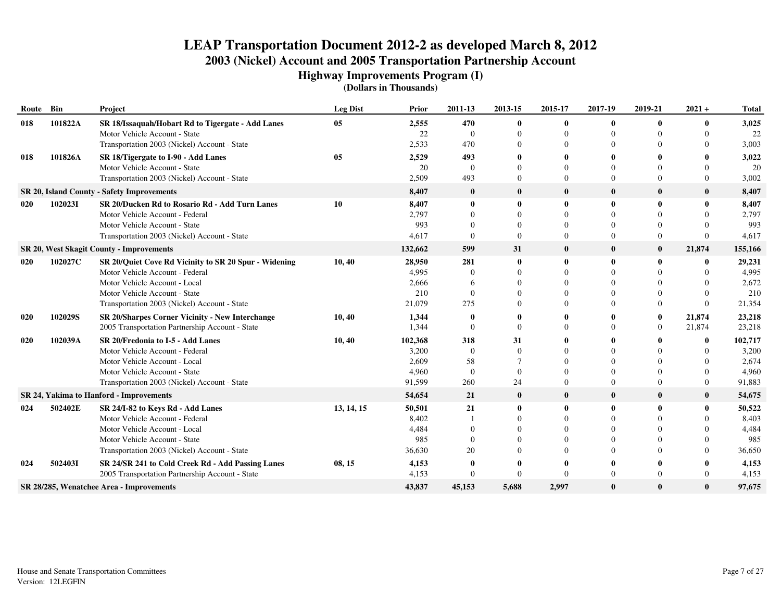**Highway Improvements Program (I)**

| Route Bin |         | Project                                                | <b>Leg Dist</b> | Prior   | 2011-13        | 2013-15        | 2015-17  | 2017-19      | 2019-21      | $2021 +$ | <b>Total</b> |
|-----------|---------|--------------------------------------------------------|-----------------|---------|----------------|----------------|----------|--------------|--------------|----------|--------------|
| 018       | 101822A | SR 18/Issaquah/Hobart Rd to Tigergate - Add Lanes      | 05              | 2,555   | 470            | 0              | 0        | $\bf{0}$     | $\mathbf{0}$ | 0        | 3,025        |
|           |         | Motor Vehicle Account - State                          |                 | 22      | $\overline{0}$ | $\Omega$       | 0        | $\Omega$     |              | 0        | 22           |
|           |         | Transportation 2003 (Nickel) Account - State           |                 | 2,533   | 470            | $\Omega$       | 0        | $\Omega$     |              | 0        | 3,003        |
| 018       | 101826A | SR 18/Tigergate to I-90 - Add Lanes                    | 05              | 2,529   | 493            |                |          | $\mathbf{0}$ |              |          | 3,022        |
|           |         | Motor Vehicle Account - State                          |                 | 20      | $\Omega$       | $\Omega$       |          | $\Omega$     |              | 0        | 20           |
|           |         | Transportation 2003 (Nickel) Account - State           |                 | 2,509   | 493            | $\Omega$       | 0        | $\Omega$     | $\Omega$     | $\Omega$ | 3,002        |
|           |         | SR 20, Island County - Safety Improvements             |                 | 8,407   | $\mathbf{0}$   | $\bf{0}$       | $\bf{0}$ | $\bf{0}$     | $\bf{0}$     | $\bf{0}$ | 8,407        |
| 020       | 1020231 | SR 20/Ducken Rd to Rosario Rd - Add Turn Lanes         | 10              | 8,407   | $\mathbf 0$    | 0              | 0        | $\mathbf 0$  | $\bf{0}$     | 0        | 8,407        |
|           |         | Motor Vehicle Account - Federal                        |                 | 2,797   | $\Omega$       | $\Omega$       | 0        | $\Omega$     | $\Omega$     | 0        | 2,797        |
|           |         | Motor Vehicle Account - State                          |                 | 993     |                | $\Omega$       | 0        | $\Omega$     | $\Omega$     |          | 993          |
|           |         | Transportation 2003 (Nickel) Account - State           |                 | 4.617   | $\Omega$       | $\theta$       | $\Omega$ | $\Omega$     | $\theta$     | 0        | 4,617        |
|           |         | SR 20, West Skagit County - Improvements               |                 | 132,662 | 599            | 31             | $\bf{0}$ | $\bf{0}$     | $\bf{0}$     | 21,874   | 155,166      |
| 020       | 102027C | SR 20/Quiet Cove Rd Vicinity to SR 20 Spur - Widening  | 10, 40          | 28,950  | 281            | $\mathbf{0}$   | 0        | $\mathbf{0}$ | $\mathbf{0}$ | 0        | 29,231       |
|           |         | Motor Vehicle Account - Federal                        |                 | 4,995   |                | $\Omega$       | 0        | $\Omega$     |              | 0        | 4,995        |
|           |         | Motor Vehicle Account - Local                          |                 | 2.666   |                | $\Omega$       | 0        | $\Omega$     |              |          | 2,672        |
|           |         | Motor Vehicle Account - State                          |                 | 210     | $\Omega$       | $\Omega$       |          | $\Omega$     |              |          | 210          |
|           |         | Transportation 2003 (Nickel) Account - State           |                 | 21,079  | 275            |                |          | $\Omega$     | $\Omega$     | $\Omega$ | 21,354       |
| 020       | 102029S | <b>SR 20/Sharpes Corner Vicinity - New Interchange</b> | 10,40           | 1,344   | 0              |                |          | -0           | 0            | 21,874   | 23,218       |
|           |         | 2005 Transportation Partnership Account - State        |                 | 1,344   | $\Omega$       | $\overline{0}$ | 0        | $\Omega$     | 0            | 21,874   | 23,218       |
| 020       | 102039A | SR 20/Fredonia to I-5 - Add Lanes                      | 10,40           | 102,368 | 318            | 31             |          | $\mathbf{0}$ |              | 0        | 102,717      |
|           |         | Motor Vehicle Account - Federal                        |                 | 3,200   | $\Omega$       | $\Omega$       |          | $\Omega$     |              | 0        | 3,200        |
|           |         | Motor Vehicle Account - Local                          |                 | 2,609   | 58             |                |          | $\Omega$     |              |          | 2,674        |
|           |         | Motor Vehicle Account - State                          |                 | 4,960   | $\Omega$       | $\Omega$       | 0        | $\Omega$     | $\Omega$     | 0        | 4,960        |
|           |         | Transportation 2003 (Nickel) Account - State           |                 | 91,599  | 260            | 24             | 0        | $\Omega$     | $\Omega$     | $\Omega$ | 91,883       |
|           |         | SR 24, Yakima to Hanford - Improvements                |                 | 54,654  | 21             | $\bf{0}$       | $\bf{0}$ | $\mathbf{0}$ | $\bf{0}$     | $\bf{0}$ | 54,675       |
| 024       | 502402E | SR 24/I-82 to Keys Rd - Add Lanes                      | 13, 14, 15      | 50,501  | 21             | $\mathbf{0}$   | 0        | $\mathbf{0}$ | $\mathbf{0}$ | 0        | 50,522       |
|           |         | Motor Vehicle Account - Federal                        |                 | 8,402   |                | $\Omega$       | 0        | $\Omega$     |              | 0        | 8,403        |
|           |         | Motor Vehicle Account - Local                          |                 | 4,484   |                |                |          | $\Omega$     |              |          | 4,484        |
|           |         | Motor Vehicle Account - State                          |                 | 985     | $\Omega$       |                |          | $\Omega$     |              |          | 985          |
|           |         | Transportation 2003 (Nickel) Account - State           |                 | 36,630  | 20             |                |          | $\Omega$     |              | 0        | 36,650       |
| 024       | 502403I | SR 24/SR 241 to Cold Creek Rd - Add Passing Lanes      | 08, 15          | 4,153   | 0              |                |          | -0           |              |          | 4,153        |
|           |         | 2005 Transportation Partnership Account - State        |                 | 4,153   | $\Omega$       | $\Omega$       | 0        | $\Omega$     | $\Omega$     | $\Omega$ | 4,153        |
|           |         | SR 28/285, Wenatchee Area - Improvements               |                 | 43,837  | 45,153         | 5,688          | 2,997    | $\mathbf{0}$ | $\mathbf{0}$ | 0        | 97,675       |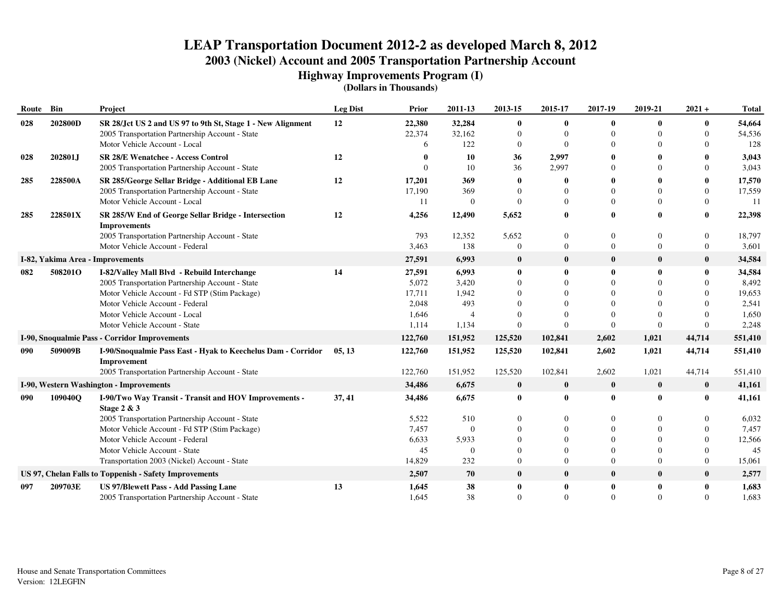**Highway Improvements Program (I)**

| Route | Bin     | Project                                                                                                        | <b>Leg Dist</b> | Prior            | 2011-13          | 2013-15                  | 2015-17                      | 2017-19                  | 2019-21              | $2021 +$                 | <b>Total</b>     |
|-------|---------|----------------------------------------------------------------------------------------------------------------|-----------------|------------------|------------------|--------------------------|------------------------------|--------------------------|----------------------|--------------------------|------------------|
| 028   | 202800D | SR 28/Jct US 2 and US 97 to 9th St, Stage 1 - New Alignment<br>2005 Transportation Partnership Account - State | 12              | 22,380<br>22,374 | 32,284<br>32,162 | $\bf{0}$<br>$\Omega$     | $\mathbf{0}$<br>$\mathbf{0}$ | $\mathbf{0}$<br>$\Omega$ | $\bf{0}$             | $\bf{0}$<br>$\Omega$     | 54,664<br>54,536 |
|       |         | Motor Vehicle Account - Local                                                                                  |                 | 6                | 122              | $\Omega$                 | $\Omega$                     | $\Omega$                 |                      | $\Omega$                 | 128              |
| 028   | 202801J | <b>SR 28/E Wenatchee - Access Control</b>                                                                      | 12              |                  | 10               | 36                       | 2,997                        | 0                        |                      | 0                        | 3,043            |
|       |         | 2005 Transportation Partnership Account - State                                                                |                 |                  | 10               | 36                       | 2,997                        | $\Omega$                 |                      | $\Omega$                 | 3,043            |
| 285   | 228500A | SR 285/George Sellar Bridge - Additional EB Lane                                                               | 12              | 17,201           | 369              | $\mathbf{0}$             | 0                            | 0                        |                      | 0                        | 17,570           |
|       |         | 2005 Transportation Partnership Account - State                                                                |                 | 17,190           | 369              | $\Omega$                 | $\Omega$                     | $\Omega$                 |                      | $\Omega$                 | 17,559           |
|       |         | Motor Vehicle Account - Local                                                                                  |                 | 11               | $\Omega$         | $\Omega$                 | $\Omega$                     | $\Omega$                 |                      | $\Omega$                 | 11               |
| 285   | 228501X | SR 285/W End of George Sellar Bridge - Intersection<br><b>Improvements</b>                                     | 12              | 4,256            | 12,490           | 5,652                    | 0                            | $\mathbf 0$              |                      | $\mathbf{0}$             | 22,398           |
|       |         | 2005 Transportation Partnership Account - State                                                                |                 | 793              | 12,352           | 5,652                    | $\Omega$                     | $\theta$                 | $\Omega$             | $\Omega$                 | 18,797           |
|       |         | Motor Vehicle Account - Federal                                                                                |                 | 3,463            | 138              | $\Omega$                 | $\mathbf{0}$                 | $\Omega$                 | $\Omega$             | $\Omega$                 | 3,601            |
|       |         | I-82, Yakima Area - Improvements                                                                               |                 | 27,591           | 6,993            | $\bf{0}$                 | $\bf{0}$                     | $\bf{0}$                 | $\bf{0}$             | $\bf{0}$                 | 34,584           |
| 082   | 508201O | I-82/Valley Mall Blvd - Rebuild Interchange                                                                    | 14              | 27,591           | 6,993            | $\bf{0}$                 | 0                            | 0                        | $\bf{0}$             | 0                        | 34,584           |
|       |         | 2005 Transportation Partnership Account - State                                                                |                 | 5,072            | 3,420            | $\Omega$                 | $\Omega$                     | $\Omega$                 |                      | $\Omega$                 | 8,492            |
|       |         | Motor Vehicle Account - Fd STP (Stim Package)<br>Motor Vehicle Account - Federal                               |                 | 17,711<br>2,048  | 1,942<br>493     |                          | $\Omega$<br>$\Omega$         | $\Omega$<br>$\Omega$     |                      | $\Omega$<br>$\Omega$     | 19,653           |
|       |         | Motor Vehicle Account - Local                                                                                  |                 | 1,646            |                  |                          |                              | $\Omega$                 |                      | $\Omega$                 | 2,541<br>1,650   |
|       |         | Motor Vehicle Account - State                                                                                  |                 | 1,114            | 1,134            | $\theta$                 | $\Omega$                     | $\Omega$                 | $\Omega$             | $\Omega$                 | 2,248            |
|       |         | I-90, Snoqualmie Pass - Corridor Improvements                                                                  |                 | 122,760          | 151,952          | 125,520                  | 102,841                      | 2,602                    | 1,021                | 44,714                   | 551,410          |
| 090   | 509009B | I-90/Snoqualmie Pass East - Hyak to Keechelus Dam - Corridor                                                   | 05, 13          | 122,760          | 151,952          | 125,520                  | 102,841                      | 2,602                    | 1,021                | 44,714                   | 551,410          |
|       |         | Improvement                                                                                                    |                 |                  |                  |                          |                              |                          |                      |                          |                  |
|       |         | 2005 Transportation Partnership Account - State                                                                |                 | 122,760          | 151,952          | 125,520                  | 102,841                      | 2,602                    | 1,021                | 44,714                   | 551,410          |
|       |         | I-90, Western Washington - Improvements                                                                        |                 | 34,486           | 6,675            | $\bf{0}$                 | $\bf{0}$                     | $\bf{0}$                 | $\bf{0}$             | $\bf{0}$                 | 41,161           |
| 090   | 109040Q | I-90/Two Way Transit - Transit and HOV Improvements -<br>Stage 2 & 3                                           | 37, 41          | 34,486           | 6,675            | $\bf{0}$                 | $\bf{0}$                     | $\mathbf{0}$             | $\mathbf{0}$         | 0                        | 41,161           |
|       |         | 2005 Transportation Partnership Account - State                                                                |                 | 5,522            | 510              | $\Omega$                 | 0                            | $\Omega$                 |                      | $\Omega$                 | 6,032            |
|       |         | Motor Vehicle Account - Fd STP (Stim Package)                                                                  |                 | 7,457            | $\theta$         |                          | $\Omega$                     | $\Omega$                 |                      | $\Omega$                 | 7,457            |
|       |         | Motor Vehicle Account - Federal                                                                                |                 | 6,633            | 5,933            |                          | $\Omega$                     | $\Omega$                 |                      | $\Omega$                 | 12,566           |
|       |         | Motor Vehicle Account - State                                                                                  |                 | 45               | $\Omega$         | $\Omega$                 | $\Omega$                     | $\Omega$                 |                      | $\Omega$                 | 45               |
|       |         | Transportation 2003 (Nickel) Account - State                                                                   |                 | 14,829           | 232              | $\overline{0}$           | $\Omega$                     | $\Omega$                 | $\Omega$             | $\overline{0}$           | 15,061           |
|       |         | US 97, Chelan Falls to Toppenish - Safety Improvements                                                         |                 | 2,507            | 70               | $\bf{0}$                 | $\bf{0}$                     | $\bf{0}$                 | $\bf{0}$             | $\bf{0}$                 | 2,577            |
| 097   | 209703E | <b>US 97/Blewett Pass - Add Passing Lane</b><br>2005 Transportation Partnership Account - State                | 13              | 1,645<br>1,645   | 38<br>38         | $\bf{0}$<br>$\mathbf{0}$ | 0<br>$\Omega$                | $\bf{0}$<br>$\Omega$     | $\bf{0}$<br>$\Omega$ | $\mathbf{0}$<br>$\Omega$ | 1,683<br>1,683   |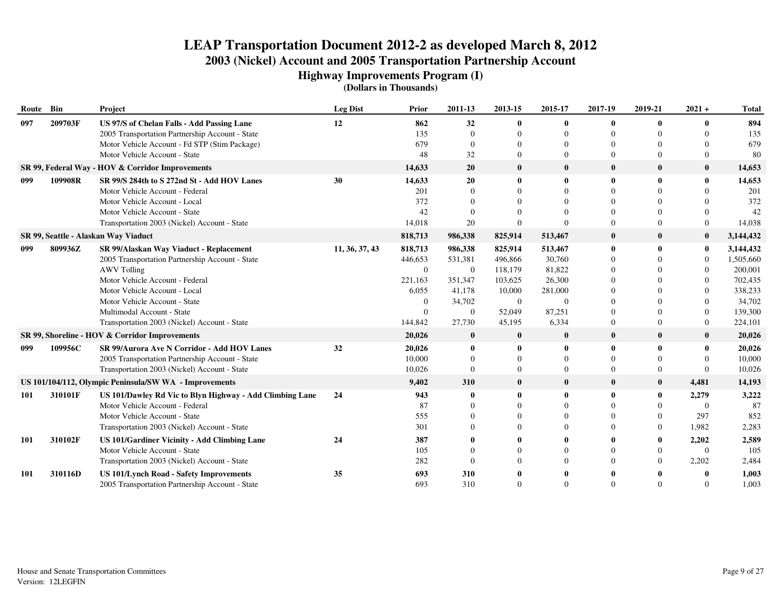**Highway Improvements Program (I)**

| Route Bin |         | Project                                                                        | <b>Leg Dist</b> | Prior          | 2011-13        | 2013-15        | 2015-17            | 2017-19              | 2019-21      | $2021 +$       | <b>Total</b>  |
|-----------|---------|--------------------------------------------------------------------------------|-----------------|----------------|----------------|----------------|--------------------|----------------------|--------------|----------------|---------------|
| 097       | 209703F | US 97/S of Chelan Falls - Add Passing Lane                                     | 12              | 862            | 32             | $\mathbf{0}$   | 0                  | $\mathbf{0}$         | $\mathbf{0}$ | 0              | 894           |
|           |         | 2005 Transportation Partnership Account - State                                |                 | 135            | $\Omega$       | $\Omega$       | 0                  | $\Omega$             |              | 0              | 135           |
|           |         | Motor Vehicle Account - Fd STP (Stim Package)<br>Motor Vehicle Account - State |                 | 679<br>48      | $\Omega$<br>32 | 0<br>$\Omega$  | $_{0}$<br>$\Omega$ | $\Omega$<br>$\Omega$ |              | 0<br>0         | 679<br>80     |
|           |         | SR 99, Federal Way - HOV & Corridor Improvements                               |                 | 14,633         | 20             | $\bf{0}$       | $\bf{0}$           | $\mathbf{0}$         | $\bf{0}$     | $\bf{0}$       | 14,653        |
|           | 109908R | SR 99/S 284th to S 272nd St - Add HOV Lanes                                    |                 |                |                | $\mathbf{0}$   | 0                  | $\mathbf{0}$         | $\mathbf{0}$ | 0              |               |
| 099       |         | Motor Vehicle Account - Federal                                                | 30              | 14,633<br>201  | 20<br>$\Omega$ |                | 0                  |                      |              | 0              | 14,653<br>201 |
|           |         | Motor Vehicle Account - Local                                                  |                 | 372            | $\Omega$       |                |                    | $\Omega$             |              |                | 372           |
|           |         | Motor Vehicle Account - State                                                  |                 | 42             | $\Omega$       | $\Omega$       |                    | $\Omega$             |              | $\Omega$       | 42            |
|           |         | Transportation 2003 (Nickel) Account - State                                   |                 | 14,018         | 20             | $\Omega$       |                    | $\Omega$             | $\Omega$     | $\Omega$       | 14,038        |
|           |         | SR 99, Seattle - Alaskan Way Viaduct                                           |                 | 818,713        | 986,338        | 825,914        | 513,467            | $\mathbf{0}$         | $\mathbf{0}$ | $\bf{0}$       | 3,144,432     |
| 099       | 809936Z | SR 99/Alaskan Way Viaduct - Replacement                                        | 11, 36, 37, 43  | 818,713        | 986,338        | 825,914        | 513,467            | $\mathbf{0}$         | $\mathbf{0}$ | $\bf{0}$       | 3,144,432     |
|           |         | 2005 Transportation Partnership Account - State                                |                 | 446,653        | 531,381        | 496,866        | 30,760             | $\Omega$             |              | $\Omega$       | 1,505,660     |
|           |         | <b>AWV Tolling</b>                                                             |                 | $\overline{0}$ | $\overline{0}$ | 118,179        | 81,822             | $\Omega$             |              | $\overline{0}$ | 200,001       |
|           |         | Motor Vehicle Account - Federal                                                |                 | 221,163        | 351,347        | 103,625        | 26,300             | $\Omega$             |              | $\overline{0}$ | 702,435       |
|           |         | Motor Vehicle Account - Local                                                  |                 | 6,055          | 41,178         | 10,000         | 281,000            | $\Omega$             |              | $\Omega$       | 338,233       |
|           |         | Motor Vehicle Account - State                                                  |                 | $\mathbf{0}$   | 34,702         | $\overline{0}$ | $\mathbf{0}$       | $\Omega$             |              | $\Omega$       | 34,702        |
|           |         | Multimodal Account - State                                                     |                 | $\Omega$       | $\Omega$       | 52,049         | 87,251             | $\Omega$             | $\Omega$     | $\Omega$       | 139,300       |
|           |         | Transportation 2003 (Nickel) Account - State                                   |                 | 144,842        | 27,730         | 45,195         | 6,334              | $\overline{0}$       | $\mathbf{0}$ | $\overline{0}$ | 224,101       |
|           |         | SR 99, Shoreline - HOV & Corridor Improvements                                 |                 | 20,026         | $\bf{0}$       | $\bf{0}$       | $\bf{0}$           | $\bf{0}$             | $\bf{0}$     | $\bf{0}$       | 20,026        |
| 099       | 109956C | SR 99/Aurora Ave N Corridor - Add HOV Lanes                                    | 32              | 20,026         | $\mathbf{0}$   | $\mathbf{0}$   | 0                  | $\mathbf 0$          | $\mathbf{0}$ | $\bf{0}$       | 20,026        |
|           |         | 2005 Transportation Partnership Account - State                                |                 | 10.000         | $\Omega$       | $\Omega$       | $\Omega$           | $\Omega$             | $\mathbf{0}$ | $\Omega$       | 10,000        |
|           |         | Transportation 2003 (Nickel) Account - State                                   |                 | 10,026         | $\Omega$       | $\Omega$       | $\Omega$           | $\Omega$             | $\mathbf{0}$ | $\Omega$       | 10,026        |
|           |         | US 101/104/112, Olympic Peninsula/SW WA - Improvements                         |                 | 9,402          | 310            | $\bf{0}$       | $\bf{0}$           | $\bf{0}$             | $\bf{0}$     | 4,481          | 14,193        |
| 101       | 310101F | US 101/Dawley Rd Vic to Blyn Highway - Add Climbing Lane                       | 24              | 943            | $\mathbf 0$    | $\mathbf{0}$   | 0                  | $\mathbf 0$          | $\bf{0}$     | 2,279          | 3,222         |
|           |         | Motor Vehicle Account - Federal                                                |                 | 87             |                | 0              |                    | $\Omega$             |              | $\Omega$       | 87            |
|           |         | Motor Vehicle Account - State                                                  |                 | 555            |                | $\Omega$       |                    | $\Omega$             | $\Omega$     | 297            | 852           |
|           |         | Transportation 2003 (Nickel) Account - State                                   |                 | 301            |                | 0              |                    | $\Omega$             | $\Omega$     | 1,982          | 2,283         |
| 101       | 310102F | US 101/Gardiner Vicinity - Add Climbing Lane                                   | 24              | 387            |                |                |                    | 0                    |              | 2,202          | 2,589         |
|           |         | Motor Vehicle Account - State                                                  |                 | 105            | $\Omega$       |                | 0                  | $\Omega$             | $\Omega$     | $\theta$       | 105           |
|           |         | Transportation 2003 (Nickel) Account - State                                   |                 | 282            | $\Omega$       | 0              | $\Omega$           | $\Omega$             | $\Omega$     | 2,202          | 2,484         |
| 101       | 310116D | <b>US 101/Lynch Road - Safety Improvements</b>                                 | 35              | 693            | 310            |                |                    |                      |              |                | 1,003         |
|           |         | 2005 Transportation Partnership Account - State                                |                 | 693            | 310            | $\Omega$       |                    | $\Omega$             |              | 0              | 1,003         |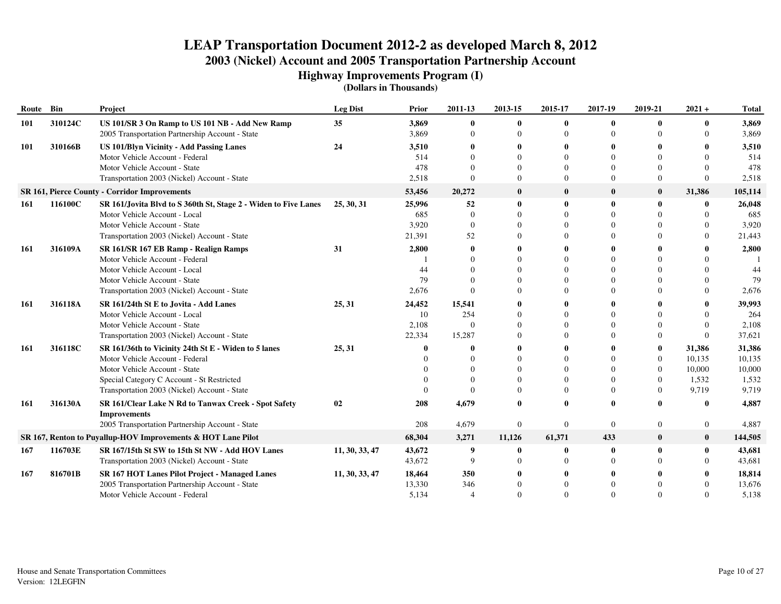**Highway Improvements Program (I)**

| Route | Bin     | Project                                                                                            | <b>Leg Dist</b> | Prior          | 2011-13                  | 2013-15                  | 2015-17                  | 2017-19       | 2019-21        | $2021 +$                 | <b>Total</b>   |
|-------|---------|----------------------------------------------------------------------------------------------------|-----------------|----------------|--------------------------|--------------------------|--------------------------|---------------|----------------|--------------------------|----------------|
| 101   | 310124C | US 101/SR 3 On Ramp to US 101 NB - Add New Ramp<br>2005 Transportation Partnership Account - State | 35 <sup>5</sup> | 3,869<br>3,869 | $\mathbf{0}$<br>$\Omega$ | $\mathbf{0}$<br>$\Omega$ | $\mathbf{0}$<br>$\Omega$ | 0<br>$\Omega$ |                | $\mathbf{0}$<br>$\Omega$ | 3,869<br>3,869 |
| 101   | 310166B | <b>US 101/Blyn Vicinity - Add Passing Lanes</b>                                                    | 24              | 3,510          |                          |                          | 0                        | 0             |                |                          | 3,510          |
|       |         | Motor Vehicle Account - Federal                                                                    |                 | 514            | $\Omega$                 |                          | $\Omega$                 | $\Omega$      |                |                          | 514            |
|       |         | Motor Vehicle Account - State                                                                      |                 | 478            | $\Omega$                 |                          | $\Omega$                 | $\Omega$      | $\Omega$       |                          | 478            |
|       |         | Transportation 2003 (Nickel) Account - State                                                       |                 | 2,518          | $\Omega$                 | $\Omega$                 | $\Omega$                 | $\Omega$      | $\Omega$       | $\Omega$                 | 2,518          |
|       |         | <b>SR 161, Pierce County - Corridor Improvements</b>                                               |                 | 53,456         | 20,272                   | $\bf{0}$                 | $\bf{0}$                 | $\mathbf{0}$  | $\bf{0}$       | 31,386                   | 105,114        |
| 161   | 116100C | SR 161/Jovita Blvd to S 360th St, Stage 2 - Widen to Five Lanes                                    | 25, 30, 31      | 25,996         | 52                       | $\mathbf{0}$             | $\mathbf{0}$             | 0             | $\mathbf 0$    |                          | 26,048         |
|       |         | Motor Vehicle Account - Local                                                                      |                 | 685            | $\Omega$                 |                          | $\Omega$                 |               |                |                          | 685            |
|       |         | Motor Vehicle Account - State                                                                      |                 | 3,920          | $\Omega$                 |                          | $\Omega$                 | 0             |                |                          | 3,920          |
|       |         | Transportation 2003 (Nickel) Account - State                                                       |                 | 21,391         | 52                       |                          | $\Omega$                 | $\Omega$      |                |                          | 21,443         |
| 161   | 316109A | SR 161/SR 167 EB Ramp - Realign Ramps                                                              | 31              | 2,800          | 0                        |                          | 0                        | 0             |                |                          | 2,800          |
|       |         | Motor Vehicle Account - Federal                                                                    |                 |                | $\Omega$                 |                          | $\Omega$                 |               |                |                          |                |
|       |         | Motor Vehicle Account - Local                                                                      |                 | 44             |                          |                          | $\Omega$                 |               |                |                          | 44             |
|       |         | Motor Vehicle Account - State                                                                      |                 | 79             | $\Omega$                 |                          | $\Omega$                 | $\Omega$      |                |                          | 79             |
|       |         | Transportation 2003 (Nickel) Account - State                                                       |                 | 2,676          | $\Omega$                 |                          | $\Omega$                 | $\Omega$      | $\Omega$       | $\Omega$                 | 2,676          |
| -161  | 316118A | SR 161/24th St E to Jovita - Add Lanes                                                             | 25, 31          | 24,452         | 15,541                   |                          | 0                        |               |                |                          | 39,993         |
|       |         | Motor Vehicle Account - Local                                                                      |                 | 10             | 254                      |                          | $\theta$                 | $\Omega$      |                |                          | 264            |
|       |         | Motor Vehicle Account - State                                                                      |                 | 2,108          | $\sqrt{ }$               |                          | $\Omega$                 | $\theta$      |                |                          | 2,108          |
|       |         | Transportation 2003 (Nickel) Account - State                                                       |                 | 22,334         | 15,287                   |                          | $\Omega$                 | $\Omega$      | $\Omega$       | $\Omega$                 | 37,621         |
| 161   | 316118C | SR 161/36th to Vicinity 24th St E - Widen to 5 lanes                                               | 25, 31          |                |                          |                          | 0                        |               | $\mathbf{0}$   | 31,386                   | 31,386         |
|       |         | Motor Vehicle Account - Federal                                                                    |                 |                | $\sqrt{ }$               |                          | $\Omega$                 | $\Omega$      | $\Omega$       | 10,135                   | 10,135         |
|       |         | Motor Vehicle Account - State                                                                      |                 |                | $\Omega$                 |                          | $\Omega$                 | $\Omega$      | $\overline{0}$ | 10,000                   | 10,000         |
|       |         | Special Category C Account - St Restricted                                                         |                 |                | $\Omega$                 |                          | $\Omega$                 | $\Omega$      | $\Omega$       | 1,532                    | 1,532          |
|       |         | Transportation 2003 (Nickel) Account - State                                                       |                 |                | $\Omega$                 |                          | $\Omega$                 | $\Omega$      | $\Omega$       | 9,719                    | 9,719          |
| 161   | 316130A | SR 161/Clear Lake N Rd to Tanwax Creek - Spot Safety<br><b>Improvements</b>                        | 02              | 208            | 4,679                    |                          | $\Omega$                 | 0             |                | $\mathbf{0}$             | 4,887          |
|       |         | 2005 Transportation Partnership Account - State                                                    |                 | 208            | 4,679                    | $\theta$                 | $\theta$                 | $\theta$      | $\mathbf{0}$   | $\mathbf{0}$             | 4,887          |
|       |         | SR 167, Renton to Puyallup-HOV Improvements & HOT Lane Pilot                                       |                 | 68,304         | 3,271                    | 11,126                   | 61,371                   | 433           | $\bf{0}$       | $\bf{0}$                 | 144,505        |
| 167   | 116703E | SR 167/15th St SW to 15th St NW - Add HOV Lanes                                                    | 11, 30, 33, 47  | 43,672         | 9                        | 0                        | 0                        | $\mathbf{0}$  | $\mathbf{0}$   | $\mathbf{0}$             | 43,681         |
|       |         | Transportation 2003 (Nickel) Account - State                                                       |                 | 43,672         | 9                        |                          | $\Omega$                 | $\Omega$      |                |                          | 43,681         |
| 167   | 816701B | <b>SR 167 HOT Lanes Pilot Project - Managed Lanes</b>                                              | 11, 30, 33, 47  | 18,464         | 350                      |                          |                          | 0             |                |                          | 18,814         |
|       |         | 2005 Transportation Partnership Account - State                                                    |                 | 13,330         | 346                      |                          | $\Omega$                 |               |                |                          | 13,676         |
|       |         | Motor Vehicle Account - Federal                                                                    |                 | 5.134          |                          |                          | $\Omega$                 | $\Omega$      |                |                          | 5,138          |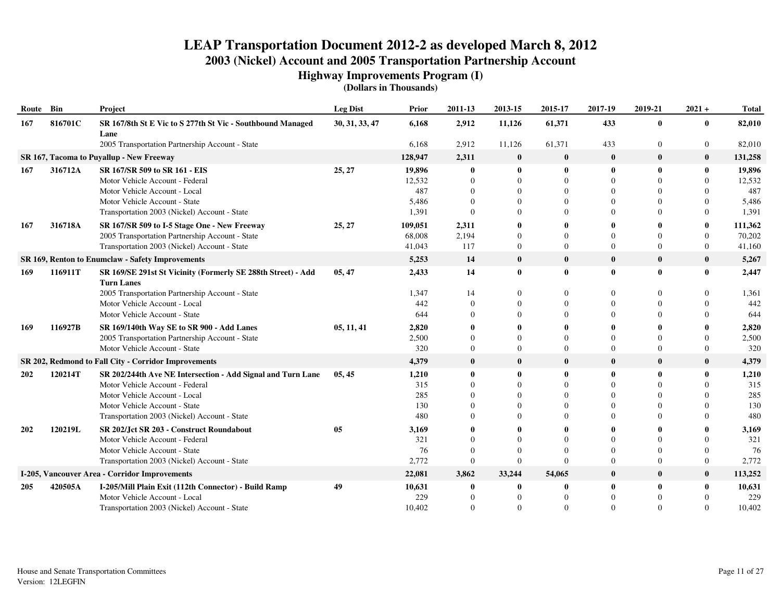**Highway Improvements Program (I)**

| Route Bin |         | Project                                                                           | <b>Leg Dist</b> | Prior         | 2011-13              | 2013-15              | 2015-17       | 2017-19                  | 2019-21              | $2021 +$                 | <b>Total</b>  |
|-----------|---------|-----------------------------------------------------------------------------------|-----------------|---------------|----------------------|----------------------|---------------|--------------------------|----------------------|--------------------------|---------------|
| 167       | 816701C | SR 167/8th St E Vic to S 277th St Vic - Southbound Managed<br>Lane                | 30, 31, 33, 47  | 6,168         | 2,912                | 11,126               | 61,371        | 433                      | $\bf{0}$             | 0                        | 82,010        |
|           |         | 2005 Transportation Partnership Account - State                                   |                 | 6,168         | 2,912                | 11,126               | 61,371        | 433                      | $\overline{0}$       | $\overline{0}$           | 82,010        |
|           |         | SR 167, Tacoma to Puyallup - New Freeway                                          |                 | 128,947       | 2,311                | $\bf{0}$             | $\bf{0}$      | $\boldsymbol{0}$         | $\bf{0}$             | $\bf{0}$                 | 131,258       |
| 167       | 316712A | SR 167/SR 509 to SR 161 - EIS                                                     | 25, 27          | 19,896        | $\mathbf{0}$         | $\bf{0}$             | 0             | $\mathbf 0$              | $\mathbf{0}$         | $\mathbf{0}$             | 19,896        |
|           |         | Motor Vehicle Account - Federal                                                   |                 | 12,532        | $\theta$             | $\Omega$             | $\Omega$      | $\Omega$                 | $\Omega$             | $\Omega$                 | 12,532        |
|           |         | Motor Vehicle Account - Local                                                     |                 | 487           | $\theta$             | $\Omega$             | $\Omega$      | $\mathbf{0}$             | $\Omega$             | 0                        | 487           |
|           |         | Motor Vehicle Account - State                                                     |                 | 5,486         | $\theta$             |                      | $\theta$      | $\theta$                 | $\Omega$             | 0                        | 5,486         |
|           |         | Transportation 2003 (Nickel) Account - State                                      |                 | 1,391         | $\theta$             | $\Omega$             | $\Omega$      | $\theta$                 | $\Omega$             | $\Omega$                 | 1,391         |
| 167       | 316718A | SR 167/SR 509 to I-5 Stage One - New Freeway                                      | 25, 27          | 109,051       | 2,311                | 0                    |               | $\mathbf{0}$             |                      | $\mathbf{0}$             | 111,362       |
|           |         | 2005 Transportation Partnership Account - State                                   |                 | 68,008        | 2,194                | 0                    | $\Omega$      | $\Omega$                 | $\Omega$             | $\Omega$                 | 70,202        |
|           |         | Transportation 2003 (Nickel) Account - State                                      |                 | 41,043        | 117                  | $\Omega$             | $\theta$      | $\Omega$                 | $\Omega$             | $\Omega$                 | 41,160        |
|           |         | SR 169, Renton to Enumclaw - Safety Improvements                                  |                 | 5,253         | 14                   | $\bf{0}$             | $\bf{0}$      | $\bf{0}$                 | $\bf{0}$             | $\bf{0}$                 | 5,267         |
| 169       | 116911T | SR 169/SE 291st St Vicinity (Formerly SE 288th Street) - Add<br><b>Turn Lanes</b> | 05, 47          | 2,433         | 14                   | $\bf{0}$             | $\mathbf{0}$  | $\mathbf 0$              | $\mathbf{0}$         | $\mathbf{0}$             | 2,447         |
|           |         | 2005 Transportation Partnership Account - State                                   |                 | 1,347         | 14                   | 0                    | 0             | $\Omega$                 | $\Omega$             | 0                        | 1,361         |
|           |         | Motor Vehicle Account - Local                                                     |                 | 442           | $\Omega$             | $\Omega$             | $\theta$      | $\Omega$                 | $\Omega$             | 0                        | 442           |
|           |         | Motor Vehicle Account - State                                                     |                 | 644           | $\Omega$             | $\Omega$             | 0             | $\Omega$                 | $\Omega$             |                          | 644           |
| 169       | 116927B | SR 169/140th Way SE to SR 900 - Add Lanes                                         | 05, 11, 41      | 2,820         |                      |                      |               |                          |                      | 0                        | 2,820         |
|           |         | 2005 Transportation Partnership Account - State                                   |                 | 2,500         | $\theta$             | $\Omega$             | $\Omega$      | $\Omega$                 | $\Omega$             | $\Omega$                 | 2,500         |
|           |         | Motor Vehicle Account - State                                                     |                 | 320           | $\theta$             | $\overline{0}$       | $\theta$      | $\theta$                 | $\Omega$             | $\bf{0}$                 | 320           |
|           |         | SR 202, Redmond to Fall City - Corridor Improvements                              |                 | 4,379         | $\bf{0}$             | $\bf{0}$             | $\bf{0}$      | $\mathbf{0}$             | $\bf{0}$             | $\bf{0}$                 | 4,379         |
| 202       | 120214T | SR 202/244th Ave NE Intersection - Add Signal and Turn Lane                       | 05, 45          | 1,210         | $\mathbf{0}$         | $\mathbf{0}$         | 0             | $\mathbf 0$              | $\mathbf{0}$         | 0                        | 1,210         |
|           |         | Motor Vehicle Account - Federal                                                   |                 | 315           | $\Omega$             | $\Omega$             | $\Omega$      | $\Omega$                 | $\Omega$             | $\Omega$                 | 315           |
|           |         | Motor Vehicle Account - Local                                                     |                 | 285           | $\Omega$             | $\Omega$             | $\Omega$      | $\Omega$                 | $\Omega$             | $\Omega$                 | 285           |
|           |         | Motor Vehicle Account - State                                                     |                 | 130           | $\Omega$<br>$\Omega$ | $\Omega$<br>$\Omega$ | $\Omega$<br>0 | $\Omega$<br>$\Omega$     | $\Omega$             | $\Omega$<br>$\Omega$     | 130<br>480    |
|           |         | Transportation 2003 (Nickel) Account - State                                      |                 | 480           |                      |                      |               |                          | $\Omega$             |                          |               |
| 202       | 120219L | SR 202/Jct SR 203 - Construct Roundabout                                          | 05              | 3,169         |                      | 0                    | 0<br>$\Omega$ | $\mathbf{0}$<br>$\Omega$ | 0                    | 0                        | 3,169         |
|           |         | Motor Vehicle Account - Federal<br>Motor Vehicle Account - State                  |                 | 321<br>76     | $\Omega$<br>$\Omega$ | $\Omega$<br>$\Omega$ | $\Omega$      | $\Omega$                 | $\Omega$<br>$\Omega$ | $\Omega$<br>$\Omega$     | 321<br>76     |
|           |         | Transportation 2003 (Nickel) Account - State                                      |                 | 2,772         | $\theta$             | $\overline{0}$       | $\Omega$      | $\overline{0}$           | $\Omega$             | $\overline{0}$           | 2,772         |
|           |         |                                                                                   |                 |               |                      |                      |               |                          |                      |                          |               |
|           |         | I-205, Vancouver Area - Corridor Improvements                                     |                 | 22,081        | 3,862                | 33,244               | 54,065        | $\mathbf{0}$             | $\bf{0}$             | $\bf{0}$                 | 113,252       |
| 205       | 420505A | I-205/Mill Plain Exit (112th Connector) - Build Ramp                              | 49              | 10,631        | 0                    | $\mathbf{0}$         | 0             | $\mathbf 0$              | 0                    | $\mathbf{0}$<br>$\Omega$ | 10,631<br>229 |
|           |         | Motor Vehicle Account - Local                                                     |                 | 229<br>10.402 | $\theta$<br>$\Omega$ | $\Omega$<br>$\Omega$ | 0<br>$\Omega$ | $\Omega$<br>$\Omega$     | $\Omega$<br>$\Omega$ | $\Omega$                 | 10,402        |
|           |         | Transportation 2003 (Nickel) Account - State                                      |                 |               |                      |                      |               |                          |                      |                          |               |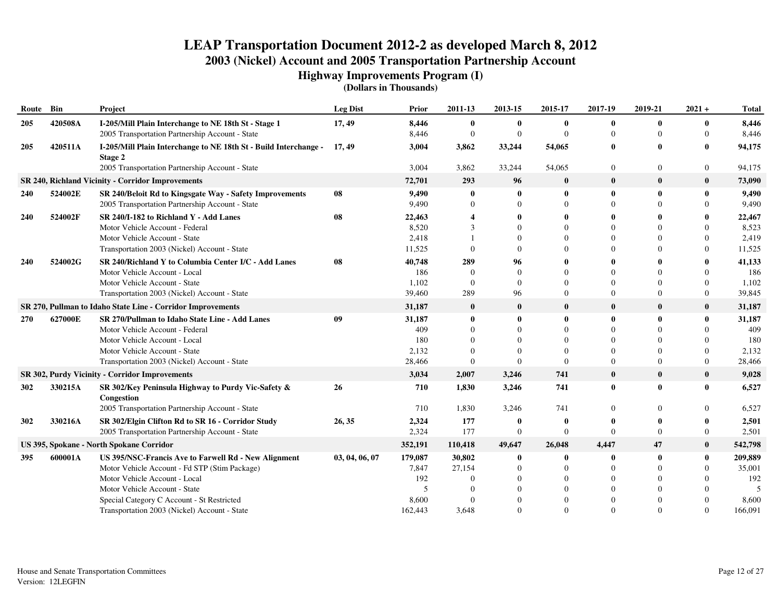**Highway Improvements Program (I)**

| Route Bin  |                                                             | <b>Project</b>                                                              | <b>Leg Dist</b> | Prior   | 2011-13      | 2013-15      | 2015-17      | 2017-19      | 2019-21        | $2021 +$         | <b>Total</b> |
|------------|-------------------------------------------------------------|-----------------------------------------------------------------------------|-----------------|---------|--------------|--------------|--------------|--------------|----------------|------------------|--------------|
| 205        | 420508A                                                     | I-205/Mill Plain Interchange to NE 18th St - Stage 1                        | 17, 49          | 8,446   | $\bf{0}$     | $\mathbf{0}$ | $\bf{0}$     | $\mathbf{0}$ | $\bf{0}$       | $\bf{0}$         | 8,446        |
|            |                                                             | 2005 Transportation Partnership Account - State                             |                 | 8,446   | $\mathbf{0}$ | $\mathbf{0}$ | $\Omega$     | $\Omega$     | $\overline{0}$ | $\Omega$         | 8,446        |
| 205        | 420511A                                                     | I-205/Mill Plain Interchange to NE 18th St - Build Interchange -<br>Stage 2 | 17, 49          | 3,004   | 3,862        | 33,244       | 54,065       | $\mathbf 0$  | $\bf{0}$       | $\bf{0}$         | 94,175       |
|            |                                                             | 2005 Transportation Partnership Account - State                             |                 | 3,004   | 3,862        | 33,244       | 54,065       | $\theta$     | $\mathbf{0}$   | $\boldsymbol{0}$ | 94,175       |
|            |                                                             | <b>SR 240, Richland Vicinity - Corridor Improvements</b>                    |                 | 72,701  | 293          | 96           | $\bf{0}$     | $\mathbf 0$  | $\bf{0}$       | $\bf{0}$         | 73,090       |
| 240        | 524002E                                                     | SR 240/Beloit Rd to Kingsgate Way - Safety Improvements                     | 08              | 9,490   | $\mathbf 0$  | $\mathbf{0}$ | 0            | $\mathbf{0}$ | $\bf{0}$       | $\bf{0}$         | 9,490        |
|            |                                                             | 2005 Transportation Partnership Account - State                             |                 | 9,490   | $\Omega$     |              | $\Omega$     | $\Omega$     |                | $\Omega$         | 9,490        |
| 240        | 524002F                                                     | SR 240/I-182 to Richland Y - Add Lanes                                      | 08              | 22,463  |              |              | 0            |              |                | $\mathbf{0}$     | 22,467       |
|            |                                                             | Motor Vehicle Account - Federal                                             |                 | 8,520   | 3            |              | $\Omega$     | $\Omega$     |                | $\Omega$         | 8,523        |
|            |                                                             | Motor Vehicle Account - State                                               |                 | 2,418   |              |              | 0            | $\Omega$     |                | $\Omega$         | 2,419        |
|            |                                                             | Transportation 2003 (Nickel) Account - State                                |                 | 11,525  |              | $\Omega$     | 0            | $\Omega$     |                | $\Omega$         | 11,525       |
| 240        | 524002G                                                     | SR 240/Richland Y to Columbia Center I/C - Add Lanes                        | 08              | 40,748  | 289          | 96           | 0            |              |                | $\bf{0}$         | 41,133       |
|            |                                                             | Motor Vehicle Account - Local                                               |                 | 186     | $\Omega$     | $\Omega$     | $\theta$     | $\Omega$     |                | $\Omega$         | 186          |
|            |                                                             | Motor Vehicle Account - State                                               |                 | 1,102   | $\theta$     | $\Omega$     | $\Omega$     | $\Omega$     | $\Omega$       | $\Omega$         | 1,102        |
|            |                                                             | Transportation 2003 (Nickel) Account - State                                |                 | 39,460  | 289          | 96           | $\theta$     | $\Omega$     | $\theta$       | $\overline{0}$   | 39,845       |
|            | SR 270, Pullman to Idaho State Line - Corridor Improvements |                                                                             |                 | 31,187  | $\bf{0}$     | $\bf{0}$     | $\bf{0}$     | $\mathbf{0}$ | $\bf{0}$       | $\bf{0}$         | 31,187       |
| <b>270</b> | 627000E                                                     | SR 270/Pullman to Idaho State Line - Add Lanes                              | 09              | 31,187  | $\mathbf 0$  | $\mathbf{0}$ | $\mathbf{0}$ | $\mathbf{0}$ | $\mathbf{0}$   | $\bf{0}$         | 31,187       |
|            |                                                             | Motor Vehicle Account - Federal                                             |                 | 409     | ∩            | $\Omega$     | $\Omega$     | $\Omega$     | $\Omega$       | $\Omega$         | 409          |
|            |                                                             | Motor Vehicle Account - Local                                               |                 | 180     | $\Omega$     | $\Omega$     | $\Omega$     | $\Omega$     |                | $\Omega$         | 180          |
|            |                                                             | Motor Vehicle Account - State                                               |                 | 2,132   | $\Omega$     | $\Omega$     | $\Omega$     | $\Omega$     | $\Omega$       | $\Omega$         | 2,132        |
|            |                                                             | Transportation 2003 (Nickel) Account - State                                |                 | 28,466  | $\Omega$     | $\Omega$     | $\Omega$     | $\Omega$     | $\overline{0}$ | $\theta$         | 28,466       |
|            |                                                             | SR 302, Purdy Vicinity - Corridor Improvements                              |                 | 3,034   | 2,007        | 3,246        | 741          | $\mathbf{0}$ | $\bf{0}$       | $\bf{0}$         | 9,028        |
| 302        | 330215A                                                     | SR 302/Key Peninsula Highway to Purdy Vic-Safety &<br>Congestion            | 26              | 710     | 1,830        | 3,246        | 741          | $\bf{0}$     | $\bf{0}$       | $\bf{0}$         | 6,527        |
|            |                                                             | 2005 Transportation Partnership Account - State                             |                 | 710     | 1,830        | 3,246        | 741          | $\Omega$     | $\Omega$       | $\Omega$         | 6,527        |
| 302        | 330216A                                                     | SR 302/Elgin Clifton Rd to SR 16 - Corridor Study                           | 26, 35          | 2,324   | 177          | $\mathbf{0}$ | 0            | 0            |                | $\mathbf{0}$     | 2,501        |
|            |                                                             | 2005 Transportation Partnership Account - State                             |                 | 2,324   | 177          | $\theta$     | 0            | $\Omega$     | $\theta$       | $\overline{0}$   | 2,501        |
|            |                                                             | US 395, Spokane - North Spokane Corridor                                    |                 | 352,191 | 110,418      | 49,647       | 26,048       | 4,447        | 47             | $\bf{0}$         | 542,798      |
| 395        | 600001A                                                     | US 395/NSC-Francis Ave to Farwell Rd - New Alignment                        | 03, 04, 06, 07  | 179,087 | 30,802       | $\bf{0}$     | $\bf{0}$     | $\mathbf 0$  | $\bf{0}$       | $\bf{0}$         | 209,889      |
|            |                                                             | Motor Vehicle Account - Fd STP (Stim Package)                               |                 | 7,847   | 27,154       | $\Omega$     | $\mathbf{0}$ | $\Omega$     |                | $\theta$         | 35,001       |
|            |                                                             | Motor Vehicle Account - Local                                               |                 | 192     |              |              | $\theta$     | $\theta$     |                | $\theta$         | 192          |
|            |                                                             | Motor Vehicle Account - State                                               |                 | 5       |              |              | $\Omega$     | $\Omega$     |                | $\Omega$         |              |
|            |                                                             | Special Category C Account - St Restricted                                  |                 | 8,600   |              |              | $\Omega$     |              |                | $\Omega$         | 8,600        |
|            |                                                             | Transportation 2003 (Nickel) Account - State                                |                 | 162,443 | 3,648        | $\Omega$     | $\Omega$     | $\Omega$     | $\Omega$       | $\Omega$         | 166,091      |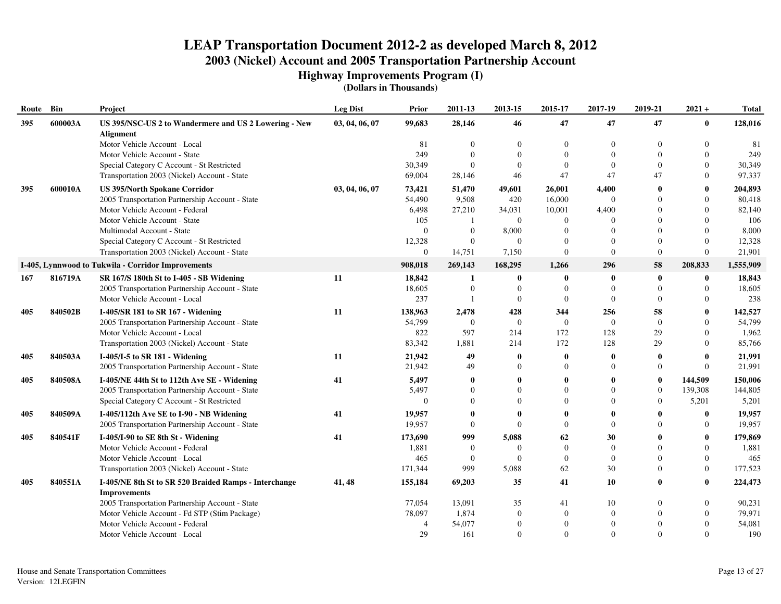**Highway Improvements Program (I)**

| Route | Bin     | Project                                                                   | <b>Leg Dist</b> | Prior          | 2011-13          | 2013-15          | 2015-17        | 2017-19        | 2019-21          | $2021 +$     | <b>Total</b> |
|-------|---------|---------------------------------------------------------------------------|-----------------|----------------|------------------|------------------|----------------|----------------|------------------|--------------|--------------|
| 395   | 600003A | US 395/NSC-US 2 to Wandermere and US 2 Lowering - New<br><b>Alignment</b> | 03, 04, 06, 07  | 99,683         | 28,146           | 46               | 47             | 47             | 47               | $\mathbf{0}$ | 128,016      |
|       |         | Motor Vehicle Account - Local                                             |                 | 81             | $\boldsymbol{0}$ | $\Omega$         | $\Omega$       | $\overline{0}$ | $\Omega$         | $\theta$     | 81           |
|       |         | Motor Vehicle Account - State                                             |                 | 249            | $\Omega$         |                  | $\Omega$       | $\Omega$       | $\Omega$         | $\theta$     | 249          |
|       |         | Special Category C Account - St Restricted                                |                 | 30,349         | $\Omega$         | $\Omega$         | $\Omega$       | $\overline{0}$ | $\Omega$         | $\Omega$     | 30,349       |
|       |         | Transportation 2003 (Nickel) Account - State                              |                 | 69,004         | 28,146           | 46               | 47             | 47             | 47               | $\Omega$     | 97,337       |
| 395   | 600010A | <b>US 395/North Spokane Corridor</b>                                      | 03, 04, 06, 07  | 73,421         | 51,470           | 49,601           | 26,001         | 4,400          | $\bf{0}$         | $\bf{0}$     | 204,893      |
|       |         | 2005 Transportation Partnership Account - State                           |                 | 54,490         | 9,508            | 420              | 16,000         | $\theta$       | $\Omega$         | $\Omega$     | 80,418       |
|       |         | Motor Vehicle Account - Federal                                           |                 | 6,498          | 27,210           | 34,031           | 10,001         | 4,400          | $\Omega$         | $\Omega$     | 82,140       |
|       |         | Motor Vehicle Account - State                                             |                 | 105            |                  | $\overline{0}$   | $\mathbf{0}$   | $\Omega$       | $\Omega$         | $\Omega$     | 106          |
|       |         | Multimodal Account - State                                                |                 | $\Omega$       | $\overline{0}$   | 8,000            | $\mathbf{0}$   | $\Omega$       | $\Omega$         | $\Omega$     | 8,000        |
|       |         | Special Category C Account - St Restricted                                |                 | 12,328         | $\overline{0}$   | $\Omega$         | $\Omega$       | $\Omega$       | $\Omega$         | $\Omega$     | 12,328       |
|       |         | Transportation 2003 (Nickel) Account - State                              |                 | $\overline{0}$ | 14,751           | 7,150            | $\Omega$       | $\theta$       | $\theta$         | $\Omega$     | 21,901       |
|       |         | I-405, Lynnwood to Tukwila - Corridor Improvements                        |                 | 908,018        | 269,143          | 168,295          | 1,266          | 296            | 58               | 208,833      | 1,555,909    |
| 167   | 816719A | SR 167/S 180th St to I-405 - SB Widening                                  | 11              | 18,842         | -1               | $\bf{0}$         | $\mathbf{0}$   | -0             | $\boldsymbol{0}$ | $\mathbf 0$  | 18,843       |
|       |         | 2005 Transportation Partnership Account - State                           |                 | 18,605         | $\overline{0}$   | $\mathbf{0}$     | $\mathbf{0}$   | $\theta$       | $\overline{0}$   | $\Omega$     | 18,605       |
|       |         | Motor Vehicle Account - Local                                             |                 | 237            |                  | $\boldsymbol{0}$ | $\Omega$       | $\theta$       | $\Omega$         | $\Omega$     | 238          |
| 405   | 840502B | I-405/SR 181 to SR 167 - Widening                                         | 11              | 138,963        | 2,478            | 428              | 344            | 256            | 58               | $\mathbf{0}$ | 142,527      |
|       |         | 2005 Transportation Partnership Account - State                           |                 | 54,799         | $\theta$         | $\overline{0}$   | $\overline{0}$ | $\Omega$       | $\theta$         | $\Omega$     | 54,799       |
|       |         | Motor Vehicle Account - Local                                             |                 | 822            | 597              | 214              | 172            | 128            | 29               | $\Omega$     | 1,962        |
|       |         | Transportation 2003 (Nickel) Account - State                              |                 | 83,342         | 1,881            | 214              | 172            | 128            | 29               | $\Omega$     | 85,766       |
| 405   | 840503A | I-405/I-5 to SR 181 - Widening                                            | 11              | 21,942         | 49               | $\mathbf{0}$     | 0              | $\mathbf{0}$   | $\bf{0}$         | $\mathbf{0}$ | 21,991       |
|       |         | 2005 Transportation Partnership Account - State                           |                 | 21,942         | 49               | $\Omega$         | $\Omega$       | $\Omega$       | $\overline{0}$   | $\Omega$     | 21,991       |
| 405   | 840508A | I-405/NE 44th St to 112th Ave SE - Widening                               | 41              | 5,497          | $\mathbf{0}$     | $\mathbf{0}$     | 0              | $\mathbf{0}$   | $\bf{0}$         | 144,509      | 150,006      |
|       |         | 2005 Transportation Partnership Account - State                           |                 | 5,497          | $\Omega$         | $\Omega$         | $\Omega$       | $\Omega$       | $\mathbf{0}$     | 139,308      | 144,805      |
|       |         | Special Category C Account - St Restricted                                |                 | $\Omega$       | $\theta$         |                  | $\Omega$       | $\Omega$       | $\overline{0}$   | 5,201        | 5,201        |
| 405   | 840509A | I-405/112th Ave SE to I-90 - NB Widening                                  | 41              | 19,957         | $\mathbf 0$      | -0               | 0              | 0              | 0                | $\mathbf{0}$ | 19,957       |
|       |         | 2005 Transportation Partnership Account - State                           |                 | 19,957         | $\theta$         | $\Omega$         | $\Omega$       | $\Omega$       | $\Omega$         | $\mathbf{0}$ | 19,957       |
| 405   | 840541F | I-405/I-90 to SE 8th St - Widening                                        | 41              | 173,690        | 999              | 5,088            | 62             | 30             | 0                | $\mathbf{0}$ | 179,869      |
|       |         | Motor Vehicle Account - Federal                                           |                 | 1,881          | $\overline{0}$   | $\Omega$         | $\Omega$       | $\Omega$       | $\Omega$         | $\mathbf{0}$ | 1,881        |
|       |         | Motor Vehicle Account - Local                                             |                 | 465            | $\mathbf{0}$     | $\Omega$         | $\overline{0}$ | $\mathbf{0}$   | $\Omega$         | $\theta$     | 465          |
|       |         | Transportation 2003 (Nickel) Account - State                              |                 | 171,344        | 999              | 5,088            | 62             | 30             | $\Omega$         | $\Omega$     | 177,523      |
| 405   | 840551A | I-405/NE 8th St to SR 520 Braided Ramps - Interchange                     | 41, 48          | 155,184        | 69,203           | 35               | 41             | 10             | 0                | $\mathbf{0}$ | 224,473      |
|       |         | <b>Improvements</b>                                                       |                 |                |                  |                  |                |                |                  |              |              |
|       |         | 2005 Transportation Partnership Account - State                           |                 | 77,054         | 13,091           | 35               | 41             | 10             | $\Omega$         | $\mathbf{0}$ | 90,231       |
|       |         | Motor Vehicle Account - Fd STP (Stim Package)                             |                 | 78,097         | 1,874            | $\Omega$         | $\mathbf{0}$   | $\overline{0}$ | $\Omega$         | $\Omega$     | 79,971       |
|       |         | Motor Vehicle Account - Federal                                           |                 | 4              | 54,077           |                  | $\Omega$       | $\overline{0}$ |                  | $\Omega$     | 54,081       |
|       |         | Motor Vehicle Account - Local                                             |                 | 29             | 161              | $\overline{0}$   | $\Omega$       | $\Omega$       | $\Omega$         | $\Omega$     | 190          |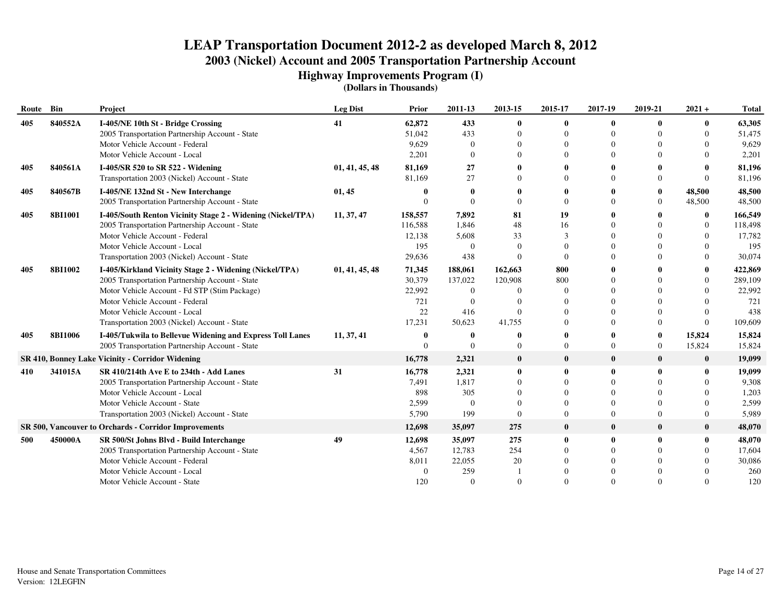**Highway Improvements Program (I)**

| Route Bin |                | Project                                                      | <b>Leg Dist</b> | Prior    | 2011-13      | 2013-15      | 2015-17      | 2017-19      | 2019-21        | $2021 +$     | <b>Total</b> |
|-----------|----------------|--------------------------------------------------------------|-----------------|----------|--------------|--------------|--------------|--------------|----------------|--------------|--------------|
| 405       | 840552A        | I-405/NE 10th St - Bridge Crossing                           | 41              | 62,872   | 433          | $\bf{0}$     | 0            | $\mathbf{0}$ | $\mathbf{0}$   | $\bf{0}$     | 63,305       |
|           |                | 2005 Transportation Partnership Account - State              |                 | 51,042   | 433          | $\Omega$     | $\theta$     | $\Omega$     |                | $\Omega$     | 51,475       |
|           |                | Motor Vehicle Account - Federal                              |                 | 9,629    | $\Omega$     |              | $\Omega$     | $\Omega$     |                | $\Omega$     | 9,629        |
|           |                | Motor Vehicle Account - Local                                |                 | 2,201    | $\Omega$     |              | $\Omega$     | $\Omega$     |                | $\Omega$     | 2,201        |
| 405       | 840561A        | I-405/SR 520 to SR 522 - Widening                            | 01, 41, 45, 48  | 81,169   | 27           |              | 0            |              |                | 0            | 81,196       |
|           |                | Transportation 2003 (Nickel) Account - State                 |                 | 81,169   | 27           |              | $\Omega$     | $\Omega$     | $\Omega$       | $\Omega$     | 81,196       |
| 405       | 840567B        | I-405/NE 132nd St - New Interchange                          | 01, 45          | o        | -0           |              | 0            |              | $\bf{0}$       | 48,500       | 48,500       |
|           |                | 2005 Transportation Partnership Account - State              |                 | $\Omega$ | $\Omega$     | $\Omega$     | $\Omega$     | $\Omega$     | $\overline{0}$ | 48,500       | 48,500       |
| 405       | <b>8BI1001</b> | I-405/South Renton Vicinity Stage 2 - Widening (Nickel/TPA)  | 11, 37, 47      | 158,557  | 7,892        | 81           | 19           |              |                | $\bf{0}$     | 166,549      |
|           |                | 2005 Transportation Partnership Account - State              |                 | 116,588  | 1,846        | 48           | 16           | $\Omega$     |                | $\theta$     | 118,498      |
|           |                | Motor Vehicle Account - Federal                              |                 | 12,138   | 5,608        | 33           | 3            | $\Omega$     |                | $\theta$     | 17,782       |
|           |                | Motor Vehicle Account - Local                                |                 | 195      | $\Omega$     | $\Omega$     | $\theta$     | $\Omega$     |                | $\theta$     | 195          |
|           |                | Transportation 2003 (Nickel) Account - State                 |                 | 29,636   | 438          | $\Omega$     | $\Omega$     | $\Omega$     |                | $\theta$     | 30,074       |
| 405       | <b>8BI1002</b> | I-405/Kirkland Vicinity Stage 2 - Widening (Nickel/TPA)      | 01, 41, 45, 48  | 71,345   | 188,061      | 162,663      | 800          | $\mathbf 0$  |                | 0            | 422,869      |
|           |                | 2005 Transportation Partnership Account - State              |                 | 30,379   | 137,022      | 120,908      | 800          | $\Omega$     |                | $\theta$     | 289,109      |
|           |                | Motor Vehicle Account - Fd STP (Stim Package)                |                 | 22,992   | $\Omega$     | $\Omega$     | $\Omega$     | $\Omega$     |                | $\Omega$     | 22,992       |
|           |                | Motor Vehicle Account - Federal                              |                 | 721      | $\Omega$     |              | $\Omega$     | $\Omega$     |                | $\Omega$     | 721          |
|           |                | Motor Vehicle Account - Local                                |                 | 22       | 416          | $\Omega$     | $\Omega$     | $\Omega$     |                | $\Omega$     | 438          |
|           |                | Transportation 2003 (Nickel) Account - State                 |                 | 17,231   | 50,623       | 41,755       | $\Omega$     | $\Omega$     | $\Omega$       | $\Omega$     | 109,609      |
| 405       | <b>8BI1006</b> | I-405/Tukwila to Bellevue Widening and Express Toll Lanes    | 11, 37, 41      | 0        | $\mathbf{0}$ |              | 0            | 0            | $\bf{0}$       | 15,824       | 15,824       |
|           |                | 2005 Transportation Partnership Account - State              |                 | $\Omega$ | $\Omega$     | $\Omega$     | $\Omega$     | $\Omega$     | $\overline{0}$ | 15,824       | 15,824       |
|           |                | SR 410, Bonney Lake Vicinity - Corridor Widening             |                 | 16,778   | 2,321        | $\bf{0}$     | $\bf{0}$     | $\mathbf{0}$ | $\bf{0}$       | $\bf{0}$     | 19,099       |
| 410       | 341015A        | SR 410/214th Ave E to 234th - Add Lanes                      | 31              | 16,778   | 2,321        | $\bf{0}$     | $\mathbf{0}$ | $\Omega$     | $\mathbf{0}$   | $\mathbf{0}$ | 19,099       |
|           |                | 2005 Transportation Partnership Account - State              |                 | 7,491    | 1,817        | $\Omega$     | $\Omega$     | $\Omega$     |                | $\Omega$     | 9,308        |
|           |                | Motor Vehicle Account - Local                                |                 | 898      | 305          | $\Omega$     | $\Omega$     | $\Omega$     |                | $\Omega$     | 1,203        |
|           |                | Motor Vehicle Account - State                                |                 | 2,599    | $\Omega$     | $\Omega$     | $\Omega$     | $\Omega$     | $\Omega$       | $\Omega$     | 2,599        |
|           |                | Transportation 2003 (Nickel) Account - State                 |                 | 5,790    | 199          | $\mathbf{0}$ | $\Omega$     | $\Omega$     | $\Omega$       | $\Omega$     | 5,989        |
|           |                | <b>SR 500, Vancouver to Orchards - Corridor Improvements</b> |                 | 12,698   | 35,097       | 275          | $\bf{0}$     | $\mathbf{0}$ | $\bf{0}$       | $\bf{0}$     | 48,070       |
| 500       | 450000A        | SR 500/St Johns Blvd - Build Interchange                     | 49              | 12,698   | 35,097       | 275          | $\bf{0}$     | 0            | $\mathbf{0}$   | $\mathbf{0}$ | 48,070       |
|           |                | 2005 Transportation Partnership Account - State              |                 | 4,567    | 12,783       | 254          | $\Omega$     | $\Omega$     |                | $\Omega$     | 17,604       |
|           |                | Motor Vehicle Account - Federal                              |                 | 8,011    | 22,055       | 20           | $\Omega$     | $\Omega$     |                | $\Omega$     | 30,086       |
|           |                | Motor Vehicle Account - Local                                |                 | $\Omega$ | 259          |              | $\Omega$     | $\Omega$     |                |              | 260          |
|           |                | Motor Vehicle Account - State                                |                 | 120      | $\Omega$     | $\Omega$     | $\Omega$     | $\Omega$     | $\Omega$       | $\Omega$     | 120          |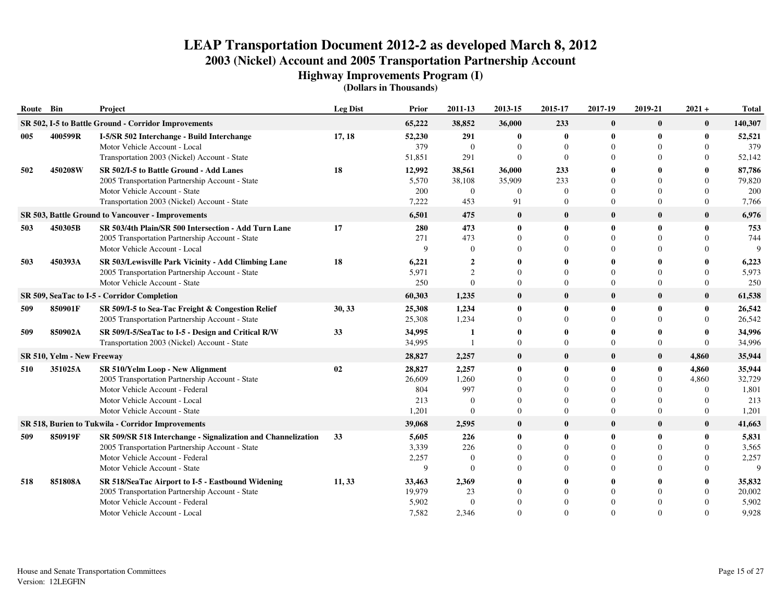**Highway Improvements Program (I)**

| Route | Bin                        | Project                                                                                                                                                                                  | <b>Leg Dist</b> | Prior                                   | 2011-13                                        | 2013-15                          | 2015-17                                           | 2017-19                                            | 2019-21                          | $2021 +$                                           | <b>Total</b>                              |
|-------|----------------------------|------------------------------------------------------------------------------------------------------------------------------------------------------------------------------------------|-----------------|-----------------------------------------|------------------------------------------------|----------------------------------|---------------------------------------------------|----------------------------------------------------|----------------------------------|----------------------------------------------------|-------------------------------------------|
|       |                            | SR 502, I-5 to Battle Ground - Corridor Improvements                                                                                                                                     |                 | 65,222                                  | 38,852                                         | 36,000                           | 233                                               | $\bf{0}$                                           | $\bf{0}$                         | $\bf{0}$                                           | 140,307                                   |
| 005   | 400599R                    | I-5/SR 502 Interchange - Build Interchange<br>Motor Vehicle Account - Local<br>Transportation 2003 (Nickel) Account - State                                                              | 17, 18          | 52,230<br>379<br>51,851                 | 291<br>$\overline{0}$<br>291                   | $\bf{0}$<br>$\Omega$<br>$\Omega$ | 0<br>$\mathbf{0}$<br>$\Omega$                     | $\mathbf 0$<br>$\theta$<br>$\Omega$                | $\bf{0}$                         | $\mathbf 0$<br>$\Omega$<br>$\Omega$                | 52,521<br>379<br>52,142                   |
| 502   | 450208W                    | SR 502/I-5 to Battle Ground - Add Lanes<br>2005 Transportation Partnership Account - State<br>Motor Vehicle Account - State                                                              | 18              | 12,992<br>5,570<br>200                  | 38,561<br>38,108<br>$\overline{0}$             | 36,000<br>35,909<br>$\theta$     | 233<br>233<br>$\mathbf{0}$                        | 0<br>$\Omega$<br>$\Omega$                          |                                  | 0<br>$\Omega$<br>$\Omega$                          | 87,786<br>79,820<br>200                   |
|       |                            | Transportation 2003 (Nickel) Account - State                                                                                                                                             |                 | 7,222                                   | 453                                            | 91                               | $\mathbf{0}$                                      | $\Omega$                                           | $\Omega$                         | $\Omega$                                           | 7,766                                     |
|       |                            | <b>SR 503, Battle Ground to Vancouver - Improvements</b>                                                                                                                                 |                 | 6,501                                   | 475                                            | $\bf{0}$                         | $\bf{0}$                                          | $\bf{0}$                                           | $\bf{0}$                         | $\bf{0}$                                           | 6,976                                     |
| 503   | 450305B                    | SR 503/4th Plain/SR 500 Intersection - Add Turn Lane<br>2005 Transportation Partnership Account - State<br>Motor Vehicle Account - Local                                                 | 17              | 280<br>271<br>Q                         | 473<br>473<br>$\Omega$                         | $\mathbf{0}$<br>$\Omega$         | $\mathbf{0}$<br>$\theta$<br>$\Omega$              | $\mathbf{0}$<br>$\Omega$<br>$\Omega$               | $\mathbf{0}$                     | $\mathbf{0}$<br>$\Omega$<br>$\Omega$               | 753<br>744<br>9                           |
| 503   | 450393A                    | SR 503/Lewisville Park Vicinity - Add Climbing Lane<br>2005 Transportation Partnership Account - State<br>Motor Vehicle Account - State                                                  | 18              | 6,221<br>5,971<br>250                   | $\overline{2}$<br>$\overline{c}$<br>$\Omega$   | $\Omega$                         | $\mathbf{0}$<br>$\Omega$<br>$\Omega$              | 0<br>$\Omega$<br>$\Omega$                          | $\Omega$                         | $\Omega$<br>$\Omega$                               | 6,223<br>5,973<br>250                     |
|       |                            | SR 509, SeaTac to I-5 - Corridor Completion                                                                                                                                              |                 | 60,303                                  | 1,235                                          | $\bf{0}$                         | $\mathbf{0}$                                      | $\mathbf{0}$                                       | $\bf{0}$                         | $\bf{0}$                                           | 61,538                                    |
| 509   | 850901F                    | SR 509/I-5 to Sea-Tac Freight & Congestion Relief<br>2005 Transportation Partnership Account - State                                                                                     | 30, 33          | 25,308<br>25,308                        | 1,234<br>1,234                                 | $\bf{0}$<br>$\Omega$             | 0<br>$\Omega$                                     | $\mathbf 0$<br>$\Omega$                            | $\bf{0}$<br>$\Omega$             | $\bf{0}$<br>$\Omega$                               | 26,542<br>26,542                          |
| 509   | 850902A                    | SR 509/I-5/SeaTac to I-5 - Design and Critical R/W<br>Transportation 2003 (Nickel) Account - State                                                                                       | 33              | 34,995<br>34,995                        | -1                                             | $\Omega$                         | 0<br>$\Omega$                                     | 0<br>$\Omega$                                      | 0<br>$\overline{0}$              | $\mathbf{0}$<br>$\Omega$                           | 34,996<br>34,996                          |
|       | SR 510, Yelm - New Freeway |                                                                                                                                                                                          |                 | 28,827                                  | 2,257                                          | $\bf{0}$                         | $\bf{0}$                                          | $\bf{0}$                                           | $\bf{0}$                         | 4,860                                              | 35,944                                    |
| 510   | 351025A                    | SR 510/Yelm Loop - New Alignment<br>2005 Transportation Partnership Account - State<br>Motor Vehicle Account - Federal<br>Motor Vehicle Account - Local<br>Motor Vehicle Account - State | 02              | 28,827<br>26,609<br>804<br>213<br>1,201 | 2,257<br>1,260<br>997<br>$\Omega$<br>$\Omega$  | $\bf{0}$<br>$\Omega$<br>$\Omega$ | 0<br>$\Omega$<br>$\Omega$<br>$\Omega$<br>$\Omega$ | -0<br>$\Omega$<br>$\Omega$<br>$\Omega$<br>$\Omega$ | $\bf{0}$<br>$\Omega$<br>$\Omega$ | 4,860<br>4,860<br>$\Omega$<br>$\Omega$<br>$\Omega$ | 35,944<br>32,729<br>1,801<br>213<br>1,201 |
|       |                            | SR 518, Burien to Tukwila - Corridor Improvements                                                                                                                                        |                 | 39,068                                  | 2,595                                          | $\bf{0}$                         | $\bf{0}$                                          | $\mathbf{0}$                                       | $\bf{0}$                         | $\bf{0}$                                           | 41,663                                    |
| 509   | 850919F                    | SR 509/SR 518 Interchange - Signalization and Channelization<br>2005 Transportation Partnership Account - State<br>Motor Vehicle Account - Federal<br>Motor Vehicle Account - State      | 33              | 5,605<br>3,339<br>2,257<br>9            | 226<br>226<br>$\overline{0}$<br>$\overline{0}$ | $\bf{0}$                         | 0<br>$\theta$<br>$\theta$<br>$\Omega$             | 0<br>$\Omega$<br>$\Omega$<br>$\Omega$              | $\mathbf{0}$                     | $\bf{0}$<br>$\Omega$<br>$\Omega$<br>$\Omega$       | 5,831<br>3,565<br>2,257<br>$\mathbf Q$    |
| 518   | 851808A                    | SR 518/SeaTac Airport to I-5 - Eastbound Widening<br>2005 Transportation Partnership Account - State<br>Motor Vehicle Account - Federal<br>Motor Vehicle Account - Local                 | 11,33           | 33,463<br>19,979<br>5,902<br>7,582      | 2,369<br>23<br>$\Omega$<br>2,346               |                                  | 0<br>$\Omega$<br>$\Omega$<br>$\Omega$             | -0<br>$\Omega$<br>$\Omega$<br>$\Omega$             |                                  | $\mathbf{0}$<br>$\Omega$<br>$\Omega$               | 35,832<br>20,002<br>5,902<br>9,928        |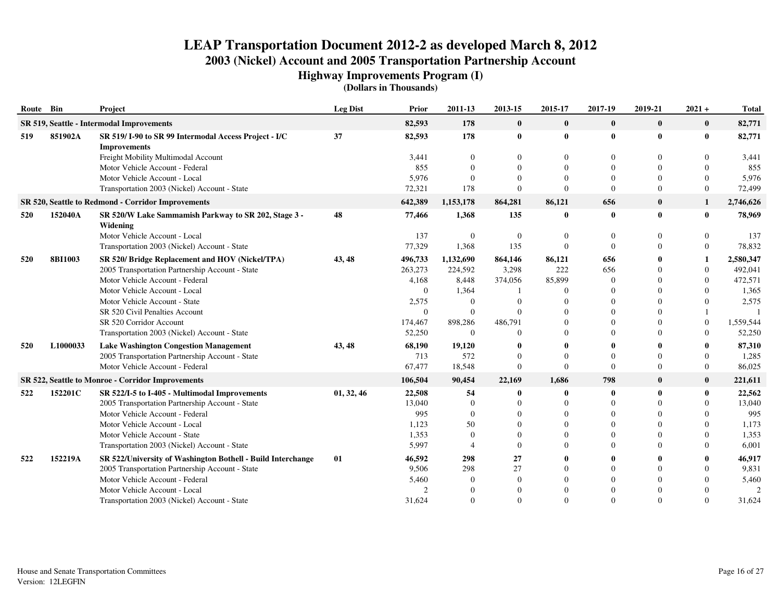**Highway Improvements Program (I)**

| Route Bin |                                           | Project                                                                     | <b>Leg Dist</b> | Prior    | 2011-13      | 2013-15        | 2015-17      | 2017-19      | 2019-21  | $2021 +$       | <b>Total</b>   |
|-----------|-------------------------------------------|-----------------------------------------------------------------------------|-----------------|----------|--------------|----------------|--------------|--------------|----------|----------------|----------------|
|           | SR 519, Seattle - Intermodal Improvements |                                                                             |                 | 82,593   | 178          | $\mathbf{0}$   | $\mathbf{0}$ | $\mathbf{0}$ | $\bf{0}$ | $\mathbf{0}$   | 82,771         |
| 519       | 851902A                                   | SR 519/I-90 to SR 99 Intermodal Access Project - I/C<br><b>Improvements</b> | 37              | 82,593   | 178          | $\bf{0}$       | $\bf{0}$     | $\bf{0}$     | $\bf{0}$ | $\bf{0}$       | 82,771         |
|           |                                           | Freight Mobility Multimodal Account                                         |                 | 3,441    | $\Omega$     |                | 0            | $\Omega$     |          | $\Omega$       | 3,441          |
|           |                                           | Motor Vehicle Account - Federal                                             |                 | 855      | $\Omega$     |                | $\Omega$     | $\Omega$     |          | $\theta$       | 855            |
|           |                                           | Motor Vehicle Account - Local                                               |                 | 5,976    | $\Omega$     |                | $\Omega$     | $\Omega$     |          | $\theta$       | 5,976          |
|           |                                           | Transportation 2003 (Nickel) Account - State                                |                 | 72,321   | 178          | $\theta$       | $\Omega$     | $\Omega$     | $\Omega$ | $\theta$       | 72,499         |
|           |                                           | SR 520, Seattle to Redmond - Corridor Improvements                          |                 | 642,389  | 1,153,178    | 864,281        | 86,121       | 656          | $\bf{0}$ | 1              | 2,746,626      |
| 520       | 152040A                                   | SR 520/W Lake Sammamish Parkway to SR 202, Stage 3 -<br>Widening            | 48              | 77,466   | 1,368        | 135            | $\bf{0}$     | $\mathbf 0$  | $\bf{0}$ | $\bf{0}$       | 78,969         |
|           |                                           | Motor Vehicle Account - Local                                               |                 | 137      | $\theta$     | $\overline{0}$ | $\mathbf{0}$ | $\Omega$     | $\Omega$ | $\theta$       | 137            |
|           |                                           | Transportation 2003 (Nickel) Account - State                                |                 | 77,329   | 1,368        | 135            | $\Omega$     | $\Omega$     |          | $\overline{0}$ | 78,832         |
| 520       | <b>8BI1003</b>                            | SR 520/ Bridge Replacement and HOV (Nickel/TPA)                             | 43, 48          | 496,733  | 1,132,690    | 864,146        | 86,121       | 656          |          | 1              | 2,580,347      |
|           |                                           | 2005 Transportation Partnership Account - State                             |                 | 263,273  | 224,592      | 3,298          | 222          | 656          |          | $\theta$       | 492,041        |
|           |                                           | Motor Vehicle Account - Federal                                             |                 | 4,168    | 8,448        | 374,056        | 85,899       | $\Omega$     |          | $\theta$       | 472,571        |
|           |                                           | Motor Vehicle Account - Local                                               |                 | $\Omega$ | 1,364        |                | $\Omega$     | $\sqrt{ }$   |          | $\Omega$       | 1,365          |
|           |                                           | Motor Vehicle Account - State                                               |                 | 2,575    | $\theta$     |                | $\Omega$     | $\sqrt{ }$   |          | $\Omega$       | 2,575          |
|           |                                           | SR 520 Civil Penalties Account                                              |                 | $\Omega$ | $\mathbf{0}$ | $\Omega$       | $\Omega$     | $\Omega$     |          |                | $\overline{1}$ |
|           |                                           | SR 520 Corridor Account                                                     |                 | 174,467  | 898,286      | 486,791        | $\Omega$     | $\Omega$     |          | $\theta$       | 1,559,544      |
|           |                                           | Transportation 2003 (Nickel) Account - State                                |                 | 52,250   | $\Omega$     | $\Omega$       | $\Omega$     | $\Omega$     |          | $\Omega$       | 52,250         |
| 520       | L1000033                                  | <b>Lake Washington Congestion Management</b>                                | 43, 48          | 68,190   | 19,120       |                | 0            |              |          |                | 87,310         |
|           |                                           | 2005 Transportation Partnership Account - State                             |                 | 713      | 572          | $\Omega$       | $\Omega$     | $\Omega$     |          | $\Omega$       | 1,285          |
|           |                                           | Motor Vehicle Account - Federal                                             |                 | 67,477   | 18,548       | $\mathbf{0}$   | $\Omega$     | $\Omega$     | $\Omega$ | $\overline{0}$ | 86,025         |
|           |                                           | SR 522, Seattle to Monroe - Corridor Improvements                           |                 | 106,504  | 90,454       | 22,169         | 1,686        | 798          | $\bf{0}$ | $\bf{0}$       | 221,611        |
| 522       | 152201C                                   | SR 522/I-5 to I-405 - Multimodal Improvements                               | 01, 32, 46      | 22,508   | 54           |                | $\bf{0}$     |              | $\bf{0}$ | $\mathbf{0}$   | 22,562         |
|           |                                           | 2005 Transportation Partnership Account - State                             |                 | 13,040   | $\theta$     |                | $\Omega$     | $\Omega$     | $\Omega$ | $\Omega$       | 13,040         |
|           |                                           | Motor Vehicle Account - Federal                                             |                 | 995      | $\Omega$     |                | $\Omega$     | $\Omega$     |          | $\Omega$       | 995            |
|           |                                           | Motor Vehicle Account - Local                                               |                 | 1,123    | 50           |                | $\Omega$     | $\Omega$     |          | $\Omega$       | 1,173          |
|           |                                           | Motor Vehicle Account - State                                               |                 | 1,353    | $\Omega$     |                | $\Omega$     | $\Omega$     |          | $\Omega$       | 1,353          |
|           |                                           | Transportation 2003 (Nickel) Account - State                                |                 | 5,997    |              | $\Omega$       | $\Omega$     | $\Omega$     |          | $\Omega$       | 6,001          |
| 522       | 152219A                                   | SR 522/University of Washington Bothell - Build Interchange                 | 01              | 46,592   | 298          | 27             | 0            |              |          | 0              | 46,917         |
|           |                                           | 2005 Transportation Partnership Account - State                             |                 | 9,506    | 298          | 27             | $\theta$     | $\Omega$     |          | $\theta$       | 9,831          |
|           |                                           | Motor Vehicle Account - Federal                                             |                 | 5,460    | $\Omega$     | $\Omega$       | $\Omega$     | $\Omega$     |          | $\Omega$       | 5,460          |
|           |                                           | Motor Vehicle Account - Local                                               |                 |          | $\Omega$     |                | $\Omega$     |              |          | $\Omega$       | $\mathcal{D}$  |
|           |                                           | Transportation 2003 (Nickel) Account - State                                |                 | 31,624   | $\Omega$     | $\Omega$       | $\Omega$     | $\Omega$     | $\Omega$ | $\Omega$       | 31,624         |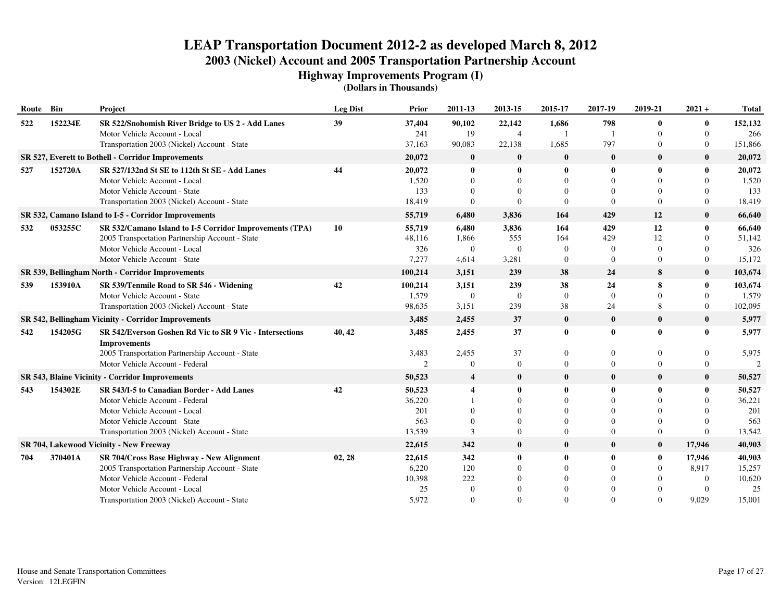**Highway Improvements Program (I)**

| Route | Bin     | Project                                                                         | <b>Leg Dist</b> | <b>Prior</b>   | 2011-13                 | 2013-15          | 2015-17        | 2017-19          | 2019-21          | $2021 +$       | <b>Total</b>  |
|-------|---------|---------------------------------------------------------------------------------|-----------------|----------------|-------------------------|------------------|----------------|------------------|------------------|----------------|---------------|
| 522   | 152234E | SR 522/Snohomish River Bridge to US 2 - Add Lanes                               | 39              | 37,404         | 90,102                  | 22,142           | 1,686          | 798              | $\mathbf{0}$     | $\bf{0}$       | 152,132       |
|       |         | Motor Vehicle Account - Local                                                   |                 | 241            | 19                      | 4                |                |                  | $\Omega$         | $\Omega$       | 266           |
|       |         | Transportation 2003 (Nickel) Account - State                                    |                 | 37.163         | 90,083                  | 22,138           | 1,685          | 797              | $\mathbf{0}$     | $\overline{0}$ | 151,866       |
|       |         | SR 527, Everett to Bothell - Corridor Improvements                              |                 | 20,072         | $\bf{0}$                | $\bf{0}$         | $\bf{0}$       | $\bf{0}$         | $\bf{0}$         | $\bf{0}$       | 20,072        |
| 527   | 152720A | SR 527/132nd St SE to 112th St SE - Add Lanes                                   | 44              | 20,072         | $\bf{0}$                | $\bf{0}$         | 0              | $\mathbf{0}$     | $\bf{0}$         | $\bf{0}$       | 20,072        |
|       |         | Motor Vehicle Account - Local                                                   |                 | 1,520          | $\Omega$                | $\Omega$         | $\Omega$       | $\Omega$         | $\Omega$         | $\Omega$       | 1,520         |
|       |         | Motor Vehicle Account - State                                                   |                 | 133            | $\Omega$                | $\Omega$         | $\Omega$       | $\Omega$         | $\Omega$         | $\Omega$       | 133           |
|       |         | Transportation 2003 (Nickel) Account - State                                    |                 | 18,419         | $\Omega$                | $\Omega$         | $\Omega$       | $\Omega$         | $\Omega$         | $\Omega$       | 18,419        |
|       |         | SR 532, Camano Island to I-5 - Corridor Improvements                            |                 | 55,719         | 6,480                   | 3,836            | 164            | 429              | 12               | $\bf{0}$       | 66,640        |
| 532   | 053255C | SR 532/Camano Island to I-5 Corridor Improvements (TPA)                         | 10              | 55,719         | 6,480                   | 3,836            | 164            | 429              | 12               | $\bf{0}$       | 66,640        |
|       |         | 2005 Transportation Partnership Account - State                                 |                 | 48,116         | 1,866                   | 555              | 164            | 429              | 12               | $\Omega$       | 51,142        |
|       |         | Motor Vehicle Account - Local                                                   |                 | 326            | $\mathbf{0}$            | $\boldsymbol{0}$ | $\overline{0}$ | $\Omega$         | $\overline{0}$   | 0              | 326           |
|       |         | Motor Vehicle Account - State                                                   |                 | 7,277          | 4,614                   | 3,281            | $\overline{0}$ | $\Omega$         | $\boldsymbol{0}$ | $\overline{0}$ | 15,172        |
|       |         | SR 539, Bellingham North - Corridor Improvements                                |                 | 100,214        | 3,151                   | 239              | 38             | 24               | 8                | $\bf{0}$       | 103,674       |
| 539   | 153910A | SR 539/Tenmile Road to SR 546 - Widening                                        | 42              | 100,214        | 3,151                   | 239              | 38             | 24               | 8                | $\bf{0}$       | 103,674       |
|       |         | Motor Vehicle Account - State                                                   |                 | 1,579          | $\overline{0}$          | $\overline{0}$   | $\Omega$       | $\Omega$         | $\Omega$         | $\Omega$       | 1,579         |
|       |         | Transportation 2003 (Nickel) Account - State                                    |                 | 98,635         | 3,151                   | 239              | 38             | 24               | 8                | $\overline{0}$ | 102,095       |
|       |         | SR 542, Bellingham Vicinity - Corridor Improvements                             |                 | 3,485          | 2,455                   | 37               | $\bf{0}$       | $\bf{0}$         | $\bf{0}$         | $\bf{0}$       | 5,977         |
| 542   | 154205G | SR 542/Everson Goshen Rd Vic to SR 9 Vic - Intersections<br><b>Improvements</b> | 40, 42          | 3,485          | 2,455                   | 37               | $\bf{0}$       | $\bf{0}$         | $\bf{0}$         | $\bf{0}$       | 5,977         |
|       |         | 2005 Transportation Partnership Account - State                                 |                 | 3,483          | 2,455                   | 37               | $\overline{0}$ | $\overline{0}$   | $\mathbf{0}$     | $\overline{0}$ | 5,975         |
|       |         | Motor Vehicle Account - Federal                                                 |                 | $\overline{2}$ | $\theta$                | $\mathbf{0}$     | $\Omega$       | $\overline{0}$   | $\overline{0}$   | $\overline{0}$ | $\mathcal{D}$ |
|       |         | <b>SR 543, Blaine Vicinity - Corridor Improvements</b>                          |                 | 50,523         | $\overline{\mathbf{4}}$ | $\bf{0}$         | $\bf{0}$       | $\bf{0}$         | $\bf{0}$         | $\bf{0}$       | 50,527        |
| 543   | 154302E | SR 543/I-5 to Canadian Border - Add Lanes                                       | 42              | 50,523         | $\boldsymbol{4}$        | 0                | 0              | $\mathbf{0}$     | $\mathbf{0}$     | $\bf{0}$       | 50,527        |
|       |         | Motor Vehicle Account - Federal                                                 |                 | 36,220         |                         | $\Omega$         | 0              | $\Omega$         | $\Omega$         | $\Omega$       | 36,221        |
|       |         | Motor Vehicle Account - Local                                                   |                 | 201            |                         | $\Omega$         | 0              | $\Omega$         | $\Omega$         | 0              | 201           |
|       |         | Motor Vehicle Account - State                                                   |                 | 563            | $\Omega$                | $\Omega$         |                | $\Omega$         | $\Omega$         | $\Omega$       | 563           |
|       |         | Transportation 2003 (Nickel) Account - State                                    |                 | 13,539         | 3                       | $\overline{0}$   | 0              | $\Omega$         | $\boldsymbol{0}$ | $\Omega$       | 13,542        |
|       |         | SR 704, Lakewood Vicinity - New Freeway                                         |                 | 22,615         | 342                     | $\bf{0}$         | $\bf{0}$       | $\bf{0}$         | $\bf{0}$         | 17,946         | 40,903        |
| 704   | 370401A | SR 704/Cross Base Highway - New Alignment                                       | 02, 28          | 22,615         | 342                     | $\bf{0}$         | $\bf{0}$       | $\boldsymbol{0}$ | $\bf{0}$         | 17,946         | 40,903        |
|       |         | 2005 Transportation Partnership Account - State                                 |                 | 6,220          | 120                     | $\Omega$         | $\Omega$       | $\Omega$         | $\overline{0}$   | 8,917          | 15,257        |
|       |         | Motor Vehicle Account - Federal                                                 |                 | 10,398         | 222                     |                  | $\Omega$       | $\Omega$         |                  | $\overline{0}$ | 10,620        |
|       |         | Motor Vehicle Account - Local                                                   |                 | 25             | $\Omega$                |                  |                | $\Omega$         |                  | $\Omega$       | 25            |
|       |         | Transportation 2003 (Nickel) Account - State                                    |                 | 5,972          | $\Omega$                | $\Omega$         | 0              | $\Omega$         | $\Omega$         | 9.029          | 15,001        |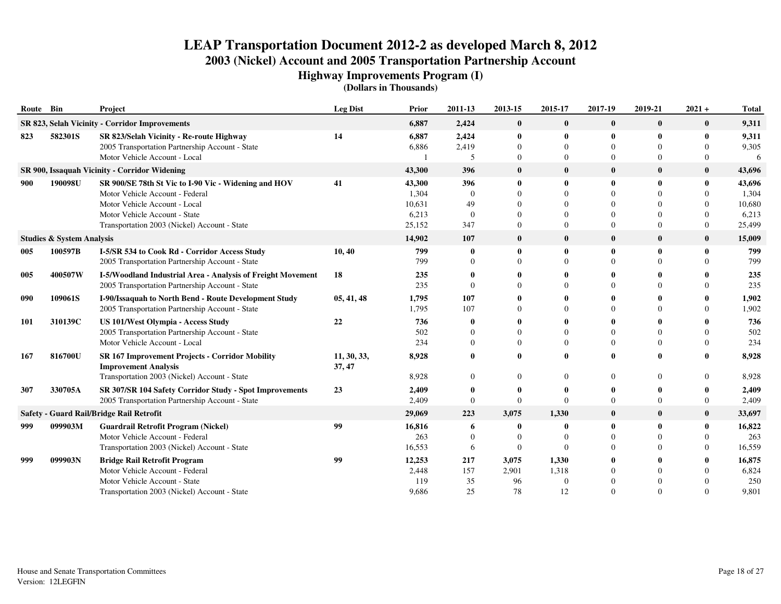**Highway Improvements Program (I)**

| Route Bin  |                                      | Project                                                                                          | <b>Leg Dist</b>       | Prior           | 2011-13         | 2013-15              | 2015-17       | 2017-19                  | 2019-21      | $2021 +$      | <b>Total</b>    |
|------------|--------------------------------------|--------------------------------------------------------------------------------------------------|-----------------------|-----------------|-----------------|----------------------|---------------|--------------------------|--------------|---------------|-----------------|
|            |                                      | SR 823, Selah Vicinity - Corridor Improvements                                                   |                       | 6,887           | 2,424           | $\bf{0}$             | $\bf{0}$      | $\bf{0}$                 | $\bf{0}$     | $\bf{0}$      | 9,311           |
| 823        | 582301S                              | SR 823/Selah Vicinity - Re-route Highway<br>2005 Transportation Partnership Account - State      | 14                    | 6,887<br>6,886  | 2,424<br>2,419  | $\bf{0}$<br>$\Omega$ | 0<br>$\Omega$ | $\mathbf{0}$<br>$\Omega$ | 0            | 0<br>$\Omega$ | 9,311<br>9,305  |
|            |                                      | Motor Vehicle Account - Local                                                                    |                       |                 | 5               | $\Omega$             | $\Omega$      | $\Omega$                 | $\Omega$     | 0             | 6               |
|            |                                      | SR 900, Issaquah Vicinity - Corridor Widening                                                    |                       | 43,300          | 396             | $\bf{0}$             | $\bf{0}$      | $\mathbf{0}$             | $\mathbf{0}$ | $\bf{0}$      | 43,696          |
| 900        | 190098U                              | SR 900/SE 78th St Vic to I-90 Vic - Widening and HOV<br>Motor Vehicle Account - Federal          | 41                    | 43,300<br>1,304 | 396<br>$\theta$ | $\mathbf{0}$         | 0<br>$\Omega$ | $\mathbf{0}$<br>$\Omega$ | 0            | 0<br>0        | 43,696<br>1,304 |
|            |                                      | Motor Vehicle Account - Local                                                                    |                       | 10,631          | 49              |                      | $\Omega$      | $\Omega$                 |              | 0             | 10,680          |
|            |                                      | Motor Vehicle Account - State                                                                    |                       | 6,213           | $\theta$        |                      | ∩             | $\Omega$                 |              | 0             | 6,213           |
|            |                                      | Transportation 2003 (Nickel) Account - State                                                     |                       | 25,152          | 347             | $\Omega$             | $\Omega$      | $\Omega$                 | $\Omega$     | $\Omega$      | 25,499          |
|            | <b>Studies &amp; System Analysis</b> |                                                                                                  |                       | 14,902          | 107             | $\bf{0}$             | $\bf{0}$      | $\bf{0}$                 | $\bf{0}$     | $\bf{0}$      | 15,009          |
| 005        | 100597B                              | I-5/SR 534 to Cook Rd - Corridor Access Study<br>2005 Transportation Partnership Account - State | 10, 40                | 799<br>799      | 0<br>$\Omega$   | $\bf{0}$<br>$\Omega$ | 0<br>$\Omega$ | $\mathbf 0$<br>$\Omega$  | $\mathbf{0}$ | 0<br>0        | 799<br>799      |
| 005        | 400507W                              | I-5/Woodland Industrial Area - Analysis of Freight Movement                                      | 18                    | 235             | $\mathbf 0$     |                      |               | 0                        |              |               | 235             |
|            |                                      | 2005 Transportation Partnership Account - State                                                  |                       | 235             | $\Omega$        |                      |               | $\Omega$                 |              |               | 235             |
| 090        | 109061S                              | I-90/Issaquah to North Bend - Route Development Study                                            | 05, 41, 48            | 1,795           | 107             |                      |               | $\mathbf{0}$             |              |               | 1,902           |
|            |                                      | 2005 Transportation Partnership Account - State                                                  |                       | 1,795           | 107             |                      | 0             | $\Omega$                 |              |               | 1,902           |
| <b>101</b> | 310139C                              | US 101/West Olympia - Access Study                                                               | 22                    | 736             | $\mathbf 0$     |                      |               | $\mathbf 0$              |              |               | 736             |
|            |                                      | 2005 Transportation Partnership Account - State                                                  |                       | 502             | $\Omega$        |                      | $\Omega$      | $\Omega$                 |              | $\Omega$      | 502             |
|            |                                      | Motor Vehicle Account - Local                                                                    |                       | 234             | $\Omega$        | $\Omega$             | $\Omega$      | $\Omega$                 | $\Omega$     | $\Omega$      | 234             |
| 167        | 816700U                              | <b>SR 167 Improvement Projects - Corridor Mobility</b><br><b>Improvement Analysis</b>            | 11, 30, 33,<br>37, 47 | 8,928           | $\theta$        |                      |               | $\mathbf{0}$             |              |               | 8,928           |
|            |                                      | Transportation 2003 (Nickel) Account - State                                                     |                       | 8,928           | $\Omega$        |                      | $\Omega$      | $\Omega$                 |              | 0             | 8,928           |
| 307        | 330705A                              | SR 307/SR 104 Safety Corridor Study - Spot Improvements                                          | 23                    | 2,409           | 0               | 0                    | $\bullet$     | -0                       |              |               | 2,409           |
|            |                                      | 2005 Transportation Partnership Account - State                                                  |                       | 2,409           | $\theta$        | $\Omega$             | $\Omega$      | $\Omega$                 | $\Omega$     | $\Omega$      | 2,409           |
|            |                                      | Safety - Guard Rail/Bridge Rail Retrofit                                                         |                       | 29,069          | 223             | 3,075                | 1,330         | $\bf{0}$                 | $\bf{0}$     | $\bf{0}$      | 33,697          |
| 999        | 099903M                              | <b>Guardrail Retrofit Program (Nickel)</b>                                                       | 99                    | 16,816          | 6               | 0                    | 0             | $\mathbf 0$              |              | 0             | 16,822          |
|            |                                      | Motor Vehicle Account - Federal                                                                  |                       | 263             | $\Omega$        | $\Omega$             | $\Omega$      | $\Omega$                 |              |               | 263             |
|            |                                      | Transportation 2003 (Nickel) Account - State                                                     |                       | 16,553          | 6               | $\Omega$             | $\Omega$      | $\Omega$                 |              | $\Omega$      | 16,559          |
| 999        | 099903N                              | <b>Bridge Rail Retrofit Program</b>                                                              | 99                    | 12,253          | 217             | 3,075                | 1,330         | $\Omega$                 |              |               | 16,875          |
|            |                                      | Motor Vehicle Account - Federal                                                                  |                       | 2,448           | 157             | 2,901                | 1,318         | $\Omega$                 |              |               | 6,824           |
|            |                                      | Motor Vehicle Account - State                                                                    |                       | 119             | 35              | 96                   | $\Omega$      | $\Omega$<br>$\Omega$     |              |               | 250             |
|            |                                      | Transportation 2003 (Nickel) Account - State                                                     |                       | 9,686           | 25              | 78                   | 12            |                          |              |               | 9,801           |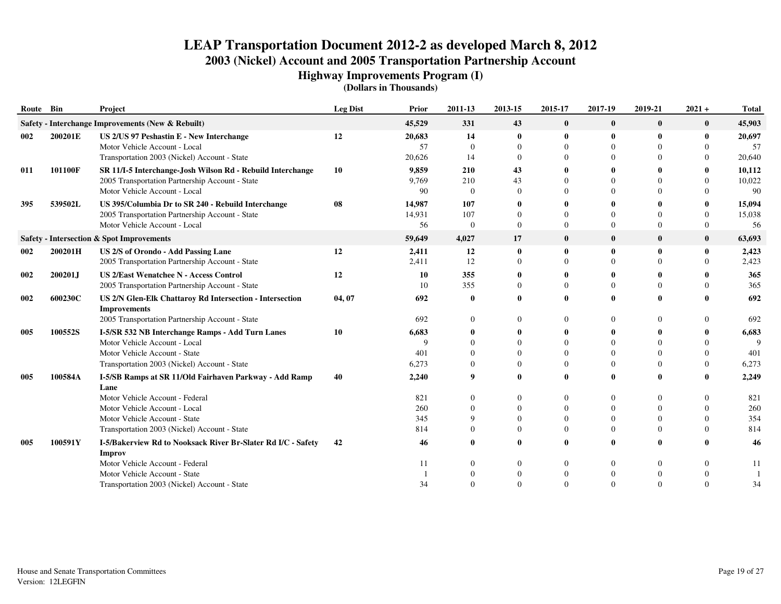**Highway Improvements Program (I)**

| Route Bin |         | Project                                                          | <b>Leg Dist</b> | Prior      | 2011-13              | 2013-15        | 2015-17              | 2017-19              | 2019-21              | $2021 +$             | <b>Total</b> |
|-----------|---------|------------------------------------------------------------------|-----------------|------------|----------------------|----------------|----------------------|----------------------|----------------------|----------------------|--------------|
|           |         | Safety - Interchange Improvements (New & Rebuilt)                |                 | 45,529     | 331                  | 43             | $\bf{0}$             | $\bf{0}$             | $\bf{0}$             | $\bf{0}$             | 45,903       |
| 002       | 200201E | US 2/US 97 Peshastin E - New Interchange                         | 12              | 20,683     | 14                   | $\bf{0}$       | $\bf{0}$             | $\mathbf 0$          | $\mathbf{0}$         | $\mathbf{0}$         | 20,697       |
|           |         | Motor Vehicle Account - Local                                    |                 | 57         | $\theta$             | $\Omega$       | $\Omega$             | $\Omega$             | $\Omega$             |                      | 57           |
|           |         | Transportation 2003 (Nickel) Account - State                     |                 | 20,626     | 14                   | $\Omega$       | $\Omega$             | $\Omega$             | 0                    | $\Omega$             | 20,640       |
| 011       | 101100F | SR 11/I-5 Interchange-Josh Wilson Rd - Rebuild Interchange       | 10              | 9,859      | 210                  | 43             |                      |                      |                      |                      | 10,112       |
|           |         | 2005 Transportation Partnership Account - State                  |                 | 9,769      | 210                  | 43             | $\Omega$             | $\Omega$             |                      | $\Omega$             | 10,022       |
|           |         | Motor Vehicle Account - Local                                    |                 | 90         | $\theta$             | $\Omega$       | 0                    | $\Omega$             | 0                    | $\Omega$             | -90          |
| 395       | 539502L | US 395/Columbia Dr to SR 240 - Rebuild Interchange               | 08              | 14,987     | 107                  | $\mathbf{0}$   |                      |                      | 0                    |                      | 15,094       |
|           |         | 2005 Transportation Partnership Account - State                  |                 | 14,931     | 107                  | $\Omega$       | $\Omega$             |                      | $\Omega$             | $\Omega$             | 15,038       |
|           |         | Motor Vehicle Account - Local                                    |                 | 56         | $\theta$             | $\mathbf{0}$   | $\Omega$             | $\Omega$             | $\Omega$             | $\theta$             | 56           |
|           |         | Safety - Intersection & Spot Improvements                        |                 | 59,649     | 4,027                | 17             | $\bf{0}$             | $\mathbf{0}$         | $\bf{0}$             | $\bf{0}$             | 63,693       |
| 002       | 200201H | US 2/S of Orondo - Add Passing Lane                              | 12              | 2,411      | 12                   | $\mathbf{0}$   | $\mathbf{0}$         | $\mathbf{0}$         | $\mathbf{0}$         | $\mathbf{0}$         | 2,423        |
|           |         | 2005 Transportation Partnership Account - State                  |                 | 2,411      | 12                   | $\Omega$       | $\Omega$             | $\Omega$             | $\Omega$             | $\Omega$             | 2,423        |
| 002       | 200201J | <b>US 2/East Wenatchee N - Access Control</b>                    | 12              | 10         | 355                  |                |                      |                      |                      |                      | 365          |
|           |         | 2005 Transportation Partnership Account - State                  |                 | 10         | 355                  | $\bf{0}$       | $\Omega$             | $\Omega$             | $\Omega$             | $\Omega$             | 365          |
| 002       | 600230C | US 2/N Glen-Elk Chattaroy Rd Intersection - Intersection         | 04, 07          | 692        | $\mathbf 0$          | 0              |                      | $\Omega$             | 0                    |                      | 692          |
|           |         | <b>Improvements</b>                                              |                 |            |                      |                |                      |                      |                      |                      |              |
|           |         | 2005 Transportation Partnership Account - State                  |                 | 692        | $\Omega$             | $\Omega$       | $\Omega$             | $\Omega$             | $\Omega$             | $\Omega$             | 692          |
| 005       | 100552S | I-5/SR 532 NB Interchange Ramps - Add Turn Lanes                 | 10              | 6,683      | $\mathbf 0$          |                |                      | 0                    |                      |                      | 6,683        |
|           |         | Motor Vehicle Account - Local                                    |                 | $\Omega$   | $\Omega$             |                | $\Omega$             | $\Omega$             |                      | $\Omega$             | Q            |
|           |         | Motor Vehicle Account - State                                    |                 | 401        | $\Omega$             | 0              | $\Omega$             | $\Omega$             |                      | $\Omega$             | 401          |
|           |         | Transportation 2003 (Nickel) Account - State                     |                 | 6,273      | $\theta$             | $\Omega$       | $\Omega$             | $\Omega$             | $\Omega$             | $\theta$             | 6,273        |
| 005       | 100584A | I-5/SB Ramps at SR 11/Old Fairhaven Parkway - Add Ramp           | 40              | 2,240      | 9                    | 0              |                      | $\mathbf 0$          |                      |                      | 2,249        |
|           |         | Lane                                                             |                 |            |                      |                |                      |                      |                      |                      |              |
|           |         | Motor Vehicle Account - Federal<br>Motor Vehicle Account - Local |                 | 821<br>260 | $\Omega$<br>$\theta$ | 0<br>0         | $\Omega$<br>$\theta$ | $\Omega$<br>$\Omega$ | $\Omega$<br>$\Omega$ | $\Omega$<br>$\Omega$ | 821<br>260   |
|           |         | Motor Vehicle Account - State                                    |                 | 345        | 9                    | $\Omega$       | $\Omega$             | $\Omega$             | $\Omega$             | $\Omega$             | 354          |
|           |         | Transportation 2003 (Nickel) Account - State                     |                 | 814        | $\theta$             | $\overline{0}$ | $\Omega$             | $\theta$             | $\Omega$             | $\Omega$             | 814          |
| 005       | 100591Y | I-5/Bakerview Rd to Nooksack River Br-Slater Rd I/C - Safety     | 42              | 46         | $\theta$             | 0              |                      | $\theta$             | 0                    |                      | 46           |
|           |         | <b>Improv</b>                                                    |                 |            |                      |                |                      |                      |                      |                      |              |
|           |         | Motor Vehicle Account - Federal                                  |                 | 11         | $\theta$             | $\Omega$       | $\mathbf{0}$         | $\Omega$             | $\Omega$             | $\Omega$             | 11           |
|           |         | Motor Vehicle Account - State                                    |                 |            | $\Omega$             | $\Omega$       | $\Omega$             | $\Omega$             | $\Omega$             |                      |              |
|           |         | Transportation 2003 (Nickel) Account - State                     |                 | 34         | $\Omega$             | $\Omega$       | $\Omega$             | $\Omega$             | $\Omega$             | $\Omega$             | 34           |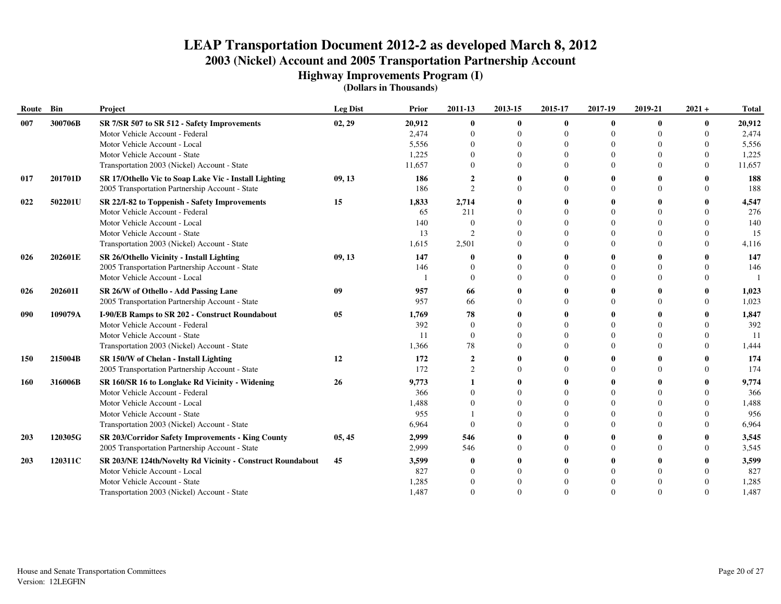**Highway Improvements Program (I)**

| Route      | Bin     | Project                                                    | <b>Leg Dist</b> | Prior  | 2011-13        | 2013-15  | 2015-17  | 2017-19        | 2019-21  | $2021 +$ | <b>Total</b> |
|------------|---------|------------------------------------------------------------|-----------------|--------|----------------|----------|----------|----------------|----------|----------|--------------|
| 007        | 300706B | SR 7/SR 507 to SR 512 - Safety Improvements                | 02, 29          | 20,912 | $\bf{0}$       | $\bf{0}$ | 0        | $\bf{0}$       | $\bf{0}$ | 0        | 20,912       |
|            |         | Motor Vehicle Account - Federal                            |                 | 2,474  | $\Omega$       | $\Omega$ | $\Omega$ | $\theta$       | $\theta$ |          | 2,474        |
|            |         | Motor Vehicle Account - Local                              |                 | 5,556  | $\Omega$       |          | $\Omega$ |                |          |          | 5,556        |
|            |         | Motor Vehicle Account - State                              |                 | 1,225  | $\Omega$       |          | $\Omega$ | $\theta$       |          |          | 1,225        |
|            |         | Transportation 2003 (Nickel) Account - State               |                 | 11,657 | $\Omega$       |          | $\Omega$ |                |          | $\Omega$ | 11,657       |
| 017        | 201701D | SR 17/Othello Vic to Soap Lake Vic - Install Lighting      | 09, 13          | 186    | $\mathbf{2}$   |          |          |                |          |          | 188          |
|            |         | 2005 Transportation Partnership Account - State            |                 | 186    | $\mathcal{D}$  |          | $\Omega$ |                |          | $\Omega$ | 188          |
| 022        | 502201U | SR 22/I-82 to Toppenish - Safety Improvements              | 15              | 1,833  | 2,714          |          |          |                |          |          | 4,547        |
|            |         | Motor Vehicle Account - Federal                            |                 | 65     | 211            |          | $\Omega$ |                |          |          | 276          |
|            |         | Motor Vehicle Account - Local                              |                 | 140    | $\Omega$       | $\Omega$ |          |                | $\Omega$ |          | 140          |
|            |         | Motor Vehicle Account - State                              |                 | 13     | $\mathcal{D}$  | $\Omega$ | $\Omega$ | $\Omega$       | $\Omega$ | 0        | 15           |
|            |         | Transportation 2003 (Nickel) Account - State               |                 | 1,615  | 2,501          | $\Omega$ | $\Omega$ |                | $\Omega$ | $\Omega$ | 4,116        |
| 026        | 202601E | SR 26/Othello Vicinity - Install Lighting                  | 09, 13          | 147    |                |          |          |                |          |          | 147          |
|            |         | 2005 Transportation Partnership Account - State            |                 | 146    |                |          | $\Omega$ |                |          | $\Omega$ | 146          |
|            |         | Motor Vehicle Account - Local                              |                 |        | $\Omega$       | $\Omega$ | $\Omega$ | $\Omega$       | $\Omega$ | $\Omega$ |              |
| 026        | 2026011 | SR 26/W of Othello - Add Passing Lane                      | 09              | 957    | 66             |          |          |                |          |          | 1,023        |
|            |         | 2005 Transportation Partnership Account - State            |                 | 957    | 66             | $\Omega$ | $\Omega$ |                | $\Omega$ | $\Omega$ | 1,023        |
| 090        | 109079A | I-90/EB Ramps to SR 202 - Construct Roundabout             | 05              | 1,769  | 78             |          |          |                |          |          | 1,847        |
|            |         | Motor Vehicle Account - Federal                            |                 | 392    | $\Omega$       |          | 0        |                |          |          | 392          |
|            |         | Motor Vehicle Account - State                              |                 | 11     | $\overline{0}$ |          | $\Omega$ | $\overline{0}$ |          |          | -11          |
|            |         | Transportation 2003 (Nickel) Account - State               |                 | 1,366  | 78             | 0        | 0        | $\Omega$       |          | 0        | 1,444        |
| <b>150</b> | 215004B | SR 150/W of Chelan - Install Lighting                      | 12              | 172    | $\overline{2}$ | 0        | 0        | $\mathbf 0$    | 0        |          | 174          |
|            |         | 2005 Transportation Partnership Account - State            |                 | 172    | $\mathcal{L}$  | $\Omega$ | $\Omega$ | $\Omega$       | $\Omega$ | $\Omega$ | 174          |
| 160        | 316006B | SR 160/SR 16 to Longlake Rd Vicinity - Widening            | 26              | 9,773  |                |          |          |                |          |          | 9,774        |
|            |         | Motor Vehicle Account - Federal                            |                 | 366    |                |          | $\Omega$ |                |          |          | 366          |
|            |         | Motor Vehicle Account - Local                              |                 | 1,488  | $\Omega$       |          | $\Omega$ |                |          | $\Omega$ | 1,488        |
|            |         | Motor Vehicle Account - State                              |                 | 955    |                |          | 0        |                |          |          | 956          |
|            |         | Transportation 2003 (Nickel) Account - State               |                 | 6,964  | $\Omega$       | $\Omega$ | $\Omega$ | $\Omega$       | $\Omega$ | $\Omega$ | 6,964        |
| 203        | 120305G | SR 203/Corridor Safety Improvements - King County          | 05, 45          | 2,999  | 546            |          |          |                |          |          | 3,545        |
|            |         | 2005 Transportation Partnership Account - State            |                 | 2,999  | 546            | $\Omega$ | $\Omega$ | $\Omega$       | $\Omega$ | $\Omega$ | 3,545        |
| 203        | 120311C | SR 203/NE 124th/Novelty Rd Vicinity - Construct Roundabout | 45              | 3,599  | 0              |          |          |                |          |          | 3,599        |
|            |         | Motor Vehicle Account - Local                              |                 | 827    | $\Omega$       | $\Omega$ | $\Omega$ |                | $\Omega$ |          | 827          |
|            |         | Motor Vehicle Account - State                              |                 | 1,285  | $\Omega$       |          |          |                |          |          | 1,285        |
|            |         | Transportation 2003 (Nickel) Account - State               |                 | 1,487  | $\Omega$       | $\Omega$ | $\Omega$ |                | $\Omega$ | $\Omega$ | 1,487        |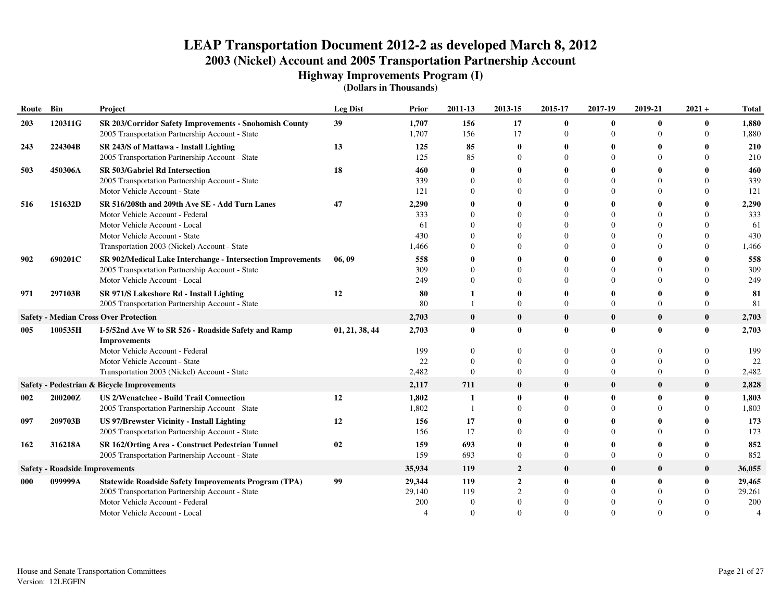**Highway Improvements Program (I)**

| Route | Bin                                   | Project                                                                                                   | <b>Leg Dist</b> | Prior          | 2011-13              | 2013-15                     | 2015-17       | 2017-19                  | 2019-21                  | $2021 +$             | <b>Total</b>   |
|-------|---------------------------------------|-----------------------------------------------------------------------------------------------------------|-----------------|----------------|----------------------|-----------------------------|---------------|--------------------------|--------------------------|----------------------|----------------|
| 203   | 120311G                               | SR 203/Corridor Safety Improvements - Snohomish County<br>2005 Transportation Partnership Account - State | 39              | 1,707<br>1,707 | 156<br>156           | 17<br>17                    | 0<br>$\Omega$ | $\mathbf{0}$<br>$\Omega$ | $\mathbf{0}$<br>$\Omega$ | $\bf{0}$<br>$\Omega$ | 1,880<br>1,880 |
| 243   | 224304B                               | SR 243/S of Mattawa - Install Lighting                                                                    | 13              | 125            | 85                   | 0                           | 0             | 0                        |                          |                      | 210            |
|       |                                       | 2005 Transportation Partnership Account - State                                                           |                 | 125            | 85                   | $\Omega$                    | $\Omega$      | $\Omega$                 |                          | $\Omega$             | 210            |
| 503   | 450306A                               | SR 503/Gabriel Rd Intersection                                                                            | 18              | 460            | 0                    |                             | o             | -0                       |                          |                      | 460            |
|       |                                       | 2005 Transportation Partnership Account - State                                                           |                 | 339            | $\Omega$<br>$\Omega$ |                             | 0<br>$\Omega$ | $\Omega$<br>$\Omega$     |                          | 0                    | 339            |
|       |                                       | Motor Vehicle Account - State                                                                             |                 | 121            |                      |                             |               |                          |                          | 0                    | 121            |
| 516   | 151632D                               | SR 516/208th and 209th Ave SE - Add Turn Lanes                                                            | 47              | 2,290          | $\mathbf 0$          |                             | 0             | -0                       |                          | 0                    | 2,290          |
|       |                                       | Motor Vehicle Account - Federal<br>Motor Vehicle Account - Local                                          |                 | 333            | $\Omega$<br>$\Omega$ |                             | $\Omega$<br>0 | $\Omega$<br>$\Omega$     |                          | 0<br>0               | 333<br>61      |
|       |                                       | Motor Vehicle Account - State                                                                             |                 | 61<br>430      | $\Omega$             |                             | 0             | $\Omega$                 |                          |                      | 430            |
|       |                                       | Transportation 2003 (Nickel) Account - State                                                              |                 | 1,466          |                      |                             | $\Omega$      | $\Omega$                 |                          |                      | 1,466          |
| 902   | 690201C                               | SR 902/Medical Lake Interchange - Intersection Improvements                                               | 06,09           | 558            | $\mathbf 0$          |                             | o             | -0                       |                          |                      | 558            |
|       |                                       | 2005 Transportation Partnership Account - State                                                           |                 | 309            | $\Omega$             | ∩                           | $\Omega$      | $\Omega$                 |                          | 0                    | 309            |
|       |                                       | Motor Vehicle Account - Local                                                                             |                 | 249            | $\Omega$             | $\Omega$                    | $\Omega$      | $\Omega$                 |                          | 0                    | 249            |
| 971   | 297103B                               | SR 971/S Lakeshore Rd - Install Lighting                                                                  | 12              | 80             |                      |                             | 0             | $\mathbf 0$              |                          |                      | 81             |
|       |                                       | 2005 Transportation Partnership Account - State                                                           |                 | 80             |                      | 0                           | $\Omega$      | $\Omega$                 | $\Omega$                 | $\Omega$             | 81             |
|       |                                       | <b>Safety - Median Cross Over Protection</b>                                                              |                 | 2,703          | $\bf{0}$             | $\bf{0}$                    | $\bf{0}$      | $\bf{0}$                 | $\bf{0}$                 | $\bf{0}$             | 2,703          |
| 005   | 100535H                               | I-5/52nd Ave W to SR 526 - Roadside Safety and Ramp<br><b>Improvements</b>                                | 01, 21, 38, 44  | 2,703          | $\mathbf{0}$         | $\mathbf{0}$                | 0             | $\bf{0}$                 | $\mathbf{0}$             | $\bf{0}$             | 2,703          |
|       |                                       | Motor Vehicle Account - Federal                                                                           |                 | 199            | $\Omega$             | $\Omega$                    | $\Omega$      | $\Omega$                 | $\Omega$                 | 0                    | 199            |
|       |                                       | Motor Vehicle Account - State                                                                             |                 | 22             | $\Omega$             | $\Omega$                    | $\Omega$      | $\Omega$                 | $\Omega$                 | 0                    | 22             |
|       |                                       | Transportation 2003 (Nickel) Account - State                                                              |                 | 2,482          | $\Omega$             | $\Omega$                    | $\Omega$      | $\Omega$                 | $\Omega$                 | $\Omega$             | 2,482          |
|       |                                       | Safety - Pedestrian & Bicycle Improvements                                                                |                 | 2,117          | 711                  | $\bf{0}$                    | $\bf{0}$      | $\bf{0}$                 | $\bf{0}$                 | $\bf{0}$             | 2,828          |
| 002   | 200200Z                               | <b>US 2/Wenatchee - Build Trail Connection</b>                                                            | 12              | 1,802          | 1                    | 0                           | $\bf{0}$      | $\bf{0}$                 | 0                        | 0                    | 1,803          |
|       |                                       | 2005 Transportation Partnership Account - State                                                           |                 | 1,802          |                      | $\Omega$                    | $\Omega$      | $\Omega$                 |                          | 0                    | 1,803          |
| 097   | 209703B                               | <b>US 97/Brewster Vicinity - Install Lighting</b>                                                         | 12              | 156            | 17                   |                             | 0             | 0                        |                          |                      | 173            |
|       |                                       | 2005 Transportation Partnership Account - State                                                           |                 | 156            | 17                   | 0                           | $\Omega$      | $\Omega$                 |                          | $\Omega$             | 173            |
| 162   | 316218A                               | SR 162/Orting Area - Construct Pedestrian Tunnel                                                          | 02              | 159            | 693                  |                             | 0             | $\mathbf{0}$             |                          | 0                    | 852            |
|       |                                       | 2005 Transportation Partnership Account - State                                                           |                 | 159            | 693                  | $\Omega$                    | $\Omega$      | $\Omega$                 | $\Omega$                 | $\Omega$             | 852            |
|       | <b>Safety - Roadside Improvements</b> |                                                                                                           |                 | 35,934         | 119                  | $\overline{2}$              | $\bf{0}$      | $\bf{0}$                 | $\bf{0}$                 | $\bf{0}$             | 36,055         |
| 000   | 099999A                               | <b>Statewide Roadside Safety Improvements Program (TPA)</b>                                               | 99              | 29,344         | 119                  | $\overline{2}$              | 0             | $\mathbf 0$              | 0                        | 0                    | 29,465         |
|       |                                       | 2005 Transportation Partnership Account - State                                                           |                 | 29,140         | 119                  | $\mathcal{D}_{\mathcal{L}}$ | $\Omega$      | $\Omega$                 |                          | 0                    | 29,261         |
|       |                                       | Motor Vehicle Account - Federal                                                                           |                 | 200            | $\Omega$             |                             |               |                          |                          |                      | 200            |
|       |                                       | Motor Vehicle Account - Local                                                                             |                 |                | $\Omega$             | $\Omega$                    |               | $\Omega$                 |                          |                      |                |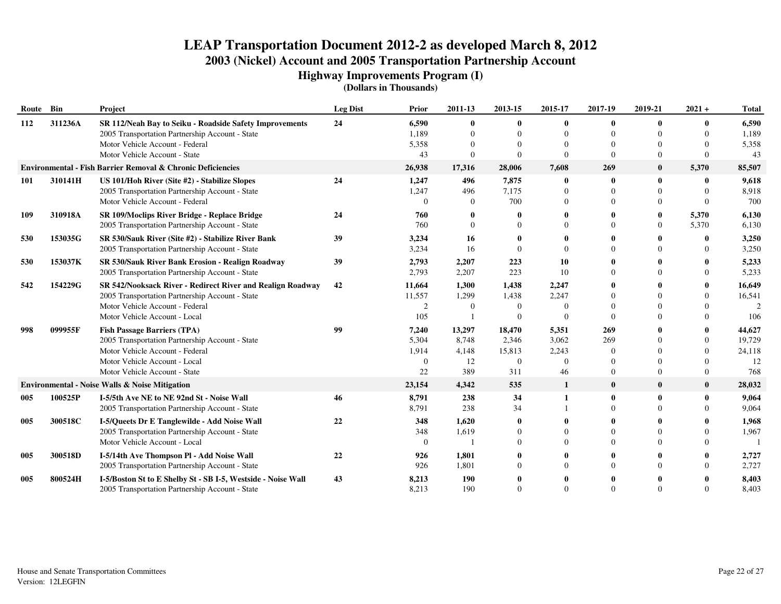**Highway Improvements Program (I)**

| Route Bin |         | Project                                                      | <b>Leg Dist</b> | Prior    | 2011-13  | 2013-15        | 2015-17      | 2017-19      | 2019-21      | $2021 +$       | <b>Total</b> |
|-----------|---------|--------------------------------------------------------------|-----------------|----------|----------|----------------|--------------|--------------|--------------|----------------|--------------|
| 112       | 311236A | SR 112/Neah Bay to Seiku - Roadside Safety Improvements      | 24              | 6,590    | $\theta$ | $\mathbf{0}$   | 0            | $\mathbf{0}$ |              | 0              | 6,590        |
|           |         | 2005 Transportation Partnership Account - State              |                 | 1,189    | $\Omega$ | $\Omega$       | $\Omega$     | $\Omega$     |              | $\Omega$       | 1,189        |
|           |         | Motor Vehicle Account - Federal                              |                 | 5,358    |          | $\Omega$       | $\Omega$     | $\Omega$     |              | $\Omega$       | 5,358        |
|           |         | Motor Vehicle Account - State                                |                 | 43       | $\Omega$ | $\Omega$       | $\Omega$     | $\Omega$     | $\Omega$     | $\Omega$       | 43           |
|           |         | Environmental - Fish Barrier Removal & Chronic Deficiencies  |                 | 26,938   | 17,316   | 28,006         | 7,608        | 269          | $\mathbf{0}$ | 5,370          | 85,507       |
| 101       | 310141H | US 101/Hoh River (Site #2) - Stabilize Slopes                | 24              | 1,247    | 496      | 7,875          | $\bf{0}$     | $\mathbf{0}$ |              | 0              | 9,618        |
|           |         | 2005 Transportation Partnership Account - State              |                 | 1,247    | 496      | 7,175          | $\Omega$     | $\Omega$     |              | $\Omega$       | 8,918        |
|           |         | Motor Vehicle Account - Federal                              |                 | $\Omega$ | $\Omega$ | 700            | $\Omega$     | $\Omega$     | $\Omega$     | $\Omega$       | 700          |
| 109       | 310918A | SR 109/Moclips River Bridge - Replace Bridge                 | 24              | 760      |          |                |              |              |              | 5,370          | 6,130        |
|           |         | 2005 Transportation Partnership Account - State              |                 | 760      | $\Omega$ | $\Omega$       | $\Omega$     | $\Omega$     | $\Omega$     | 5,370          | 6,130        |
| 530       | 153035G | SR 530/Sauk River (Site #2) - Stabilize River Bank           | 39              | 3,234    | 16       |                |              |              |              | 0              | 3,250        |
|           |         | 2005 Transportation Partnership Account - State              |                 | 3,234    | 16       | $\Omega$       | $\Omega$     | $\Omega$     |              | $\Omega$       | 3,250        |
| 530       | 153037K | SR 530/Sauk River Bank Erosion - Realign Roadway             | 39              | 2,793    | 2,207    | 223            | 10           | 0            |              |                | 5,233        |
|           |         | 2005 Transportation Partnership Account - State              |                 | 2,793    | 2,207    | 223            | 10           | $\Omega$     |              | 0              | 5,233        |
| 542       | 154229G | SR 542/Nooksack River - Redirect River and Realign Roadway   | 42              | 11,664   | 1,300    | 1,438          | 2,247        |              |              |                | 16,649       |
|           |         | 2005 Transportation Partnership Account - State              |                 | 11,557   | 1,299    | 1,438          | 2,247        |              |              | $\Omega$       | 16,541       |
|           |         | Motor Vehicle Account - Federal                              |                 | 2        | $\Omega$ | $\Omega$       | $\Omega$     | $\Omega$     |              |                |              |
|           |         | Motor Vehicle Account - Local                                |                 | 105      |          | $\Omega$       | $\Omega$     | $\Omega$     |              | 0              | 106          |
| 998       | 099955F | <b>Fish Passage Barriers (TPA)</b>                           | 99              | 7,240    | 13,297   | 18,470         | 5,351        | 269          |              | 0              | 44,627       |
|           |         | 2005 Transportation Partnership Account - State              |                 | 5,304    | 8.748    | 2,346          | 3,062        | 269          |              | $\Omega$       | 19,729       |
|           |         | Motor Vehicle Account - Federal                              |                 | 1,914    | 4,148    | 15,813         | 2,243        | $\Omega$     |              | $\Omega$       | 24,118       |
|           |         | Motor Vehicle Account - Local                                |                 | $\Omega$ | 12       | $\overline{0}$ | $\Omega$     | $\Omega$     |              | $\Omega$       | 12           |
|           |         | Motor Vehicle Account - State                                |                 | 22       | 389      | 311            | 46           | $\Omega$     | $\Omega$     | $\overline{0}$ | 768          |
|           |         | <b>Environmental - Noise Walls &amp; Noise Mitigation</b>    |                 | 23,154   | 4,342    | 535            | $\mathbf{1}$ | $\bf{0}$     | $\mathbf{0}$ | $\bf{0}$       | 28,032       |
| 005       | 100525P | I-5/5th Ave NE to NE 92nd St - Noise Wall                    | 46              | 8,791    | 238      | 34             | 1            | $\mathbf{0}$ | 0            | 0              | 9,064        |
|           |         | 2005 Transportation Partnership Account - State              |                 | 8,791    | 238      | 34             |              | $\Omega$     |              | 0              | 9,064        |
| 005       | 300518C | I-5/Queets Dr E Tanglewilde - Add Noise Wall                 | 22              | 348      | 1,620    | 0              |              |              |              |                | 1,968        |
|           |         | 2005 Transportation Partnership Account - State              |                 | 348      | 1,619    | 0              | 0            | $\Omega$     |              | 0              | 1,967        |
|           |         | Motor Vehicle Account - Local                                |                 | $\Omega$ |          | $\Omega$       |              | $\Omega$     |              |                |              |
| 005       | 300518D | I-5/14th Ave Thompson Pl - Add Noise Wall                    | 22              | 926      | 1,801    |                |              | 0            |              |                | 2,727        |
|           |         | 2005 Transportation Partnership Account - State              |                 | 926      | 1,801    | $^{\circ}$     | 0            | $\Omega$     |              | 0              | 2,727        |
| 005       | 800524H | I-5/Boston St to E Shelby St - SB I-5, Westside - Noise Wall | 43              | 8,213    | 190      |                |              |              |              |                | 8,403        |
|           |         | 2005 Transportation Partnership Account - State              |                 | 8,213    | 190      | $\Omega$       |              | $\Omega$     |              |                | 8,403        |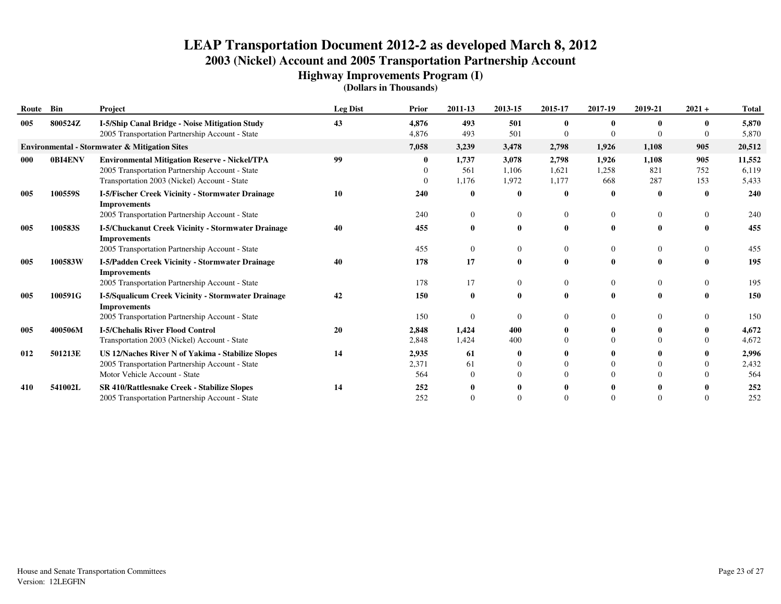**Highway Improvements Program (I)**

| Route Bin |         | Project                                                                                                                                                 | <b>Leg Dist</b> | Prior                 | 2011-13                      | 2013-15                 | 2015-17                 | 2017-19                  | 2019-21                        | $2021 +$          | <b>Total</b>             |
|-----------|---------|---------------------------------------------------------------------------------------------------------------------------------------------------------|-----------------|-----------------------|------------------------------|-------------------------|-------------------------|--------------------------|--------------------------------|-------------------|--------------------------|
| 005       | 800524Z | I-5/Ship Canal Bridge - Noise Mitigation Study<br>2005 Transportation Partnership Account - State                                                       | 43              | 4,876<br>4,876        | 493<br>493                   | 501<br>501              |                         |                          |                                |                   | 5,870<br>5,870           |
|           |         | <b>Environmental - Stormwater &amp; Mitigation Sites</b>                                                                                                |                 | 7,058                 | 3,239                        | 3,478                   | 2,798                   | 1,926                    | 1,108                          | 905               | 20,512                   |
| 000       | 0BI4ENV | <b>Environmental Mitigation Reserve - Nickel/TPA</b><br>2005 Transportation Partnership Account - State<br>Transportation 2003 (Nickel) Account - State | 99              |                       | 1,737<br>561<br>1,176        | 3,078<br>1,106<br>1,972 | 2,798<br>1,621<br>1,177 | 1,926<br>1,258<br>668    | 1,108<br>821<br>287            | 905<br>752<br>153 | 11,552<br>6,119<br>5,433 |
| 005       | 100559S | I-5/Fischer Creek Vicinity - Stormwater Drainage<br><b>Improvements</b><br>2005 Transportation Partnership Account - State                              | 10              | 240<br>240            | $\bf{0}$<br>$\mathbf{0}$     | $\bf{0}$                | $\mathbf 0$             | $\mathbf 0$<br>$\theta$  | $\bf{0}$<br>$\overline{0}$     | $\mathbf{0}$<br>0 | 240<br>240               |
| 005       | 100583S | I-5/Chuckanut Creek Vicinity - Stormwater Drainage<br><b>Improvements</b><br>2005 Transportation Partnership Account - State                            | 40              | 455<br>455            | $\mathbf{0}$<br>$\mathbf{0}$ | $\bf{0}$<br>$\Omega$    | $\mathbf{0}$            | $\mathbf{0}$<br>$\Omega$ | $\mathbf{0}$<br>$\overline{0}$ | 0                 | 455<br>455               |
| 005       | 100583W | I-5/Padden Creek Vicinity - Stormwater Drainage<br><b>Improvements</b><br>2005 Transportation Partnership Account - State                               | 40              | 178<br>178            | 17<br>17                     | $\mathbf{0}$<br>0       | $\left($                | $\mathbf 0$<br>$\Omega$  | 0<br>$\overline{0}$            | 0                 | 195<br>195               |
| 005       | 100591G | I-5/Squalicum Creek Vicinity - Stormwater Drainage<br><b>Improvements</b><br>2005 Transportation Partnership Account - State                            | 42              | 150<br>150            | $\bf{0}$<br>$\overline{0}$   | 0                       |                         | $\mathbf{0}$<br>$\Omega$ | $\theta$                       |                   | 150<br>150               |
| 005       | 400506M | <b>I-5/Chehalis River Flood Control</b><br>Transportation 2003 (Nickel) Account - State                                                                 | 20              | 2,848<br>2,848        | 1,424<br>1,424               | 400<br>400              |                         | $\Omega$                 |                                |                   | 4,672<br>4,672           |
| 012       | 501213E | <b>US 12/Naches River N of Yakima - Stabilize Slopes</b><br>2005 Transportation Partnership Account - State<br>Motor Vehicle Account - State            | 14              | 2,935<br>2,371<br>564 | 61<br>61<br>$\Omega$         |                         |                         | $\Omega$<br>$\Omega$     |                                |                   | 2,996<br>2,432<br>564    |
| 410       | 541002L | SR 410/Rattlesnake Creek - Stabilize Slopes<br>2005 Transportation Partnership Account - State                                                          | 14              | 252<br>252            | 0<br>$\Omega$                |                         |                         | $\Omega$                 |                                |                   | 252<br>252               |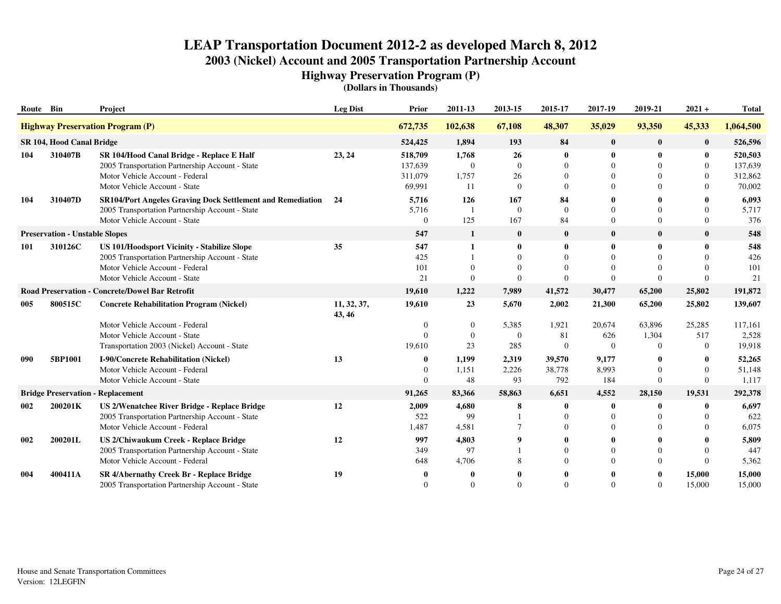**Highway Preservation Program (P)**

| Route Bin                                       |                                       | Project                                                                                                                                                            | <b>Leg Dist</b>       | Prior                                   | 2011-13                              | 2013-15                                      | 2015-17                                      | 2017-19                   | 2019-21                                          | $2021 +$                              | <b>Total</b>                            |
|-------------------------------------------------|---------------------------------------|--------------------------------------------------------------------------------------------------------------------------------------------------------------------|-----------------------|-----------------------------------------|--------------------------------------|----------------------------------------------|----------------------------------------------|---------------------------|--------------------------------------------------|---------------------------------------|-----------------------------------------|
|                                                 |                                       | <b>Highway Preservation Program (P)</b>                                                                                                                            |                       | 672,735                                 | 102,638                              | 67,108                                       | 48,307                                       | 35,029                    | 93,350                                           | 45,333                                | 1,064,500                               |
|                                                 | SR 104, Hood Canal Bridge             |                                                                                                                                                                    |                       | 524,425                                 | 1,894                                | 193                                          | 84                                           | $\bf{0}$                  | $\bf{0}$                                         | $\bf{0}$                              | 526,596                                 |
| 104                                             | 310407B                               | SR 104/Hood Canal Bridge - Replace E Half<br>2005 Transportation Partnership Account - State<br>Motor Vehicle Account - Federal<br>Motor Vehicle Account - State   | 23, 24                | 518,709<br>137,639<br>311,079<br>69,991 | 1,768<br>$\theta$<br>1,757<br>11     | 26<br>$\Omega$<br>26<br>$\overline{0}$       | $\bf{0}$<br>$\Omega$<br>$\theta$<br>$\Omega$ | $\Omega$<br>$\Omega$      | $\mathbf{0}$<br>$\Omega$<br>0<br>$\Omega$        | 0<br>$\Omega$<br>$\Omega$<br>$\Omega$ | 520,503<br>137,639<br>312,862<br>70,002 |
| 104                                             | 310407D                               | SR104/Port Angeles Graving Dock Settlement and Remediation 24<br>2005 Transportation Partnership Account - State<br>Motor Vehicle Account - State                  |                       | 5,716<br>5,716<br>$\Omega$              | 126<br>$\mathbf{1}$<br>125           | 167<br>$\mathbf{0}$<br>167                   | 84<br>$\Omega$<br>84                         | $\Omega$                  | 0<br>$\Omega$<br>$\Omega$                        | $\Omega$                              | 6,093<br>5,717<br>376                   |
|                                                 | <b>Preservation - Unstable Slopes</b> |                                                                                                                                                                    |                       | 547                                     | 1                                    | $\bf{0}$                                     | $\bf{0}$                                     | $\bf{0}$                  | $\bf{0}$                                         | $\bf{0}$                              | 548                                     |
| 101                                             | 310126C                               | US 101/Hoodsport Vicinity - Stabilize Slope<br>2005 Transportation Partnership Account - State<br>Motor Vehicle Account - Federal<br>Motor Vehicle Account - State | 35                    | 547<br>425<br>101<br>21                 | $\mathbf{1}$<br>$\Omega$<br>$\Omega$ | $\bf{0}$<br>$\Omega$<br>$\Omega$<br>$\Omega$ | $\theta$<br>$\Omega$<br>$\Omega$<br>$\Omega$ | $\theta$<br>$\Omega$      | $\mathbf{0}$<br>$\Omega$<br>$\Omega$<br>$\Omega$ | 0<br>$\Omega$<br>$\Omega$<br>$\Omega$ | 548<br>426<br>101<br>21                 |
| Road Preservation - Concrete/Dowel Bar Retrofit |                                       |                                                                                                                                                                    |                       | 19,610                                  | 1,222                                | 7,989                                        | 41,572                                       | 30,477                    | 65,200                                           | 25,802                                | 191,872                                 |
| 005                                             | 800515C                               | <b>Concrete Rehabilitation Program (Nickel)</b>                                                                                                                    | 11, 32, 37,<br>43, 46 | 19,610                                  | 23                                   | 5,670                                        | 2,002                                        | 21,300                    | 65,200                                           | 25,802                                | 139,607                                 |
|                                                 |                                       | Motor Vehicle Account - Federal<br>Motor Vehicle Account - State<br>Transportation 2003 (Nickel) Account - State                                                   |                       | $\Omega$<br>$\Omega$<br>19,610          | $\theta$<br>$\mathbf{0}$<br>23       | 5,385<br>$\mathbf{0}$<br>285                 | 1,921<br>81<br>$\theta$                      | 20,674<br>626<br>$\theta$ | 63,896<br>1,304<br>$\Omega$                      | 25,285<br>517<br>$\theta$             | 117,161<br>2,528<br>19,918              |
| 090                                             | 5BP1001                               | I-90/Concrete Rehabilitation (Nickel)<br>Motor Vehicle Account - Federal<br>Motor Vehicle Account - State                                                          | 13                    | $\mathbf{0}$<br>$\Omega$                | 1,199<br>1,151<br>48                 | 2,319<br>2,226<br>93                         | 39,570<br>38,778<br>792                      | 9,177<br>8,993<br>184     | 0<br>$\Omega$<br>$\mathbf{0}$                    | 0<br>$\Omega$<br>$\Omega$             | 52,265<br>51,148<br>1,117               |
|                                                 |                                       | <b>Bridge Preservation - Replacement</b>                                                                                                                           |                       | 91,265                                  | 83,366                               | 58,863                                       | 6,651                                        | 4,552                     | 28,150                                           | 19,531                                | 292,378                                 |
| 002                                             | 200201K                               | US 2/Wenatchee River Bridge - Replace Bridge<br>2005 Transportation Partnership Account - State<br>Motor Vehicle Account - Federal                                 | 12                    | 2,009<br>522<br>1,487                   | 4,680<br>99<br>4,581                 | 8                                            | 0<br>$\Omega$<br>$\Omega$                    | $\mathbf 0$               | $\mathbf{0}$<br>$\Omega$<br>$\Omega$             | 0<br>0                                | 6,697<br>622<br>6,075                   |
| 002                                             | 200201L                               | US 2/Chiwaukum Creek - Replace Bridge<br>2005 Transportation Partnership Account - State<br>Motor Vehicle Account - Federal                                        | 12                    | 997<br>349<br>648                       | 4,803<br>97<br>4,706                 |                                              | $\Omega$<br>$\Omega$                         | $\Omega$                  | $\Omega$<br>$\Omega$                             | $\Omega$                              | 5,809<br>447<br>5,362                   |
| 004                                             | 400411A                               | SR 4/Abernathy Creek Br - Replace Bridge<br>2005 Transportation Partnership Account - State                                                                        | 19                    |                                         | $\Omega$                             | $\Omega$                                     | $\Omega$                                     |                           | $\mathbf{0}$<br>$\Omega$                         | 15,000<br>15,000                      | 15,000<br>15,000                        |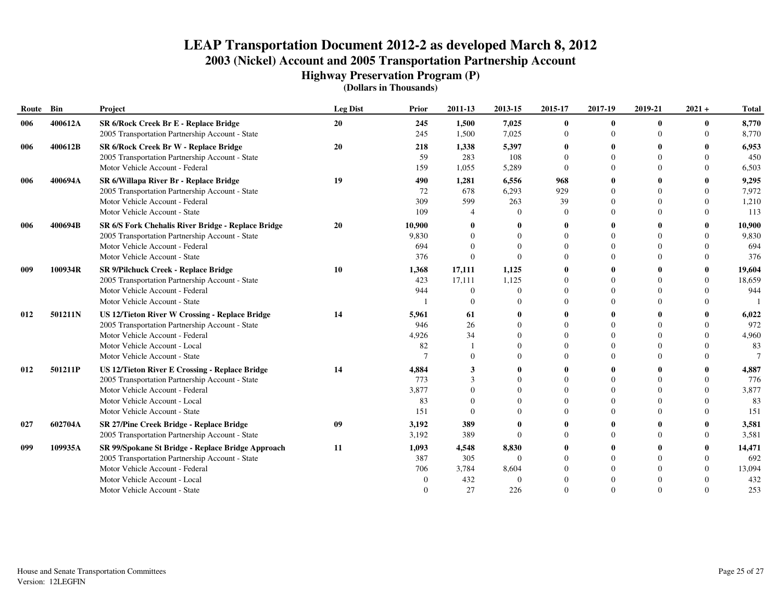**Highway Preservation Program (P)**

| Route | Bin     | Project                                               | <b>Leg Dist</b> | Prior  | 2011-13       | 2013-15  | 2015-17      | 2017-19     | 2019-21      | $2021 +$     | <b>Total</b> |
|-------|---------|-------------------------------------------------------|-----------------|--------|---------------|----------|--------------|-------------|--------------|--------------|--------------|
| 006   | 400612A | SR 6/Rock Creek Br E - Replace Bridge                 | 20              | 245    | 1,500         | 7,025    | $\bf{0}$     | $\mathbf 0$ | $\mathbf{0}$ | $\bf{0}$     | 8,770        |
|       |         | 2005 Transportation Partnership Account - State       |                 | 245    | 1,500         | 7,025    | $\mathbf{0}$ | $\Omega$    |              | $\Omega$     | 8,770        |
| 006   | 400612B | SR 6/Rock Creek Br W - Replace Bridge                 | 20              | 218    | 1,338         | 5,397    | 0            |             |              | 0            | 6,953        |
|       |         | 2005 Transportation Partnership Account - State       |                 | 59     | 283           | 108      | $\Omega$     | $\Omega$    |              | $\Omega$     | 450          |
|       |         | Motor Vehicle Account - Federal                       |                 | 159    | 1,055         | 5,289    | $\Omega$     | $\Omega$    |              | $\Omega$     | 6,503        |
| 006   | 400694A | SR 6/Willapa River Br - Replace Bridge                | 19              | 490    | 1,281         | 6,556    | 968          |             |              |              | 9,295        |
|       |         | 2005 Transportation Partnership Account - State       |                 | 72     | 678           | 6,293    | 929          |             |              | $\Omega$     | 7,972        |
|       |         | Motor Vehicle Account - Federal                       |                 | 309    | 599           | 263      | 39           |             |              | $\Omega$     | 1,210        |
|       |         | Motor Vehicle Account - State                         |                 | 109    |               |          | $\Omega$     |             |              | $\Omega$     | 113          |
| 006   | 400694B | SR 6/S Fork Chehalis River Bridge - Replace Bridge    | 20              | 10,900 |               |          | 0            |             |              | 0            | 10,900       |
|       |         | 2005 Transportation Partnership Account - State       |                 | 9,830  | $\Omega$      |          | $\Omega$     | ∩           |              | $\Omega$     | 9,830        |
|       |         | Motor Vehicle Account - Federal                       |                 | 694    | $\Omega$      |          | $\Omega$     | $\Omega$    |              | $\Omega$     | 694          |
|       |         | Motor Vehicle Account - State                         |                 | 376    | $\Omega$      | $\Omega$ | $\Omega$     | $\Omega$    |              | $\Omega$     | 376          |
| 009   | 100934R | <b>SR 9/Pilchuck Creek - Replace Bridge</b>           | 10              | 1,368  | 17,111        | 1,125    | 0            |             |              | $\mathbf{0}$ | 19,604       |
|       |         | 2005 Transportation Partnership Account - State       |                 | 423    | 17,111        | 1,125    | $\Omega$     | $\Omega$    |              | $\Omega$     | 18,659       |
|       |         | Motor Vehicle Account - Federal                       |                 | 944    | $\Omega$      | $\Omega$ | $\Omega$     |             |              | $\Omega$     | 944          |
|       |         | Motor Vehicle Account - State                         |                 |        | $\Omega$      |          | $\Omega$     | $\Omega$    |              | $\Omega$     |              |
| 012   | 501211N | <b>US 12/Tieton River W Crossing - Replace Bridge</b> | 14              | 5,961  | 61            |          | 0            |             |              | 0            | 6,022        |
|       |         | 2005 Transportation Partnership Account - State       |                 | 946    | 26            |          | $\Omega$     | $\Omega$    |              | $\Omega$     | 972          |
|       |         | Motor Vehicle Account - Federal                       |                 | 4,926  | 34            |          | $\Omega$     | $\Omega$    |              | $\Omega$     | 4,960        |
|       |         | Motor Vehicle Account - Local                         |                 | 82     |               |          | $\Omega$     | $\Omega$    |              | $\Omega$     | 83           |
|       |         | Motor Vehicle Account - State                         |                 |        | $\Omega$      |          | $\Omega$     | $\Omega$    |              | $\Omega$     |              |
| 012   | 501211P | <b>US 12/Tieton River E Crossing - Replace Bridge</b> | 14              | 4,884  | 3             |          | 0            |             |              |              | 4,887        |
|       |         | 2005 Transportation Partnership Account - State       |                 | 773    | $\mathcal{R}$ |          | $\Omega$     | $\Omega$    |              | $\Omega$     | 776          |
|       |         | Motor Vehicle Account - Federal                       |                 | 3,877  | $\Omega$      |          | $\Omega$     | $\Omega$    |              | $\Omega$     | 3,877        |
|       |         | Motor Vehicle Account - Local                         |                 | 83     | $\Omega$      |          | $\Omega$     | $\Omega$    |              | $\Omega$     | 83           |
|       |         | Motor Vehicle Account - State                         |                 | 151    | $\Omega$      |          | $\Omega$     | $\Omega$    |              | $\Omega$     | 151          |
| 027   | 602704A | SR 27/Pine Creek Bridge - Replace Bridge              | 09              | 3,192  | 389           |          |              |             |              | 0            | 3,581        |
|       |         | 2005 Transportation Partnership Account - State       |                 | 3,192  | 389           | $\Omega$ | $\Omega$     | $\Omega$    |              | $\Omega$     | 3,581        |
| 099   | 109935A | SR 99/Spokane St Bridge - Replace Bridge Approach     | 11              | 1,093  | 4,548         | 8,830    | 0            |             |              | 0            | 14,471       |
|       |         | 2005 Transportation Partnership Account - State       |                 | 387    | 305           | $\Omega$ | $\Omega$     | $\Omega$    |              | $\Omega$     | 692          |
|       |         | Motor Vehicle Account - Federal                       |                 | 706    | 3,784         | 8,604    | 0            | 0           |              | $\Omega$     | 13,094       |
|       |         | Motor Vehicle Account - Local                         |                 |        | 432           | $\Omega$ |              |             |              |              | 432          |
|       |         | Motor Vehicle Account - State                         |                 |        | 27            | 226      | $\Omega$     | $\Omega$    |              | $\Omega$     | 253          |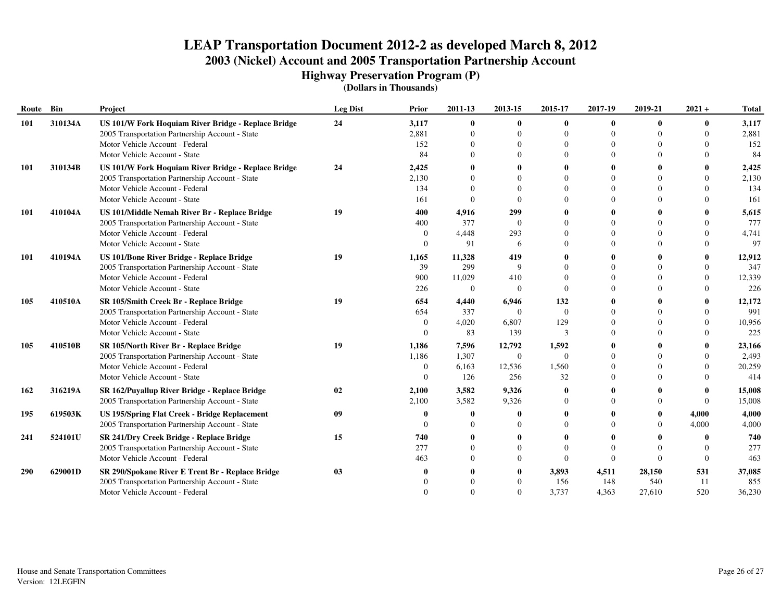**Highway Preservation Program (P)**

| Route      | Bin     | Project                                              | <b>Leg Dist</b> | Prior            | 2011-13        | 2013-15        | 2015-17  | 2017-19     | 2019-21      | $2021 +$     | <b>Total</b> |
|------------|---------|------------------------------------------------------|-----------------|------------------|----------------|----------------|----------|-------------|--------------|--------------|--------------|
| 101        | 310134A | US 101/W Fork Hoquiam River Bridge - Replace Bridge  | 24              | 3,117            | $\bf{0}$       | $\mathbf{0}$   | 0        | $\mathbf 0$ | $\mathbf{0}$ | $\mathbf{0}$ | 3,117        |
|            |         | 2005 Transportation Partnership Account - State      |                 | 2,881            | $\Omega$       |                | $\Omega$ | $\Omega$    |              | $\Omega$     | 2,881        |
|            |         | Motor Vehicle Account - Federal                      |                 | 152              | $\Omega$       |                | $\Omega$ |             |              | $\Omega$     | 152          |
|            |         | Motor Vehicle Account - State                        |                 | 84               | $\Omega$       |                | $\Omega$ | $\Omega$    |              | $\Omega$     | 84           |
| 101        | 310134B | US 101/W Fork Hoquiam River Bridge - Replace Bridge  | 24              | 2,425            |                |                | 0        |             |              | $\mathbf{0}$ | 2,425        |
|            |         | 2005 Transportation Partnership Account - State      |                 | 2,130            | $\Omega$       |                | $\Omega$ | 0           |              | $\Omega$     | 2,130        |
|            |         | Motor Vehicle Account - Federal                      |                 | 134              | $\Omega$       |                | $\Omega$ | $\Omega$    |              | $\Omega$     | 134          |
|            |         | Motor Vehicle Account - State                        |                 | 161              | $\Omega$       |                | $\Omega$ | $\Omega$    |              | $\Omega$     | 161          |
| 101        | 410104A | US 101/Middle Nemah River Br - Replace Bridge        | 19              | 400              | 4,916          | 299            | 0        |             |              |              | 5,615        |
|            |         | 2005 Transportation Partnership Account - State      |                 | 400              | 377            | $\Omega$       | $\Omega$ | $\Omega$    |              | $\Omega$     | 777          |
|            |         | Motor Vehicle Account - Federal                      |                 | $\theta$         | 4,448          | 293            | $\Omega$ | $\Omega$    |              | $\Omega$     | 4,741        |
|            |         | Motor Vehicle Account - State                        |                 |                  | 91             | 6              | $\Omega$ | $\Omega$    |              | $\Omega$     | 97           |
| 101        | 410194A | <b>US 101/Bone River Bridge - Replace Bridge</b>     | 19              | 1,165            | 11,328         | 419            |          |             |              |              | 12,912       |
|            |         | 2005 Transportation Partnership Account - State      |                 | 39               | 299            | 9              | $\Omega$ |             |              | $\Omega$     | 347          |
|            |         | Motor Vehicle Account - Federal                      |                 | 900              | 11,029         | 410            | $\Omega$ |             |              | $\Omega$     | 12,339       |
|            |         | Motor Vehicle Account - State                        |                 | 226              | $\overline{0}$ | $\theta$       | $\Omega$ | $\Omega$    |              | $\Omega$     | 226          |
| 105        | 410510A | SR 105/Smith Creek Br - Replace Bridge               | 19              | 654              | 4,440          | 6,946          | 132      | 0           |              | $\mathbf{0}$ | 12,172       |
|            |         | 2005 Transportation Partnership Account - State      |                 | 654              | 337            | $\Omega$       | $\Omega$ |             |              | $\Omega$     | 991          |
|            |         | Motor Vehicle Account - Federal                      |                 | 0                | 4,020          | 6,807          | 129      | $\Omega$    |              | $\Omega$     | 10,956       |
|            |         | Motor Vehicle Account - State                        |                 |                  | 83             | 139            | 3        | $\Omega$    |              | $\Omega$     | 225          |
| 105        | 410510B | SR 105/North River Br - Replace Bridge               | 19              | 1,186            | 7,596          | 12,792         | 1,592    |             |              |              | 23,166       |
|            |         | 2005 Transportation Partnership Account - State      |                 | 1,186            | 1,307          | $\overline{0}$ | $\Omega$ | $\Omega$    |              | $\Omega$     | 2,493        |
|            |         | Motor Vehicle Account - Federal                      |                 | $\boldsymbol{0}$ | 6,163          | 12,536         | 1,560    |             |              | $\Omega$     | 20,259       |
|            |         | Motor Vehicle Account - State                        |                 | $\Omega$         | 126            | 256            | 32       | $\Omega$    |              | $\Omega$     | 414          |
| 162        | 316219A | SR 162/Puyallup River Bridge - Replace Bridge        | 02              | 2,100            | 3,582          | 9,326          | 0        |             |              | $\mathbf{0}$ | 15,008       |
|            |         | 2005 Transportation Partnership Account - State      |                 | 2,100            | 3,582          | 9,326          | $\Omega$ | $\Omega$    |              | $\Omega$     | 15,008       |
| 195        | 619503K | <b>US 195/Spring Flat Creek - Bridge Replacement</b> | 09              |                  | -0             |                | 0        |             |              | 4,000        | 4,000        |
|            |         | 2005 Transportation Partnership Account - State      |                 |                  | $\Omega$       |                | $\Omega$ |             |              | 4,000        | 4,000        |
| 241        | 524101U | SR 241/Dry Creek Bridge - Replace Bridge             | 15              | 740              |                |                |          |             |              | 0            | 740          |
|            |         | 2005 Transportation Partnership Account - State      |                 | 277              | $\Omega$       |                | $\Omega$ | $\theta$    |              | $\Omega$     | 277          |
|            |         | Motor Vehicle Account - Federal                      |                 | 463              | $\Omega$       | $\left($       | $\Omega$ | $\theta$    | $\Omega$     | $\Omega$     | 463          |
| <b>290</b> | 629001D | SR 290/Spokane River E Trent Br - Replace Bridge     | 03              |                  |                |                | 3,893    | 4,511       | 28,150       | 531          | 37,085       |
|            |         | 2005 Transportation Partnership Account - State      |                 |                  |                |                | 156      | 148         | 540          | 11           | 855          |
|            |         | Motor Vehicle Account - Federal                      |                 |                  | $\Omega$       |                | 3,737    | 4,363       | 27,610       | 520          | 36,230       |